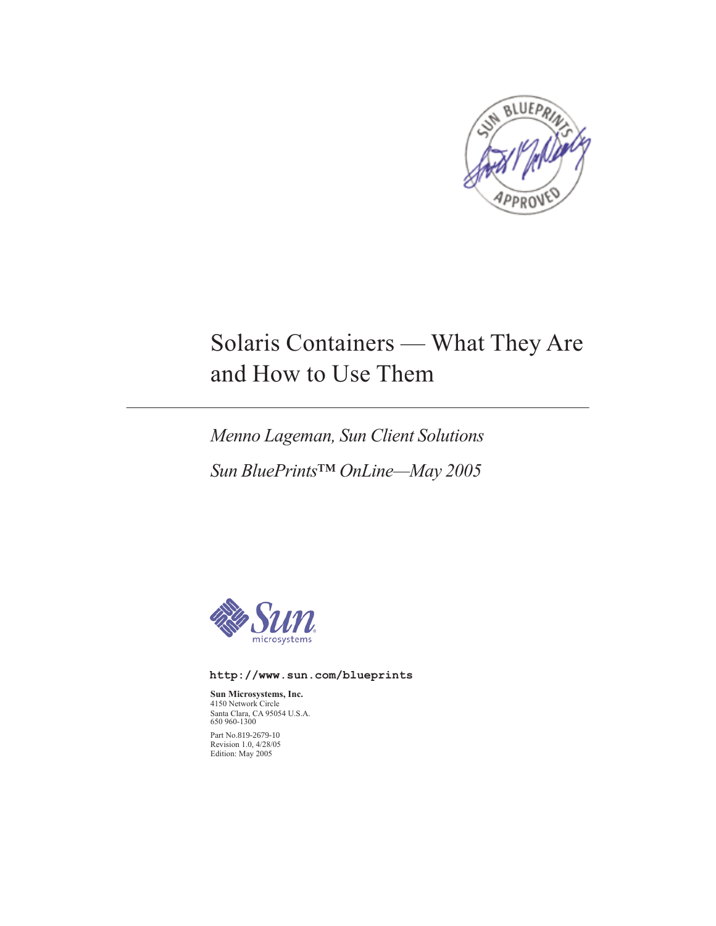

# Solaris Containers — What They Are and How to Use Them

*Menno Lageman, Sun Client Solutions Sun BluePrints™ OnLine—May 2005*



**http://www.sun.com/blueprints**

**Sun Microsystems, Inc.** 4150 Network Circle Santa Clara, CA 95054 U.S.A. 650 960-1300 Part No.819-2679-10 Revision 1.0, 4/28/05 Edition: May 2005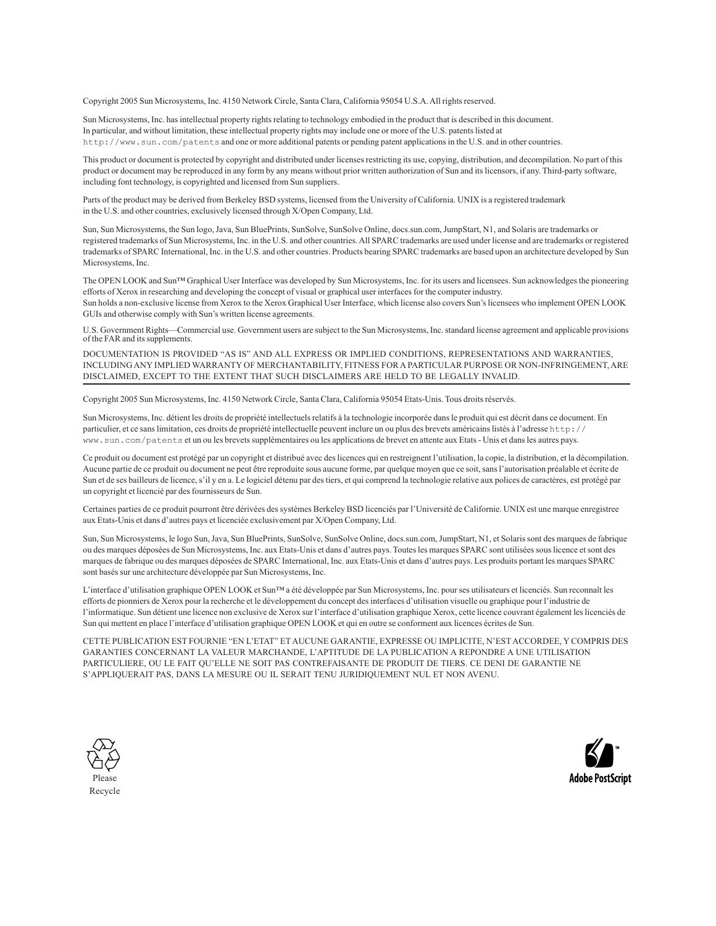Copyright 2005 Sun Microsystems, Inc. 4150 Network Circle, Santa Clara, California 95054 U.S.A. All rights reserved.

Sun Microsystems, Inc. has intellectual property rights relating to technology embodied in the product that is described in this document. In particular, and without limitation, these intellectual property rights may include one or more of the U.S. patents listed at http://www.sun.com/patents and one or more additional patents or pending patent applications in the U.S. and in other countries.

This product or document is protected by copyright and distributed under licenses restricting its use, copying, distribution, and decompilation. No part of this product or document may be reproduced in any form by any means without prior written authorization of Sun and its licensors, if any. Third-party software, including font technology, is copyrighted and licensed from Sun suppliers.

Parts of the product may be derived from Berkeley BSD systems, licensed from the University of California. UNIX is a registered trademark in the U.S. and other countries, exclusively licensed through X/Open Company, Ltd.

Sun, Sun Microsystems, the Sun logo, Java, Sun BluePrints, SunSolve, SunSolve Online, docs.sun.com, JumpStart, N1, and Solaris are trademarks or registered trademarks of Sun Microsystems, Inc. in the U.S. and other countries. All SPARC trademarks are used under license and are trademarks or registered trademarks of SPARC International, Inc. in the U.S. and other countries. Products bearing SPARC trademarks are based upon an architecture developed by Sun Microsystems, Inc.

The OPEN LOOK and Sun™ Graphical User Interface was developed by Sun Microsystems, Inc. for its users and licensees. Sun acknowledges the pioneering efforts of Xerox in researching and developing the concept of visual or graphical user interfaces for the computer industry. Sun holds a non-exclusive license from Xerox to the Xerox Graphical User Interface, which license also covers Sun's licensees who implement OPEN LOOK GUIs and otherwise comply with Sun's written license agreements.

U.S. Government Rights—Commercial use. Government users are subject to the Sun Microsystems, Inc. standard license agreement and applicable provisions of the FAR and its supplements.

DOCUMENTATION IS PROVIDED "AS IS" AND ALL EXPRESS OR IMPLIED CONDITIONS, REPRESENTATIONS AND WARRANTIES, INCLUDING ANY IMPLIED WARRANTY OF MERCHANTABILITY, FITNESS FOR A PARTICULAR PURPOSE OR NON-INFRINGEMENT, ARE DISCLAIMED, EXCEPT TO THE EXTENT THAT SUCH DISCLAIMERS ARE HELD TO BE LEGALLY INVALID.

Copyright 2005 Sun Microsystems, Inc. 4150 Network Circle, Santa Clara, California 95054 Etats-Unis. Tous droits réservés.

Sun Microsystems, Inc. détient les droits de propriété intellectuels relatifs à la technologie incorporée dans le produit qui est décrit dans ce document. En particulier, et ce sans limitation, ces droits de propriété intellectuelle peuvent inclure un ou plus des brevets américains listés à l'adresse http:// www.sun.com/patents et un ou les brevets supplémentaires ou les applications de brevet en attente aux Etats - Unis et dans les autres pays.

Ce produit ou document est protégé par un copyright et distribué avec des licences qui en restreignent l'utilisation, la copie, la distribution, et la décompilation. Aucune partie de ce produit ou document ne peut être reproduite sous aucune forme, par quelque moyen que ce soit, sans l'autorisation préalable et écrite de Sun et de ses bailleurs de licence, s'il y en a. Le logiciel détenu par des tiers, et qui comprend la technologie relative aux polices de caractères, est protégé par un copyright et licencié par des fournisseurs de Sun.

Certaines parties de ce produit pourront être dérivées des systèmes Berkeley BSD licenciés par l'Université de Californie. UNIX est une marque enregistree aux Etats-Unis et dans d'autres pays et licenciée exclusivement par X/Open Company, Ltd.

Sun, Sun Microsystems, le logo Sun, Java, Sun BluePrints, SunSolve, SunSolve Online, docs.sun.com, JumpStart, N1, et Solaris sont des marques de fabrique ou des marques déposées de Sun Microsystems, Inc. aux Etats-Unis et dans d'autres pays. Toutes les marques SPARC sont utilisées sous licence et sont des marques de fabrique ou des marques déposées de SPARC International, Inc. aux Etats-Unis et dans d'autres pays. Les produits portant les marques SPARC sont basés sur une architecture développée par Sun Microsystems, Inc.

L'interface d'utilisation graphique OPEN LOOK et Sun™ a été développée par Sun Microsystems, Inc. pour ses utilisateurs et licenciés. Sun reconnaît les efforts de pionniers de Xerox pour la recherche et le développement du concept des interfaces d'utilisation visuelle ou graphique pour l'industrie de l'informatique. Sun détient une licence non exclusive de Xerox sur l'interface d'utilisation graphique Xerox, cette licence couvrant également les licenciés de Sun qui mettent en place l'interface d'utilisation graphique OPEN LOOK et qui en outre se conforment aux licences écrites de Sun.

CETTE PUBLICATION EST FOURNIE "EN L'ETAT" ET AUCUNE GARANTIE, EXPRESSE OU IMPLICITE, N'EST ACCORDEE, Y COMPRIS DES GARANTIES CONCERNANT LA VALEUR MARCHANDE, L'APTITUDE DE LA PUBLICATION A REPONDRE A UNE UTILISATION PARTICULIERE, OU LE FAIT QU'ELLE NE SOIT PAS CONTREFAISANTE DE PRODUIT DE TIERS. CE DENI DE GARANTIE NE S'APPLIQUERAIT PAS, DANS LA MESURE OU IL SERAIT TENU JURIDIQUEMENT NUL ET NON AVENU.



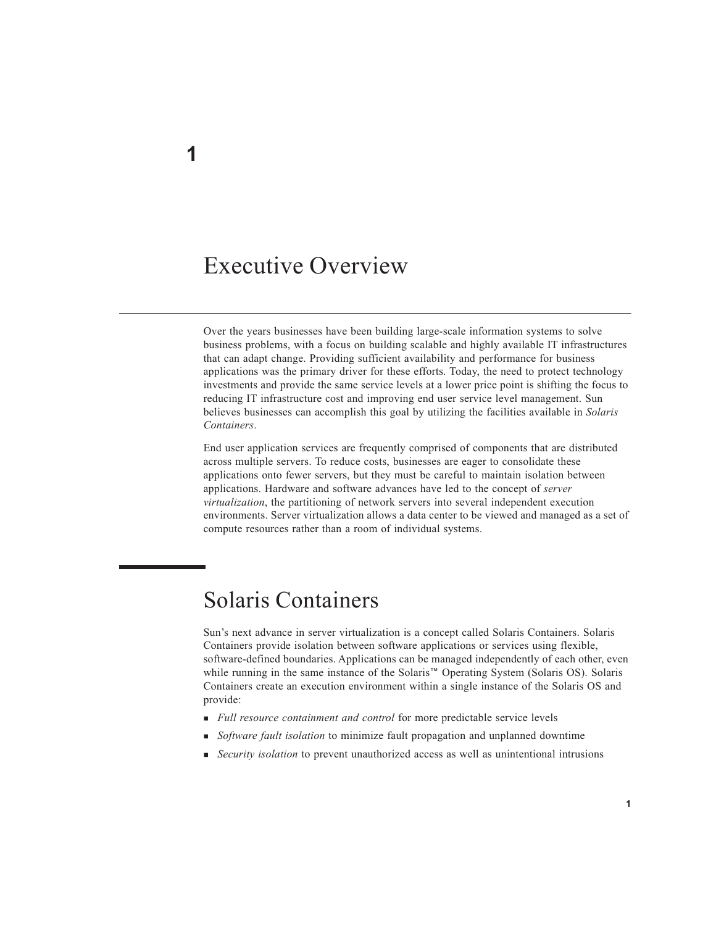### Executive Overview

Over the years businesses have been building large-scale information systems to solve business problems, with a focus on building scalable and highly available IT infrastructures that can adapt change. Providing sufficient availability and performance for business applications was the primary driver for these efforts. Today, the need to protect technology investments and provide the same service levels at a lower price point is shifting the focus to reducing IT infrastructure cost and improving end user service level management. Sun believes businesses can accomplish this goal by utilizing the facilities available in *Solaris Containers*.

End user application services are frequently comprised of components that are distributed across multiple servers. To reduce costs, businesses are eager to consolidate these applications onto fewer servers, but they must be careful to maintain isolation between applications. Hardware and software advances have led to the concept of *server virtualization*, the partitioning of network servers into several independent execution environments. Server virtualization allows a data center to be viewed and managed as a set of compute resources rather than a room of individual systems.

## Solaris Containers

Sun's next advance in server virtualization is a concept called Solaris Containers. Solaris Containers provide isolation between software applications or services using flexible, software-defined boundaries. Applications can be managed independently of each other, even while running in the same instance of the Solaris™ Operating System (Solaris OS). Solaris Containers create an execution environment within a single instance of the Solaris OS and provide:

- *Full resource containment and control* for more predictable service levels
- *Software fault isolation* to minimize fault propagation and unplanned downtime
- *Security isolation* to prevent unauthorized access as well as unintentional intrusions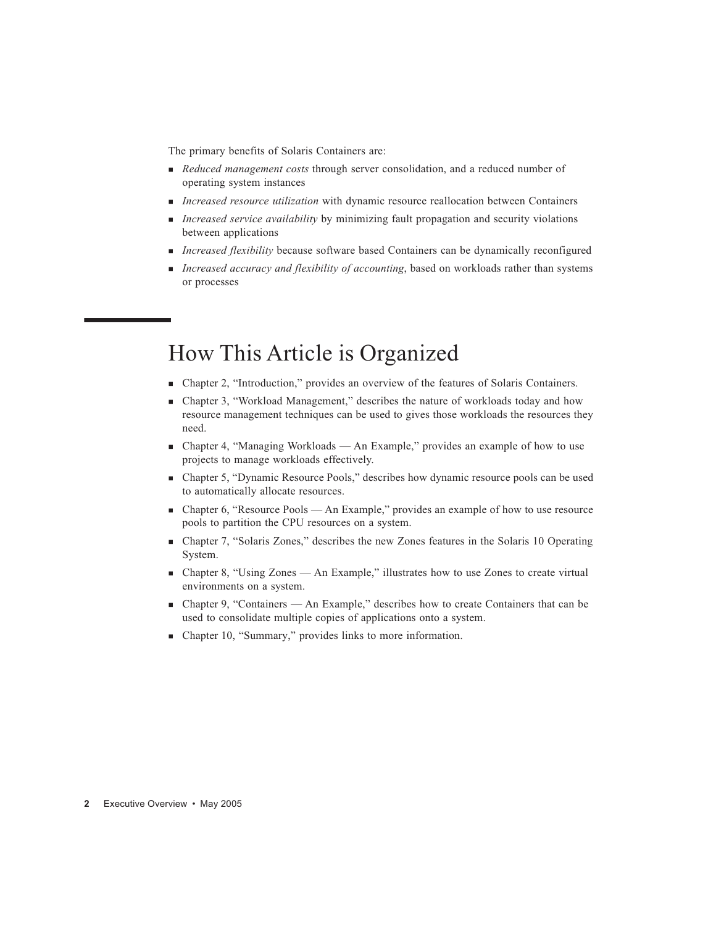The primary benefits of Solaris Containers are:

- *Reduced management costs* through server consolidation, and a reduced number of operating system instances
- *Increased resource utilization* with dynamic resource reallocation between Containers
- *Increased service availability* by minimizing fault propagation and security violations between applications
- *Increased flexibility* because software based Containers can be dynamically reconfigured
- *Increased accuracy and flexibility of accounting*, based on workloads rather than systems or processes

### How This Article is Organized

- Chapter 2, "Introduction," provides an overview of the features of Solaris Containers.
- Chapter 3, "Workload Management," describes the nature of workloads today and how resource management techniques can be used to gives those workloads the resources they need.
- Chapter 4, "Managing Workloads An Example," provides an example of how to use projects to manage workloads effectively.
- Chapter 5, "Dynamic Resource Pools," describes how dynamic resource pools can be used to automatically allocate resources.
- Chapter 6, "Resource Pools An Example," provides an example of how to use resource pools to partition the CPU resources on a system.
- Chapter 7, "Solaris Zones," describes the new Zones features in the Solaris 10 Operating System.
- Chapter 8, "Using Zones An Example," illustrates how to use Zones to create virtual environments on a system.
- Chapter 9, "Containers An Example," describes how to create Containers that can be used to consolidate multiple copies of applications onto a system.
- Chapter 10, "Summary," provides links to more information.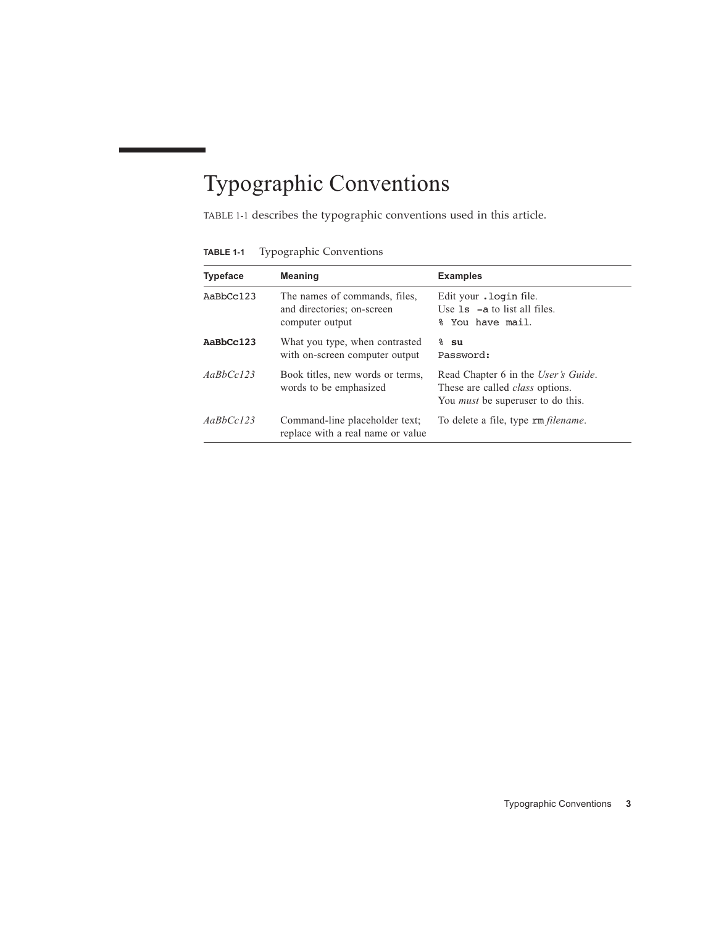# Typographic Conventions

TABLE 1-1 describes the typographic conventions used in this article.

**TABLE 1-1** Typographic Conventions

| <b>Typeface</b> | <b>Meaning</b>                                                                 | <b>Examples</b>                                                                                                           |
|-----------------|--------------------------------------------------------------------------------|---------------------------------------------------------------------------------------------------------------------------|
| AaBbCc123       | The names of commands, files,<br>and directories; on-screen<br>computer output | Edit your . login file.<br>Use $1s$ $-$ a to list all files.<br>% You have mail.                                          |
| AaBbCc123       | What you type, when contrasted<br>with on-screen computer output               | $8 \,$ su<br>Password:                                                                                                    |
| AaBbCc123       | Book titles, new words or terms,<br>words to be emphasized                     | Read Chapter 6 in the User's Guide.<br>These are called <i>class</i> options.<br>You <i>must</i> be superuser to do this. |
| AaBbCc123       | Command-line placeholder text;<br>replace with a real name or value            | To delete a file, type rm <i>filename</i> .                                                                               |

Typographic Conventions **3**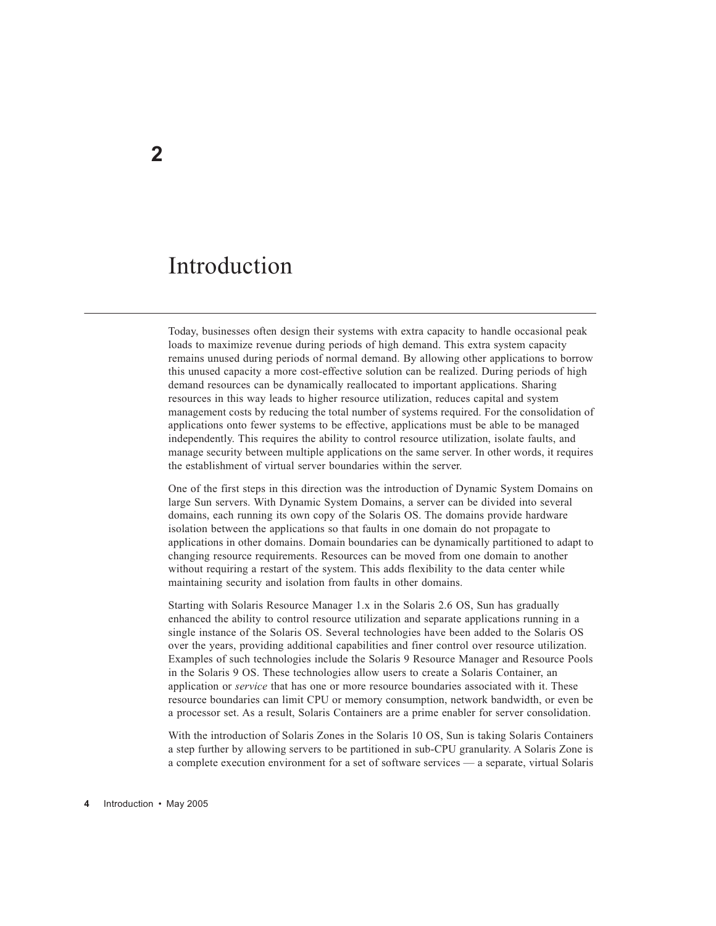## Introduction

Today, businesses often design their systems with extra capacity to handle occasional peak loads to maximize revenue during periods of high demand. This extra system capacity remains unused during periods of normal demand. By allowing other applications to borrow this unused capacity a more cost-effective solution can be realized. During periods of high demand resources can be dynamically reallocated to important applications. Sharing resources in this way leads to higher resource utilization, reduces capital and system management costs by reducing the total number of systems required. For the consolidation of applications onto fewer systems to be effective, applications must be able to be managed independently. This requires the ability to control resource utilization, isolate faults, and manage security between multiple applications on the same server. In other words, it requires the establishment of virtual server boundaries within the server.

One of the first steps in this direction was the introduction of Dynamic System Domains on large Sun servers. With Dynamic System Domains, a server can be divided into several domains, each running its own copy of the Solaris OS. The domains provide hardware isolation between the applications so that faults in one domain do not propagate to applications in other domains. Domain boundaries can be dynamically partitioned to adapt to changing resource requirements. Resources can be moved from one domain to another without requiring a restart of the system. This adds flexibility to the data center while maintaining security and isolation from faults in other domains.

Starting with Solaris Resource Manager 1.x in the Solaris 2.6 OS, Sun has gradually enhanced the ability to control resource utilization and separate applications running in a single instance of the Solaris OS. Several technologies have been added to the Solaris OS over the years, providing additional capabilities and finer control over resource utilization. Examples of such technologies include the Solaris 9 Resource Manager and Resource Pools in the Solaris 9 OS. These technologies allow users to create a Solaris Container, an application or *service* that has one or more resource boundaries associated with it. These resource boundaries can limit CPU or memory consumption, network bandwidth, or even be a processor set. As a result, Solaris Containers are a prime enabler for server consolidation.

With the introduction of Solaris Zones in the Solaris 10 OS, Sun is taking Solaris Containers a step further by allowing servers to be partitioned in sub-CPU granularity. A Solaris Zone is a complete execution environment for a set of software services — a separate, virtual Solaris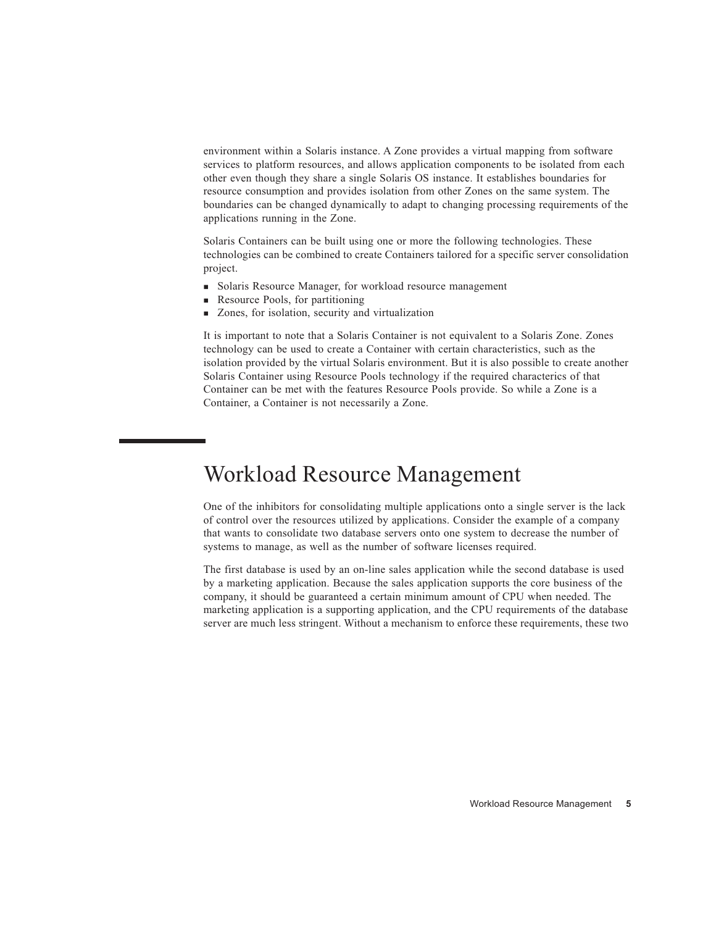environment within a Solaris instance. A Zone provides a virtual mapping from software services to platform resources, and allows application components to be isolated from each other even though they share a single Solaris OS instance. It establishes boundaries for resource consumption and provides isolation from other Zones on the same system. The boundaries can be changed dynamically to adapt to changing processing requirements of the applications running in the Zone.

Solaris Containers can be built using one or more the following technologies. These technologies can be combined to create Containers tailored for a specific server consolidation project.

- Solaris Resource Manager, for workload resource management
- Resource Pools, for partitioning
- Zones, for isolation, security and virtualization

It is important to note that a Solaris Container is not equivalent to a Solaris Zone. Zones technology can be used to create a Container with certain characteristics, such as the isolation provided by the virtual Solaris environment. But it is also possible to create another Solaris Container using Resource Pools technology if the required characterics of that Container can be met with the features Resource Pools provide. So while a Zone is a Container, a Container is not necessarily a Zone.

## Workload Resource Management

One of the inhibitors for consolidating multiple applications onto a single server is the lack of control over the resources utilized by applications. Consider the example of a company that wants to consolidate two database servers onto one system to decrease the number of systems to manage, as well as the number of software licenses required.

The first database is used by an on-line sales application while the second database is used by a marketing application. Because the sales application supports the core business of the company, it should be guaranteed a certain minimum amount of CPU when needed. The marketing application is a supporting application, and the CPU requirements of the database server are much less stringent. Without a mechanism to enforce these requirements, these two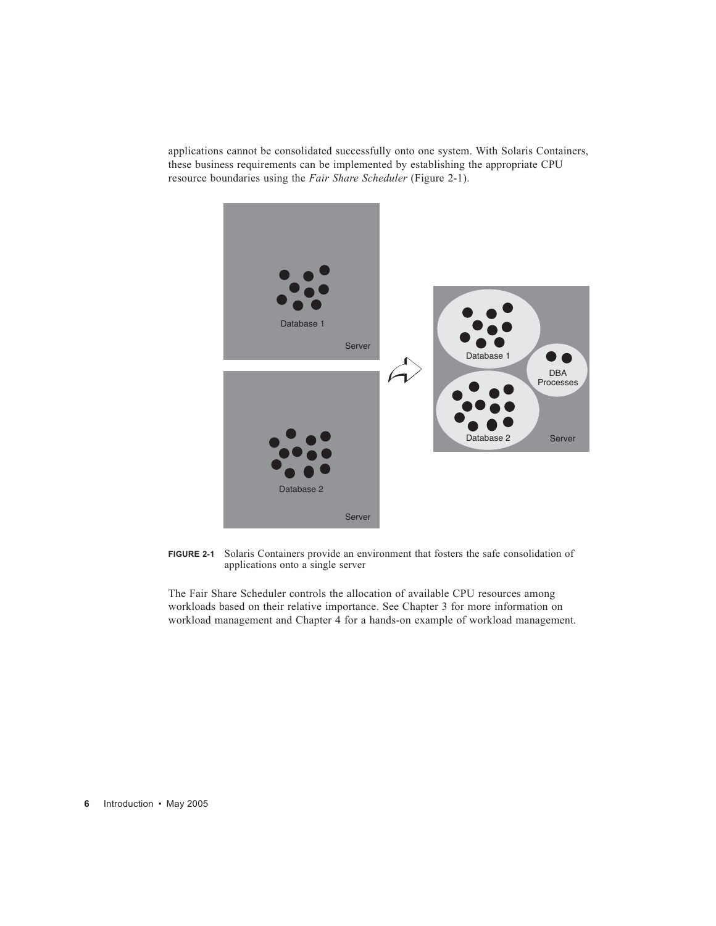applications cannot be consolidated successfully onto one system. With Solaris Containers, these business requirements can be implemented by establishing the appropriate CPU resource boundaries using the *Fair Share Scheduler* (Figure 2-1).



**FIGURE 2-1** Solaris Containers provide an environment that fosters the safe consolidation of applications onto a single server

The Fair Share Scheduler controls the allocation of available CPU resources among workloads based on their relative importance. See Chapter 3 for more information on workload management and Chapter 4 for a hands-on example of workload management.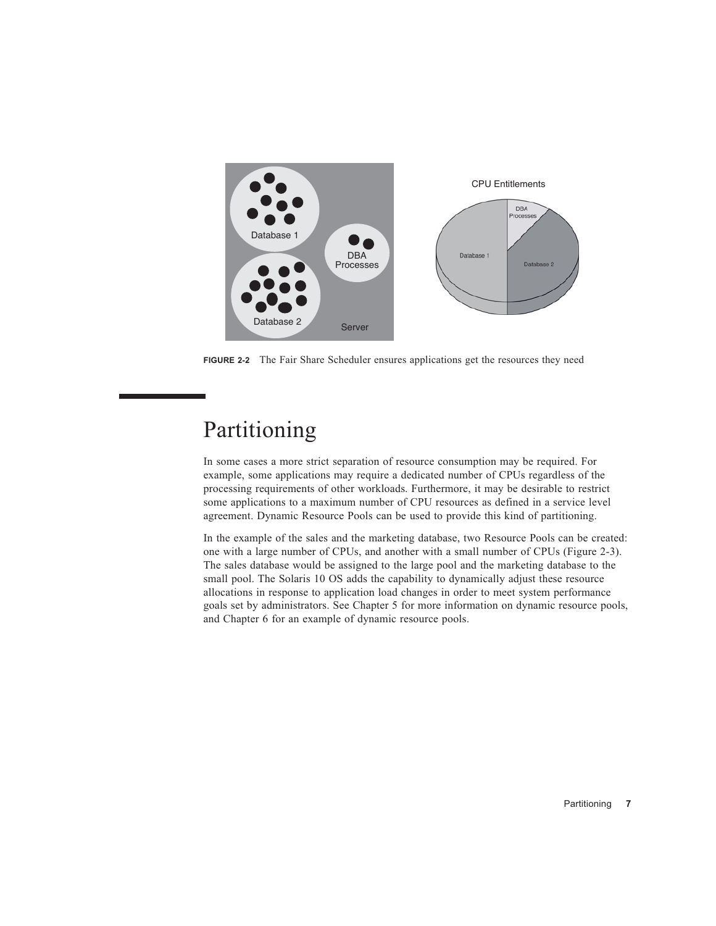

**FIGURE 2-2** The Fair Share Scheduler ensures applications get the resources they need

## Partitioning

In some cases a more strict separation of resource consumption may be required. For example, some applications may require a dedicated number of CPUs regardless of the processing requirements of other workloads. Furthermore, it may be desirable to restrict some applications to a maximum number of CPU resources as defined in a service level agreement. Dynamic Resource Pools can be used to provide this kind of partitioning.

In the example of the sales and the marketing database, two Resource Pools can be created: one with a large number of CPUs, and another with a small number of CPUs (Figure 2-3). The sales database would be assigned to the large pool and the marketing database to the small pool. The Solaris 10 OS adds the capability to dynamically adjust these resource allocations in response to application load changes in order to meet system performance goals set by administrators. See Chapter 5 for more information on dynamic resource pools, and Chapter 6 for an example of dynamic resource pools.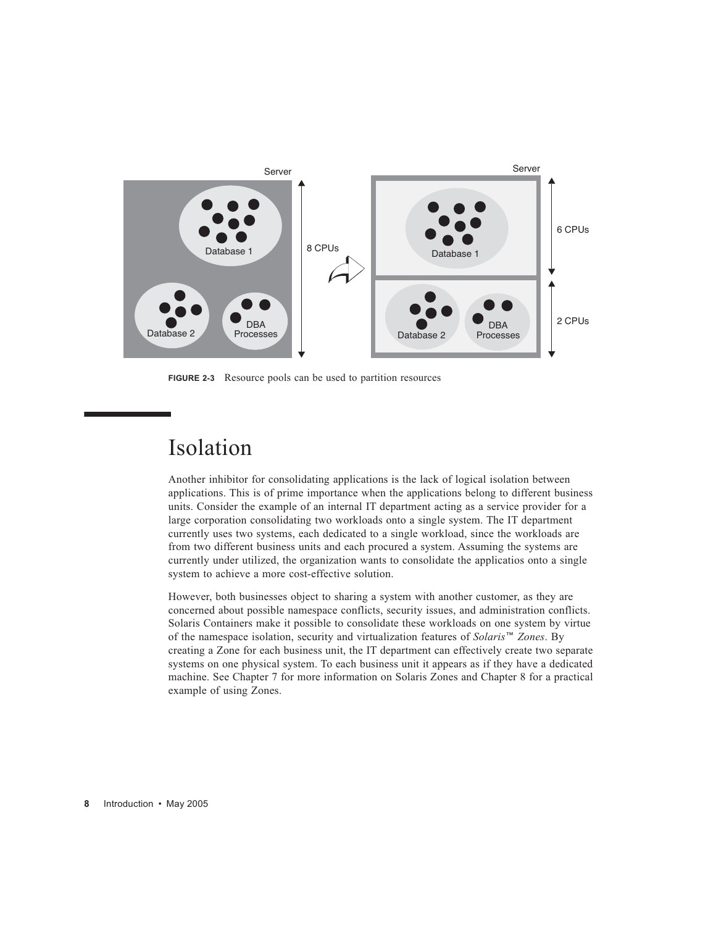

**FIGURE 2-3** Resource pools can be used to partition resources

## Isolation

Another inhibitor for consolidating applications is the lack of logical isolation between applications. This is of prime importance when the applications belong to different business units. Consider the example of an internal IT department acting as a service provider for a large corporation consolidating two workloads onto a single system. The IT department currently uses two systems, each dedicated to a single workload, since the workloads are from two different business units and each procured a system. Assuming the systems are currently under utilized, the organization wants to consolidate the applicatios onto a single system to achieve a more cost-effective solution.

However, both businesses object to sharing a system with another customer, as they are concerned about possible namespace conflicts, security issues, and administration conflicts. Solaris Containers make it possible to consolidate these workloads on one system by virtue of the namespace isolation, security and virtualization features of *Solaris*™ *Zones*. By creating a Zone for each business unit, the IT department can effectively create two separate systems on one physical system. To each business unit it appears as if they have a dedicated machine. See Chapter 7 for more information on Solaris Zones and Chapter 8 for a practical example of using Zones.

**8** Introduction • May 2005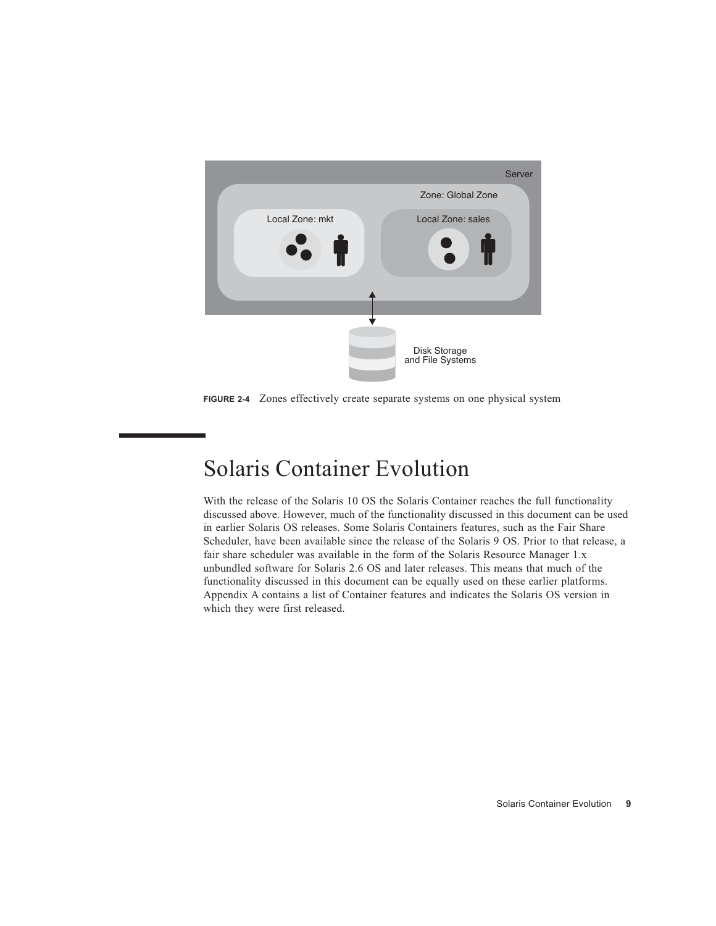

**FIGURE 2-4** Zones effectively create separate systems on one physical system

## Solaris Container Evolution

With the release of the Solaris 10 OS the Solaris Container reaches the full functionality discussed above. However, much of the functionality discussed in this document can be used in earlier Solaris OS releases. Some Solaris Containers features, such as the Fair Share Scheduler, have been available since the release of the Solaris 9 OS. Prior to that release, a fair share scheduler was available in the form of the Solaris Resource Manager 1.x unbundled software for Solaris 2.6 OS and later releases. This means that much of the functionality discussed in this document can be equally used on these earlier platforms. Appendix A contains a list of Container features and indicates the Solaris OS version in which they were first released.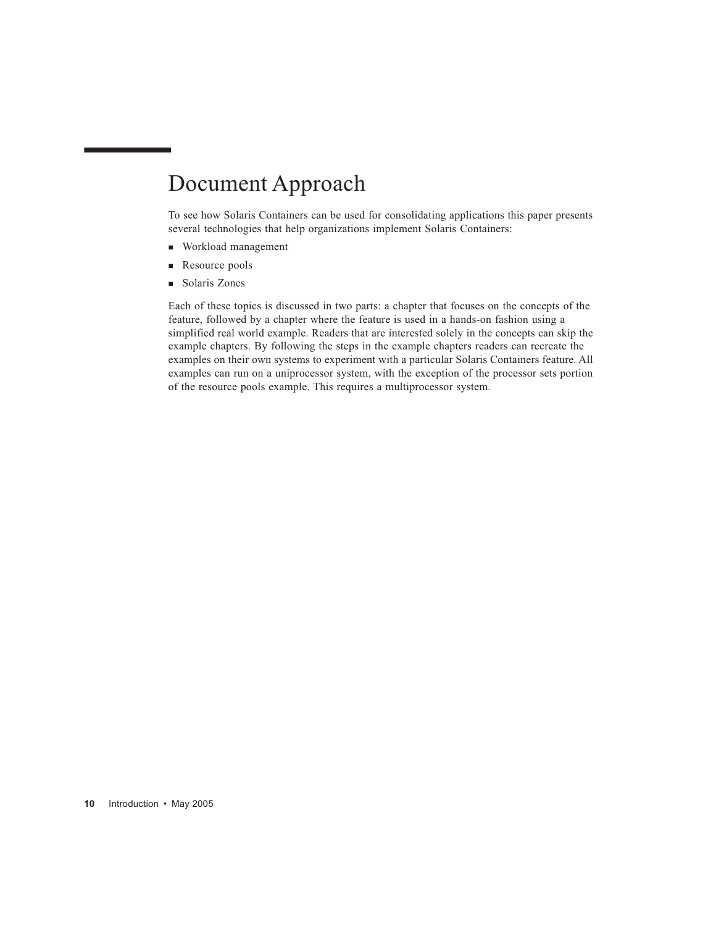## Document Approach

To see how Solaris Containers can be used for consolidating applications this paper presents several technologies that help organizations implement Solaris Containers:

- Workload management
- Resource pools
- Solaris Zones

Each of these topics is discussed in two parts: a chapter that focuses on the concepts of the feature, followed by a chapter where the feature is used in a hands-on fashion using a simplified real world example. Readers that are interested solely in the concepts can skip the example chapters. By following the steps in the example chapters readers can recreate the examples on their own systems to experiment with a particular Solaris Containers feature. All examples can run on a uniprocessor system, with the exception of the processor sets portion of the resource pools example. This requires a multiprocessor system.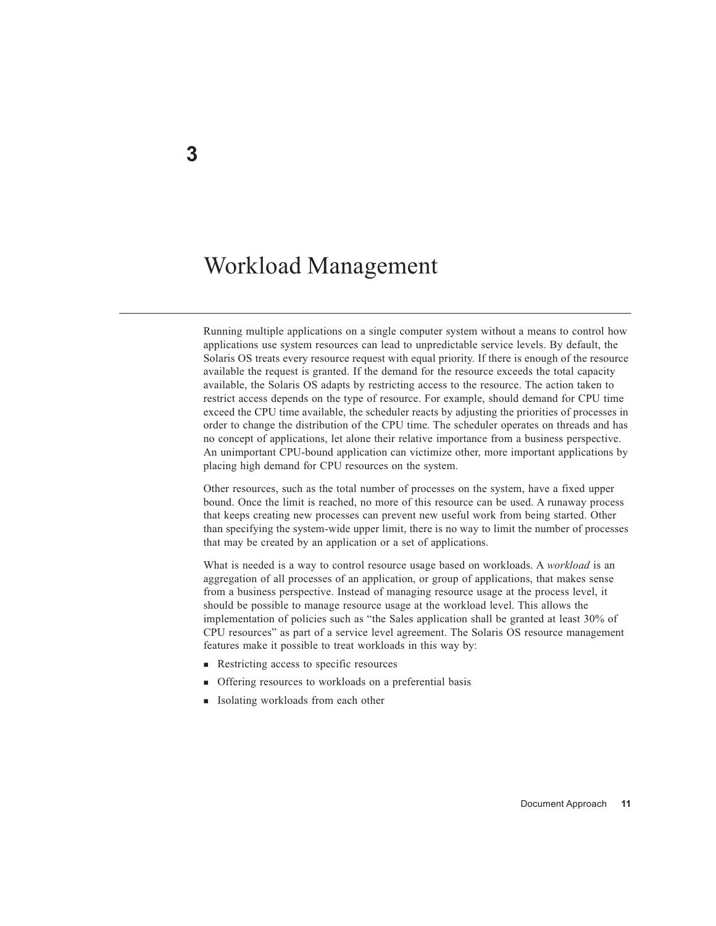## Workload Management

Running multiple applications on a single computer system without a means to control how applications use system resources can lead to unpredictable service levels. By default, the Solaris OS treats every resource request with equal priority. If there is enough of the resource available the request is granted. If the demand for the resource exceeds the total capacity available, the Solaris OS adapts by restricting access to the resource. The action taken to restrict access depends on the type of resource. For example, should demand for CPU time exceed the CPU time available, the scheduler reacts by adjusting the priorities of processes in order to change the distribution of the CPU time. The scheduler operates on threads and has no concept of applications, let alone their relative importance from a business perspective. An unimportant CPU-bound application can victimize other, more important applications by placing high demand for CPU resources on the system.

Other resources, such as the total number of processes on the system, have a fixed upper bound. Once the limit is reached, no more of this resource can be used. A runaway process that keeps creating new processes can prevent new useful work from being started. Other than specifying the system-wide upper limit, there is no way to limit the number of processes that may be created by an application or a set of applications.

What is needed is a way to control resource usage based on workloads. A *workload* is an aggregation of all processes of an application, or group of applications, that makes sense from a business perspective. Instead of managing resource usage at the process level, it should be possible to manage resource usage at the workload level. This allows the implementation of policies such as "the Sales application shall be granted at least 30% of CPU resources" as part of a service level agreement. The Solaris OS resource management features make it possible to treat workloads in this way by:

- Restricting access to specific resources
- **Offering resources to workloads on a preferential basis**
- **Isolating workloads from each other**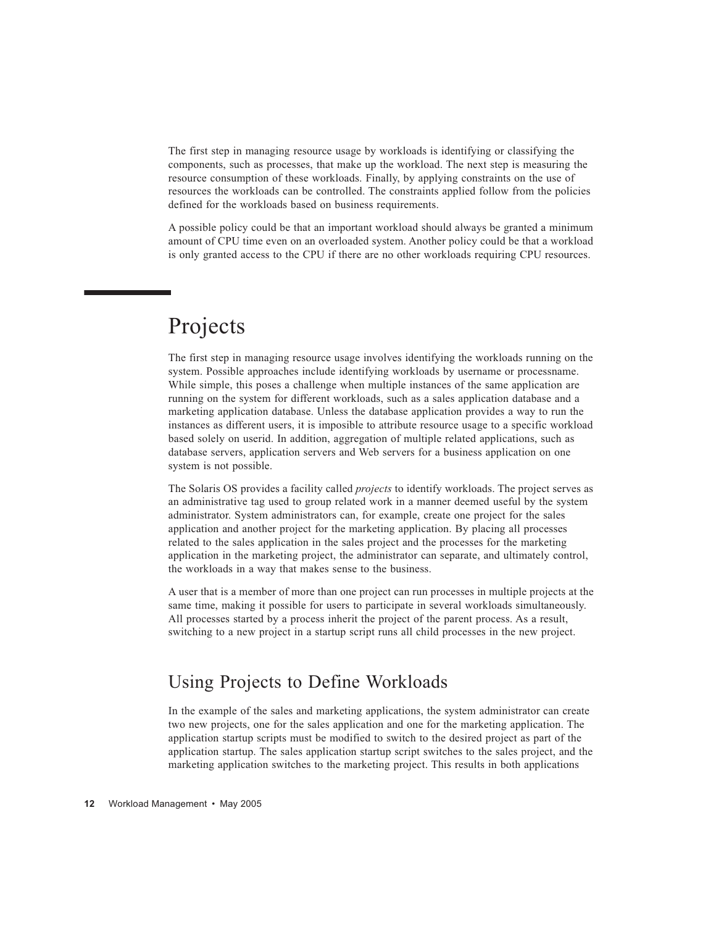The first step in managing resource usage by workloads is identifying or classifying the components, such as processes, that make up the workload. The next step is measuring the resource consumption of these workloads. Finally, by applying constraints on the use of resources the workloads can be controlled. The constraints applied follow from the policies defined for the workloads based on business requirements.

A possible policy could be that an important workload should always be granted a minimum amount of CPU time even on an overloaded system. Another policy could be that a workload is only granted access to the CPU if there are no other workloads requiring CPU resources.

## Projects

The first step in managing resource usage involves identifying the workloads running on the system. Possible approaches include identifying workloads by username or processname. While simple, this poses a challenge when multiple instances of the same application are running on the system for different workloads, such as a sales application database and a marketing application database. Unless the database application provides a way to run the instances as different users, it is imposible to attribute resource usage to a specific workload based solely on userid. In addition, aggregation of multiple related applications, such as database servers, application servers and Web servers for a business application on one system is not possible.

The Solaris OS provides a facility called *projects* to identify workloads. The project serves as an administrative tag used to group related work in a manner deemed useful by the system administrator. System administrators can, for example, create one project for the sales application and another project for the marketing application. By placing all processes related to the sales application in the sales project and the processes for the marketing application in the marketing project, the administrator can separate, and ultimately control, the workloads in a way that makes sense to the business.

A user that is a member of more than one project can run processes in multiple projects at the same time, making it possible for users to participate in several workloads simultaneously. All processes started by a process inherit the project of the parent process. As a result, switching to a new project in a startup script runs all child processes in the new project.

#### Using Projects to Define Workloads

In the example of the sales and marketing applications, the system administrator can create two new projects, one for the sales application and one for the marketing application. The application startup scripts must be modified to switch to the desired project as part of the application startup. The sales application startup script switches to the sales project, and the marketing application switches to the marketing project. This results in both applications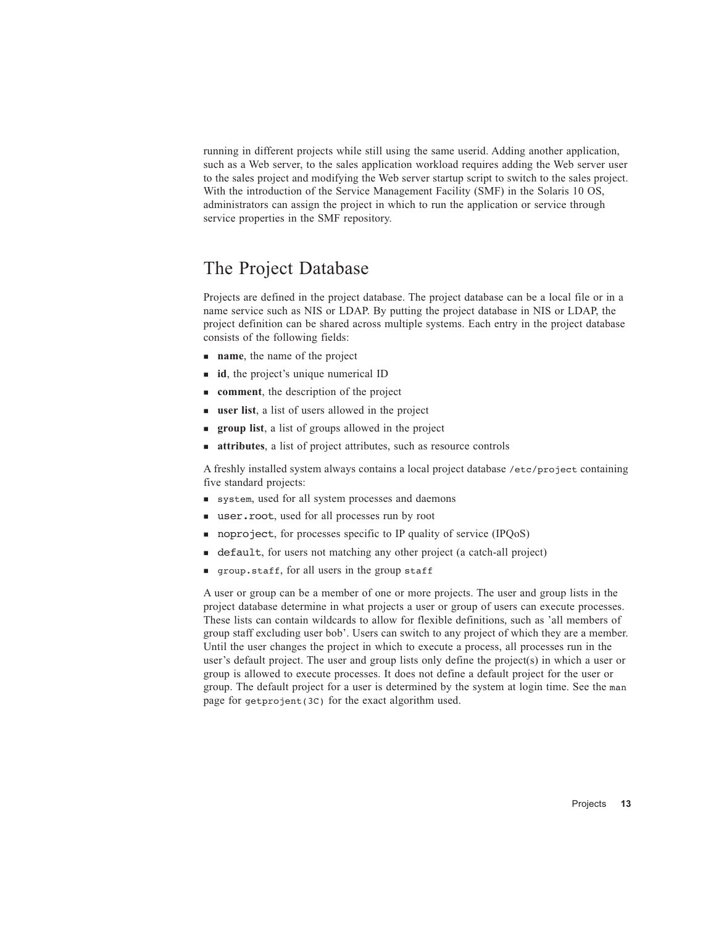running in different projects while still using the same userid. Adding another application, such as a Web server, to the sales application workload requires adding the Web server user to the sales project and modifying the Web server startup script to switch to the sales project. With the introduction of the Service Management Facility (SMF) in the Solaris 10 OS, administrators can assign the project in which to run the application or service through service properties in the SMF repository.

#### The Project Database

Projects are defined in the project database. The project database can be a local file or in a name service such as NIS or LDAP. By putting the project database in NIS or LDAP, the project definition can be shared across multiple systems. Each entry in the project database consists of the following fields:

- **name**, the name of the project
- **id**, the project's unique numerical ID
- **comment**, the description of the project
- **user list**, a list of users allowed in the project
- **group list**, a list of groups allowed in the project
- **attributes**, a list of project attributes, such as resource controls

A freshly installed system always contains a local project database /etc/project containing five standard projects:

- system, used for all system processes and daemons
- user.root, used for all processes run by root
- noproject, for processes specific to IP quality of service (IPQoS)
- default, for users not matching any other project (a catch-all project)
- group.staff, for all users in the group staff

A user or group can be a member of one or more projects. The user and group lists in the project database determine in what projects a user or group of users can execute processes. These lists can contain wildcards to allow for flexible definitions, such as 'all members of group staff excluding user bob'. Users can switch to any project of which they are a member. Until the user changes the project in which to execute a process, all processes run in the user's default project. The user and group lists only define the project(s) in which a user or group is allowed to execute processes. It does not define a default project for the user or group. The default project for a user is determined by the system at login time. See the man page for getprojent(3C) for the exact algorithm used.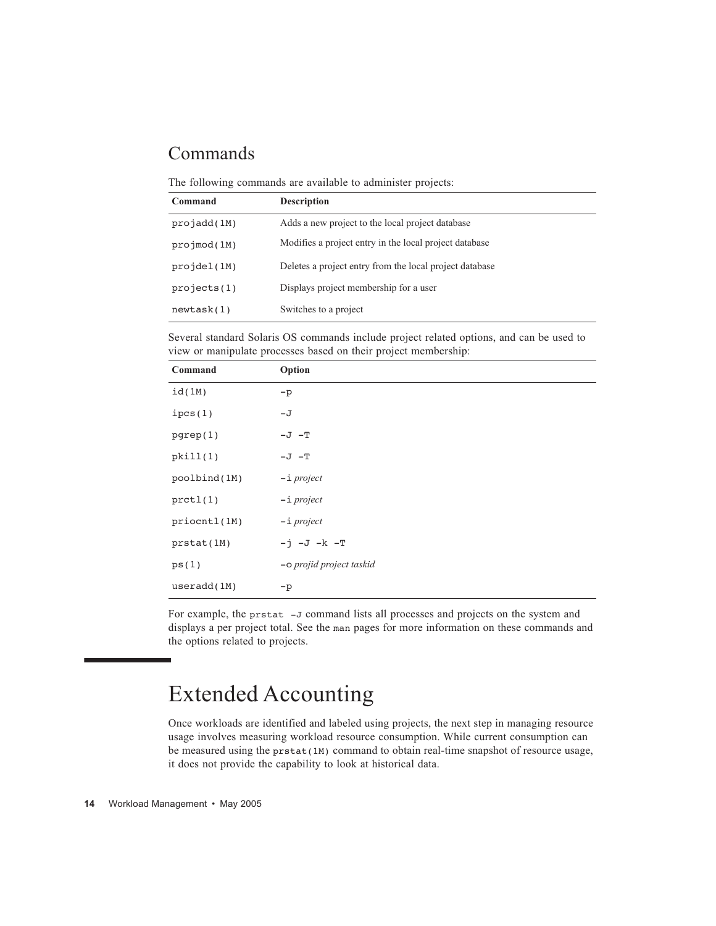#### Commands

The following commands are available to administer projects:

| Command     | <b>Description</b>                                      |
|-------------|---------------------------------------------------------|
| projadd(1M) | Adds a new project to the local project database        |
| proimod(1M) | Modifies a project entry in the local project database  |
| projdel(1M) | Deletes a project entry from the local project database |
| projects(1) | Displays project membership for a user                  |
| newtask(1)  | Switches to a project                                   |

Several standard Solaris OS commands include project related options, and can be used to view or manipulate processes based on their project membership:

| Command      | Option                   |
|--------------|--------------------------|
| id(1M)       | $-p$                     |
| ipcs(1)      | $-\mathbf{J}$            |
| pgrep(1)     | $-J$ $-T$                |
| pkill(1)     | $-J$ $-T$                |
| poolbind(1M) | $-i$ project             |
| prctl(1)     | $-i$ project             |
| priocntl(1M) | $-i$ project             |
| prstat(1M)   | $-j$ $-J$ $-k$ $-T$      |
| ps(1)        | -o projid project taskid |
| useradd(1M)  | $-p$                     |

For example, the prstat -J command lists all processes and projects on the system and displays a per project total. See the man pages for more information on these commands and the options related to projects.

## Extended Accounting

Once workloads are identified and labeled using projects, the next step in managing resource usage involves measuring workload resource consumption. While current consumption can be measured using the prstat(1M) command to obtain real-time snapshot of resource usage, it does not provide the capability to look at historical data.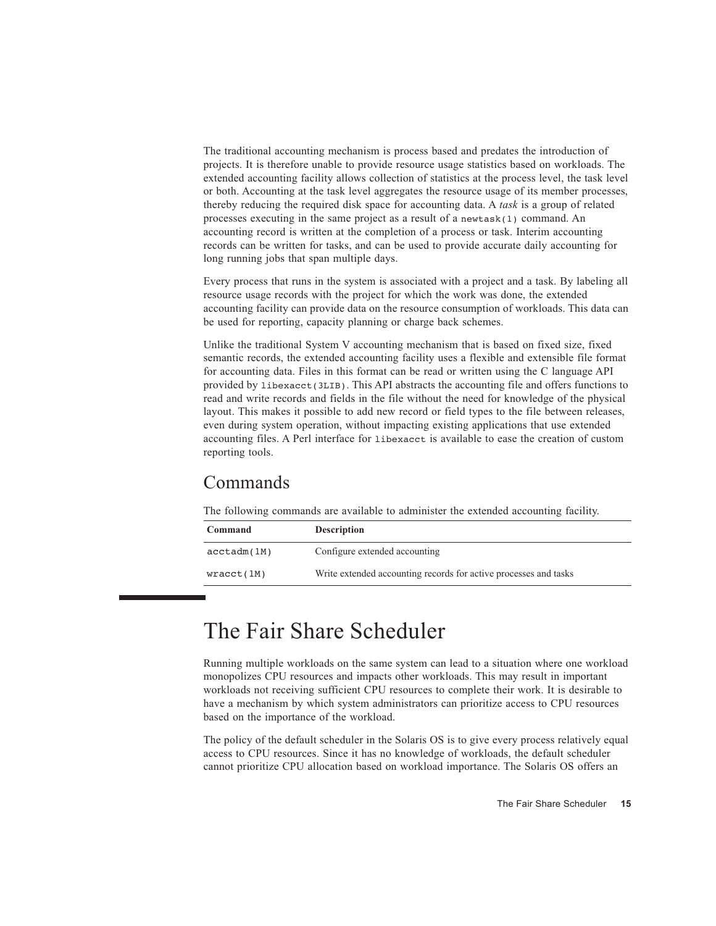The traditional accounting mechanism is process based and predates the introduction of projects. It is therefore unable to provide resource usage statistics based on workloads. The extended accounting facility allows collection of statistics at the process level, the task level or both. Accounting at the task level aggregates the resource usage of its member processes, thereby reducing the required disk space for accounting data. A *task* is a group of related processes executing in the same project as a result of a newtask(1) command. An accounting record is written at the completion of a process or task. Interim accounting records can be written for tasks, and can be used to provide accurate daily accounting for long running jobs that span multiple days.

Every process that runs in the system is associated with a project and a task. By labeling all resource usage records with the project for which the work was done, the extended accounting facility can provide data on the resource consumption of workloads. This data can be used for reporting, capacity planning or charge back schemes.

Unlike the traditional System V accounting mechanism that is based on fixed size, fixed semantic records, the extended accounting facility uses a flexible and extensible file format for accounting data. Files in this format can be read or written using the C language API provided by libexacct(3LIB). This API abstracts the accounting file and offers functions to read and write records and fields in the file without the need for knowledge of the physical layout. This makes it possible to add new record or field types to the file between releases, even during system operation, without impacting existing applications that use extended accounting files. A Perl interface for libexacct is available to ease the creation of custom reporting tools.

#### Commands

The following commands are available to administer the extended accounting facility.

| Command     | <b>Description</b>                                               |
|-------------|------------------------------------------------------------------|
| acctadm(1M) | Configure extended accounting                                    |
| wracct(1M)  | Write extended accounting records for active processes and tasks |

## The Fair Share Scheduler

Running multiple workloads on the same system can lead to a situation where one workload monopolizes CPU resources and impacts other workloads. This may result in important workloads not receiving sufficient CPU resources to complete their work. It is desirable to have a mechanism by which system administrators can prioritize access to CPU resources based on the importance of the workload.

The policy of the default scheduler in the Solaris OS is to give every process relatively equal access to CPU resources. Since it has no knowledge of workloads, the default scheduler cannot prioritize CPU allocation based on workload importance. The Solaris OS offers an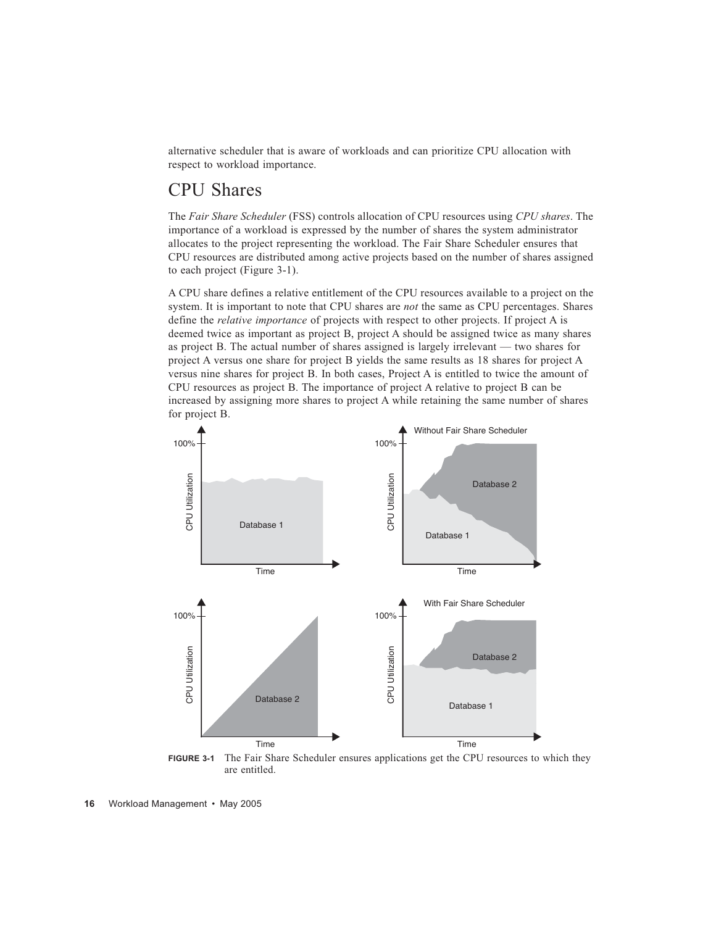alternative scheduler that is aware of workloads and can prioritize CPU allocation with respect to workload importance.

#### CPU Shares

The *Fair Share Scheduler* (FSS) controls allocation of CPU resources using *CPU shares*. The importance of a workload is expressed by the number of shares the system administrator allocates to the project representing the workload. The Fair Share Scheduler ensures that CPU resources are distributed among active projects based on the number of shares assigned to each project (Figure 3-1).

A CPU share defines a relative entitlement of the CPU resources available to a project on the system. It is important to note that CPU shares are *not* the same as CPU percentages. Shares define the *relative importance* of projects with respect to other projects. If project A is deemed twice as important as project B, project A should be assigned twice as many shares as project B. The actual number of shares assigned is largely irrelevant — two shares for project A versus one share for project B yields the same results as 18 shares for project A versus nine shares for project B. In both cases, Project A is entitled to twice the amount of CPU resources as project B. The importance of project A relative to project B can be increased by assigning more shares to project A while retaining the same number of shares for project B.



**FIGURE 3-1** The Fair Share Scheduler ensures applications get the CPU resources to which they are entitled.

**16** Workload Management • May 2005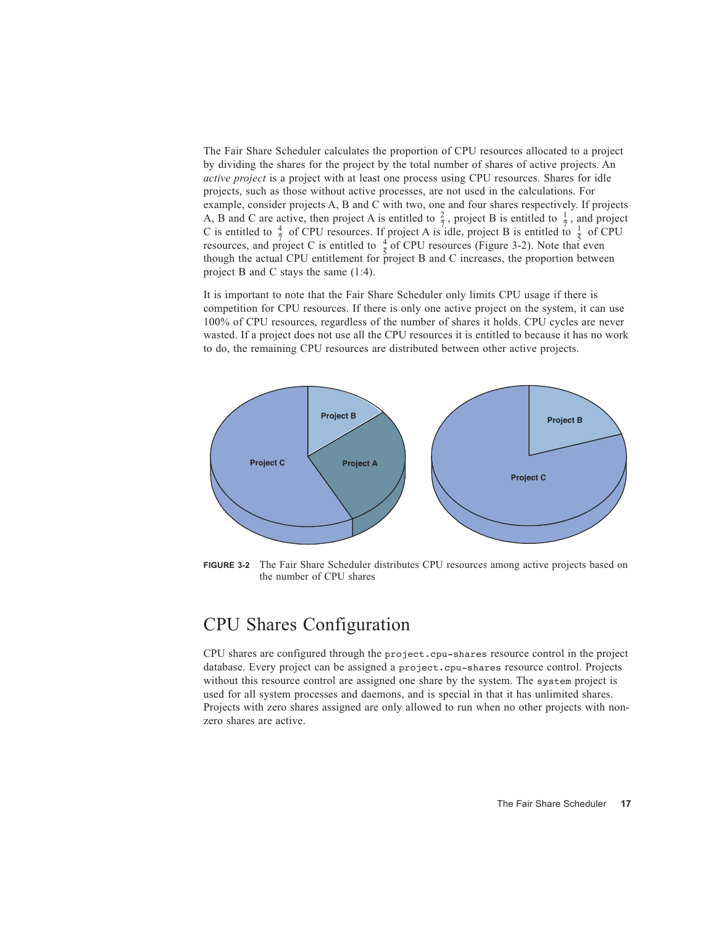The Fair Share Scheduler calculates the proportion of CPU resources allocated to a project by dividing the shares for the project by the total number of shares of active projects. An *active project* is a project with at least one process using CPU resources. Shares for idle projects, such as those without active processes, are not used in the calculations. For example, consider projects A, B and C with two, one and four shares respectively. If projects A, B and C are active, then project A is entitled to  $\frac{2}{7}$ , project B is entitled to  $\frac{1}{7}$ , and project C is entitled to  $\frac{4}{7}$  of CPU resources. If project A is idle, project B is entitled to  $\frac{1}{5}$  of CPU resources, and project C is entitled to  $\frac{4}{7}$  of CPU resources (Figure 3-2). Note that even though the actual CPU entitlement for project B and C increases, the proportion between project B and C stays the same (1:4).  $\frac{2}{7}$ , project B is entitled to  $\frac{1}{7}$  $\frac{7}{2}$  or or o resources: if project is take, project B is entitled to  $\frac{4}{5}$  of CPH resources (Figure 3.2). Note that  $\frac{1}{5}$ 

It is important to note that the Fair Share Scheduler only limits CPU usage if there is competition for CPU resources. If there is only one active project on the system, it can use 100% of CPU resources, regardless of the number of shares it holds. CPU cycles are never wasted. If a project does not use all the CPU resources it is entitled to because it has no work to do, the remaining CPU resources are distributed between other active projects.



**FIGURE 3-2** The Fair Share Scheduler distributes CPU resources among active projects based on the number of CPU shares

#### CPU Shares Configuration

CPU shares are configured through the project.cpu-shares resource control in the project database. Every project can be assigned a project.cpu-shares resource control. Projects without this resource control are assigned one share by the system. The system project is used for all system processes and daemons, and is special in that it has unlimited shares. Projects with zero shares assigned are only allowed to run when no other projects with nonzero shares are active.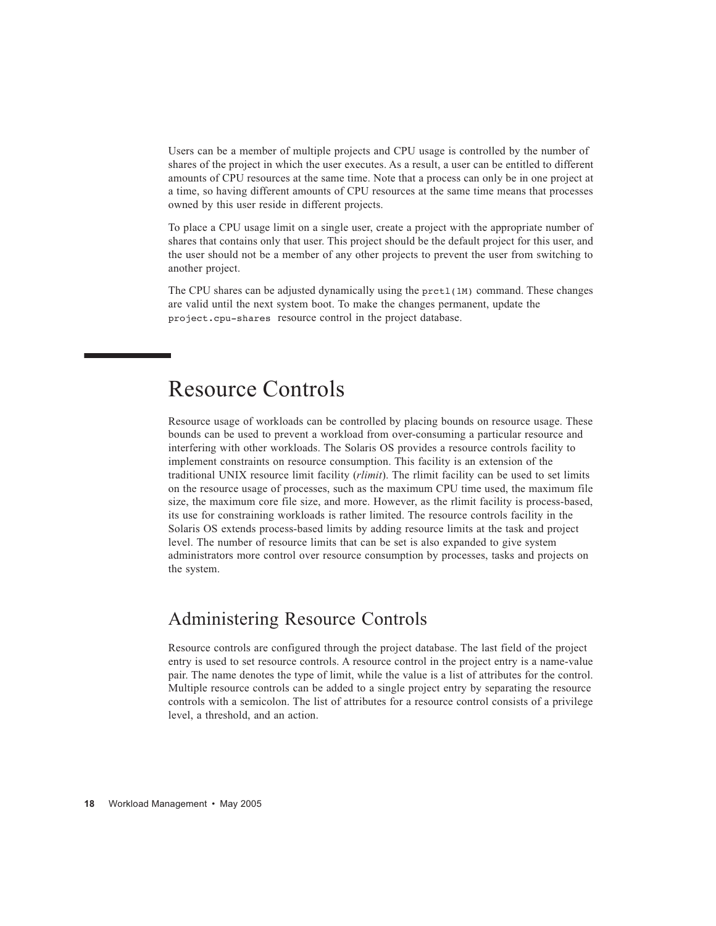Users can be a member of multiple projects and CPU usage is controlled by the number of shares of the project in which the user executes. As a result, a user can be entitled to different amounts of CPU resources at the same time. Note that a process can only be in one project at a time, so having different amounts of CPU resources at the same time means that processes owned by this user reside in different projects.

To place a CPU usage limit on a single user, create a project with the appropriate number of shares that contains only that user. This project should be the default project for this user, and the user should not be a member of any other projects to prevent the user from switching to another project.

The CPU shares can be adjusted dynamically using the prctl(1M) command. These changes are valid until the next system boot. To make the changes permanent, update the project.cpu-shares resource control in the project database.

### Resource Controls

Resource usage of workloads can be controlled by placing bounds on resource usage. These bounds can be used to prevent a workload from over-consuming a particular resource and interfering with other workloads. The Solaris OS provides a resource controls facility to implement constraints on resource consumption. This facility is an extension of the traditional UNIX resource limit facility (*rlimit*). The rlimit facility can be used to set limits on the resource usage of processes, such as the maximum CPU time used, the maximum file size, the maximum core file size, and more. However, as the rlimit facility is process-based, its use for constraining workloads is rather limited. The resource controls facility in the Solaris OS extends process-based limits by adding resource limits at the task and project level. The number of resource limits that can be set is also expanded to give system administrators more control over resource consumption by processes, tasks and projects on the system.

#### Administering Resource Controls

Resource controls are configured through the project database. The last field of the project entry is used to set resource controls. A resource control in the project entry is a name-value pair. The name denotes the type of limit, while the value is a list of attributes for the control. Multiple resource controls can be added to a single project entry by separating the resource controls with a semicolon. The list of attributes for a resource control consists of a privilege level, a threshold, and an action.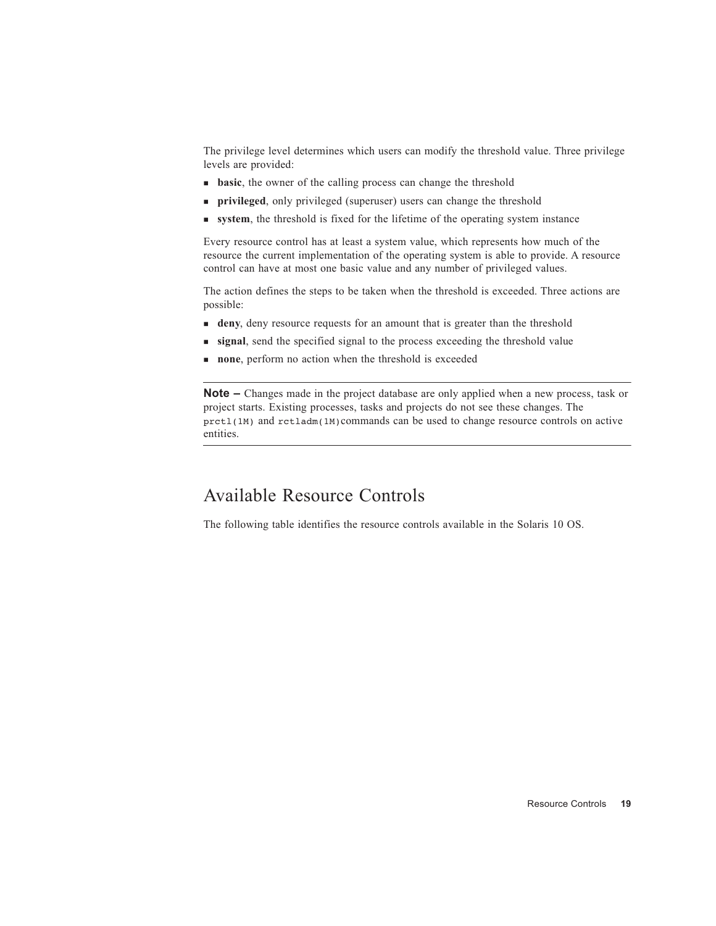The privilege level determines which users can modify the threshold value. Three privilege levels are provided:

- **basic**, the owner of the calling process can change the threshold
- **privileged**, only privileged (superuser) users can change the threshold
- **system**, the threshold is fixed for the lifetime of the operating system instance

Every resource control has at least a system value, which represents how much of the resource the current implementation of the operating system is able to provide. A resource control can have at most one basic value and any number of privileged values.

The action defines the steps to be taken when the threshold is exceeded. Three actions are possible:

- **deny**, deny resource requests for an amount that is greater than the threshold
- **signal**, send the specified signal to the process exceeding the threshold value
- **none**, perform no action when the threshold is exceeded

**Note –** Changes made in the project database are only applied when a new process, task or project starts. Existing processes, tasks and projects do not see these changes. The prctl(1M) and rctladm(1M)commands can be used to change resource controls on active entities.

#### Available Resource Controls

The following table identifies the resource controls available in the Solaris 10 OS.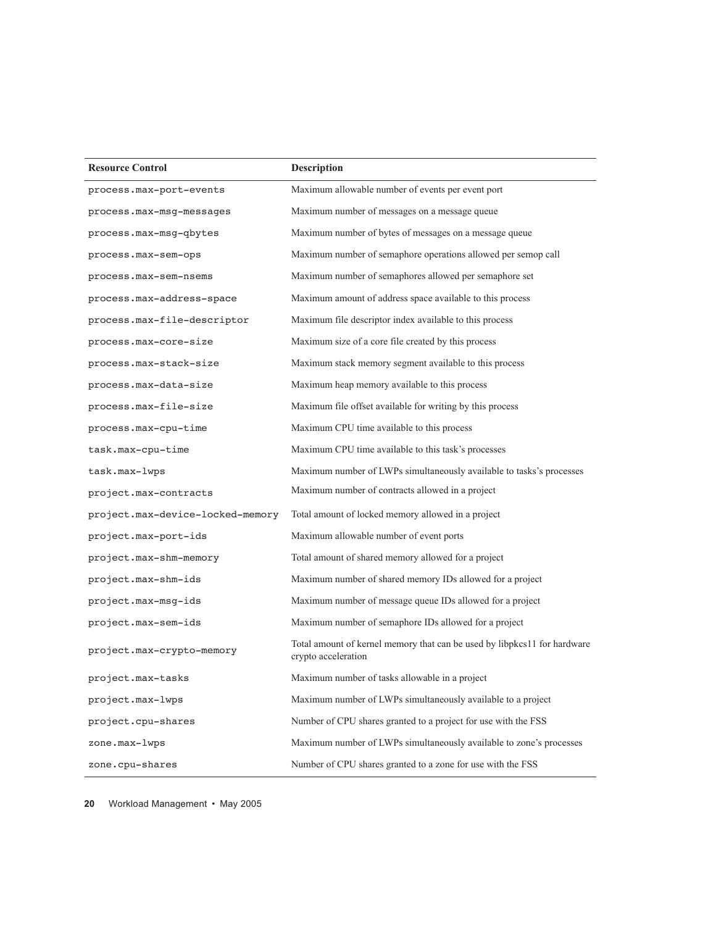| <b>Resource Control</b>          | <b>Description</b>                                                                              |  |  |  |  |
|----------------------------------|-------------------------------------------------------------------------------------------------|--|--|--|--|
| process.max-port-events          | Maximum allowable number of events per event port                                               |  |  |  |  |
| process.max-msg-messages         | Maximum number of messages on a message queue                                                   |  |  |  |  |
| process.max-msg-qbytes           | Maximum number of bytes of messages on a message queue                                          |  |  |  |  |
| process.max-sem-ops              | Maximum number of semaphore operations allowed per semop call                                   |  |  |  |  |
| process.max-sem-nsems            | Maximum number of semaphores allowed per semaphore set                                          |  |  |  |  |
| process.max-address-space        | Maximum amount of address space available to this process                                       |  |  |  |  |
| process.max-file-descriptor      | Maximum file descriptor index available to this process                                         |  |  |  |  |
| process.max-core-size            | Maximum size of a core file created by this process                                             |  |  |  |  |
| process.max-stack-size           | Maximum stack memory segment available to this process                                          |  |  |  |  |
| process.max-data-size            | Maximum heap memory available to this process                                                   |  |  |  |  |
| process.max-file-size            | Maximum file offset available for writing by this process                                       |  |  |  |  |
| process.max-cpu-time             | Maximum CPU time available to this process                                                      |  |  |  |  |
| task.max-cpu-time                | Maximum CPU time available to this task's processes                                             |  |  |  |  |
| task.max-lwps                    | Maximum number of LWPs simultaneously available to tasks's processes                            |  |  |  |  |
| project.max-contracts            | Maximum number of contracts allowed in a project                                                |  |  |  |  |
| project.max-device-locked-memory | Total amount of locked memory allowed in a project                                              |  |  |  |  |
| project.max-port-ids             | Maximum allowable number of event ports                                                         |  |  |  |  |
| project.max-shm-memory           | Total amount of shared memory allowed for a project                                             |  |  |  |  |
| project.max-shm-ids              | Maximum number of shared memory IDs allowed for a project                                       |  |  |  |  |
| project.max-msg-ids              | Maximum number of message queue IDs allowed for a project                                       |  |  |  |  |
| project.max-sem-ids              | Maximum number of semaphore IDs allowed for a project                                           |  |  |  |  |
| project.max-crypto-memory        | Total amount of kernel memory that can be used by libpkcs11 for hardware<br>crypto acceleration |  |  |  |  |
| project.max-tasks                | Maximum number of tasks allowable in a project                                                  |  |  |  |  |
| project.max-lwps                 | Maximum number of LWPs simultaneously available to a project                                    |  |  |  |  |
| project.cpu-shares               | Number of CPU shares granted to a project for use with the FSS                                  |  |  |  |  |
| zone.max-lwps                    | Maximum number of LWPs simultaneously available to zone's processes                             |  |  |  |  |
| zone.cpu-shares                  | Number of CPU shares granted to a zone for use with the FSS                                     |  |  |  |  |

**20** Workload Management • May 2005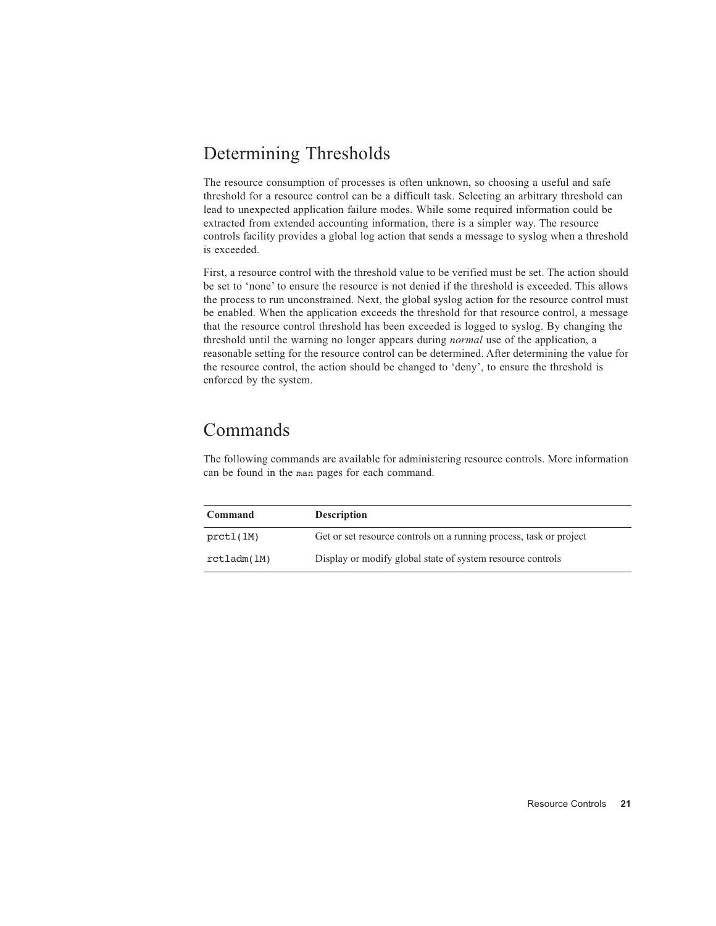### Determining Thresholds

The resource consumption of processes is often unknown, so choosing a useful and safe threshold for a resource control can be a difficult task. Selecting an arbitrary threshold can lead to unexpected application failure modes. While some required information could be extracted from extended accounting information, there is a simpler way. The resource controls facility provides a global log action that sends a message to syslog when a threshold is exceeded.

First, a resource control with the threshold value to be verified must be set. The action should be set to 'none' to ensure the resource is not denied if the threshold is exceeded. This allows the process to run unconstrained. Next, the global syslog action for the resource control must be enabled. When the application exceeds the threshold for that resource control, a message that the resource control threshold has been exceeded is logged to syslog. By changing the threshold until the warning no longer appears during *normal* use of the application, a reasonable setting for the resource control can be determined. After determining the value for the resource control, the action should be changed to 'deny', to ensure the threshold is enforced by the system.

#### Commands

The following commands are available for administering resource controls. More information can be found in the man pages for each command.

| Command     | <b>Description</b>                                                 |
|-------------|--------------------------------------------------------------------|
| prctl(1M)   | Get or set resource controls on a running process, task or project |
| rctladm(1M) | Display or modify global state of system resource controls         |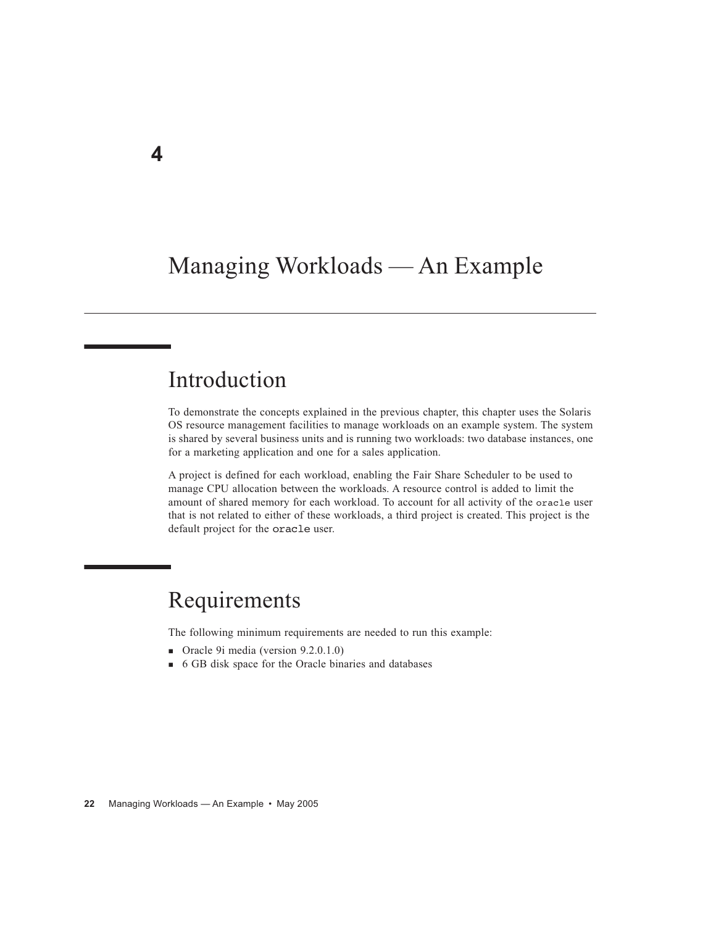## Managing Workloads — An Example

## Introduction

To demonstrate the concepts explained in the previous chapter, this chapter uses the Solaris OS resource management facilities to manage workloads on an example system. The system is shared by several business units and is running two workloads: two database instances, one for a marketing application and one for a sales application.

A project is defined for each workload, enabling the Fair Share Scheduler to be used to manage CPU allocation between the workloads. A resource control is added to limit the amount of shared memory for each workload. To account for all activity of the oracle user that is not related to either of these workloads, a third project is created. This project is the default project for the oracle user.

## Requirements

The following minimum requirements are needed to run this example:

- Oracle 9i media (version 9.2.0.1.0)
- 6 GB disk space for the Oracle binaries and databases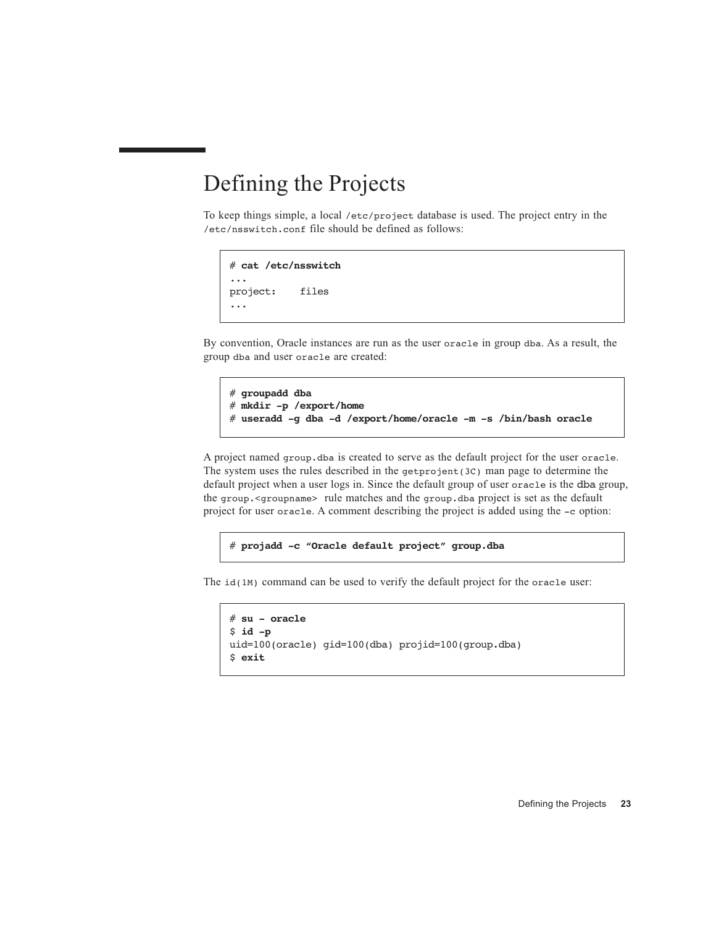## Defining the Projects

To keep things simple, a local /etc/project database is used. The project entry in the /etc/nsswitch.conf file should be defined as follows:

```
# cat /etc/nsswitch
...
project: files
...
```
By convention, Oracle instances are run as the user oracle in group dba. As a result, the group dba and user oracle are created:

```
# groupadd dba
# mkdir -p /export/home
# useradd -g dba -d /export/home/oracle -m -s /bin/bash oracle
```
A project named group.dba is created to serve as the default project for the user oracle. The system uses the rules described in the getprojent(3C) man page to determine the default project when a user logs in. Since the default group of user oracle is the dba group, the group.<groupname> rule matches and the group.dba project is set as the default project for user oracle. A comment describing the project is added using the -c option:

```
# projadd -c "Oracle default project" group.dba
```
The id(1M) command can be used to verify the default project for the oracle user:

```
# su - oracle
$ id -p 
uid=100(oracle) gid=100(dba) projid=100(group.dba)
$ exit
```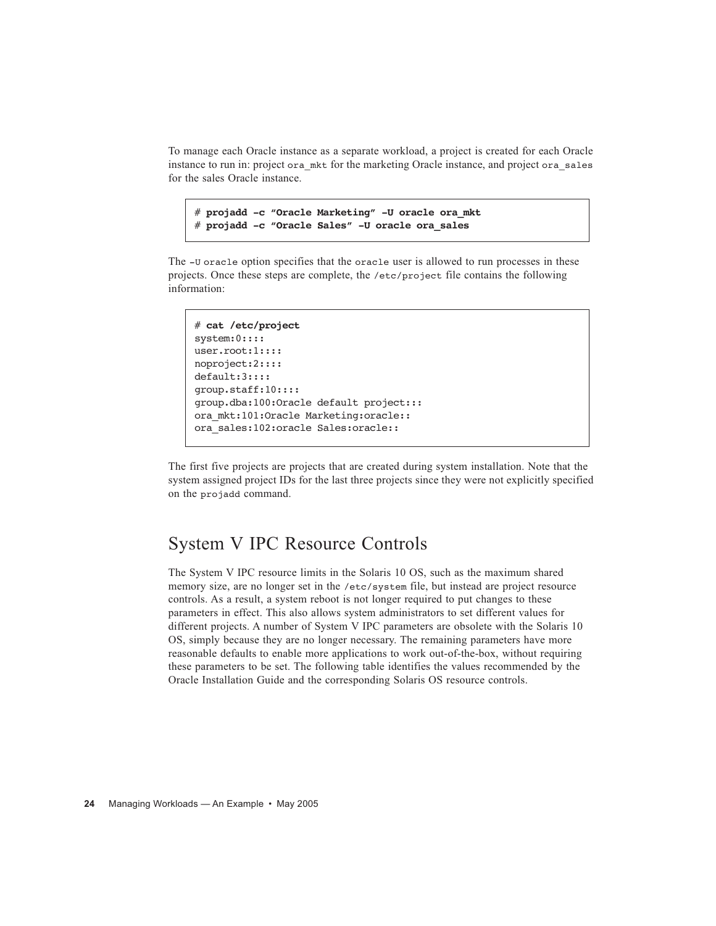To manage each Oracle instance as a separate workload, a project is created for each Oracle instance to run in: project ora\_mkt for the marketing Oracle instance, and project ora\_sales for the sales Oracle instance.

# **projadd -c "Oracle Marketing" -U oracle ora\_mkt** # **projadd -c "Oracle Sales" -U oracle ora\_sales**

The -U oracle option specifies that the oracle user is allowed to run processes in these projects. Once these steps are complete, the /etc/project file contains the following information:

```
# cat /etc/project
system:0::::
user.root:1::::
noproject:2::::
default:3::::
group.staff:10::::
group.dba:100:Oracle default project:::
ora_mkt:101:Oracle Marketing:oracle::
ora_sales:102:oracle Sales:oracle::
```
The first five projects are projects that are created during system installation. Note that the system assigned project IDs for the last three projects since they were not explicitly specified on the projadd command.

#### System V IPC Resource Controls

The System V IPC resource limits in the Solaris 10 OS, such as the maximum shared memory size, are no longer set in the /etc/system file, but instead are project resource controls. As a result, a system reboot is not longer required to put changes to these parameters in effect. This also allows system administrators to set different values for different projects. A number of System V IPC parameters are obsolete with the Solaris 10 OS, simply because they are no longer necessary. The remaining parameters have more reasonable defaults to enable more applications to work out-of-the-box, without requiring these parameters to be set. The following table identifies the values recommended by the Oracle Installation Guide and the corresponding Solaris OS resource controls.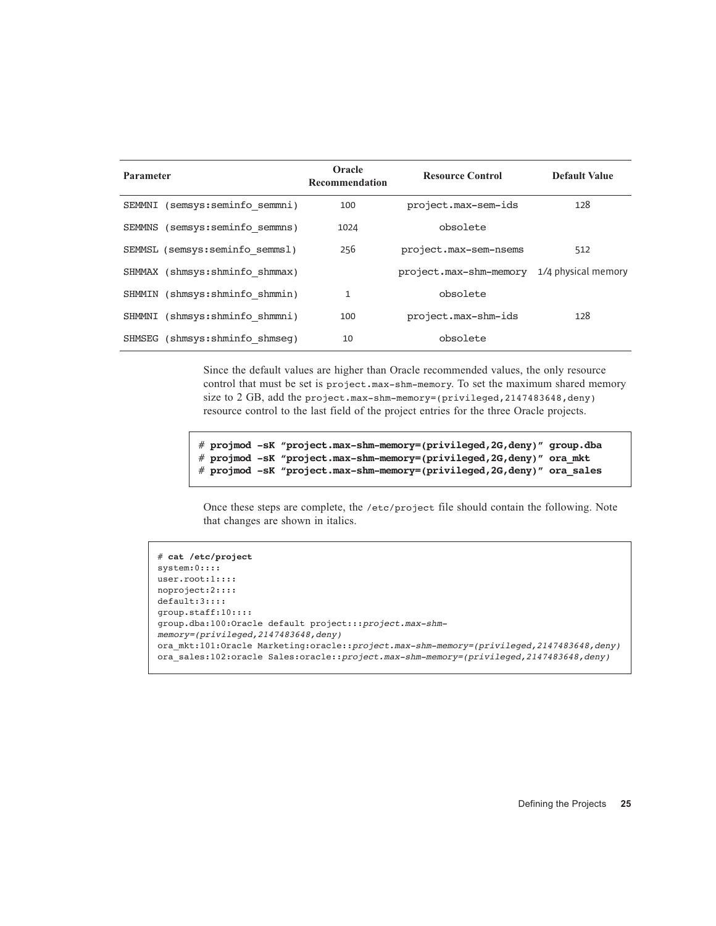| Parameter |                                 | Oracle<br>Recommendation | <b>Resource Control</b> | <b>Default Value</b> |
|-----------|---------------------------------|--------------------------|-------------------------|----------------------|
| SEMMNI    | (semsys: seminfo semmni)        | 100                      | project.max-sem-ids     | 128                  |
|           | SEMMNS (semsys: seminfo semmns) | 1024                     | obsolete                |                      |
|           | SEMMSL (semsys:seminfo semmsl)  | 256                      | project.max-sem-nsems   | 512                  |
|           | SHMMAX (shmsys: shminfo shmmax) |                          | project.max-shm-memory  | 1/4 physical memory  |
|           | SHMMIN (shmsys: shminfo shmmin) | $\mathbf{1}$             | obsolete                |                      |
|           | SHMMNI (shmsys: shminfo shmmni) | 100                      | project.max-shm-ids     | 128                  |
|           | SHMSEG (shmsys: shminfo shmseq) | 10                       | obsolete                |                      |

Since the default values are higher than Oracle recommended values, the only resource control that must be set is project.max-shm-memory. To set the maximum shared memory size to 2 GB, add the project.max-shm-memory=(privileged, 2147483648, deny) resource control to the last field of the project entries for the three Oracle projects.

```
# projmod -sK "project.max-shm-memory=(privileged,2G,deny)" group.dba
# projmod -sK "project.max-shm-memory=(privileged,2G,deny)" ora_mkt
# projmod -sK "project.max-shm-memory=(privileged,2G,deny)" ora_sales
```
Once these steps are complete, the /etc/project file should contain the following. Note that changes are shown in italics.

```
# cat /etc/project
system:0::::
user.root:1::::
noproject:2::::
default:3::::
group.staff:10::::
group.dba:100:Oracle default project:::project.max-shm-
memory=(privileged,2147483648,deny)
ora_mkt:101:Oracle Marketing:oracle::project.max-shm-memory=(privileged,2147483648,deny)
ora_sales:102:oracle Sales:oracle::project.max-shm-memory=(privileged,2147483648,deny)
```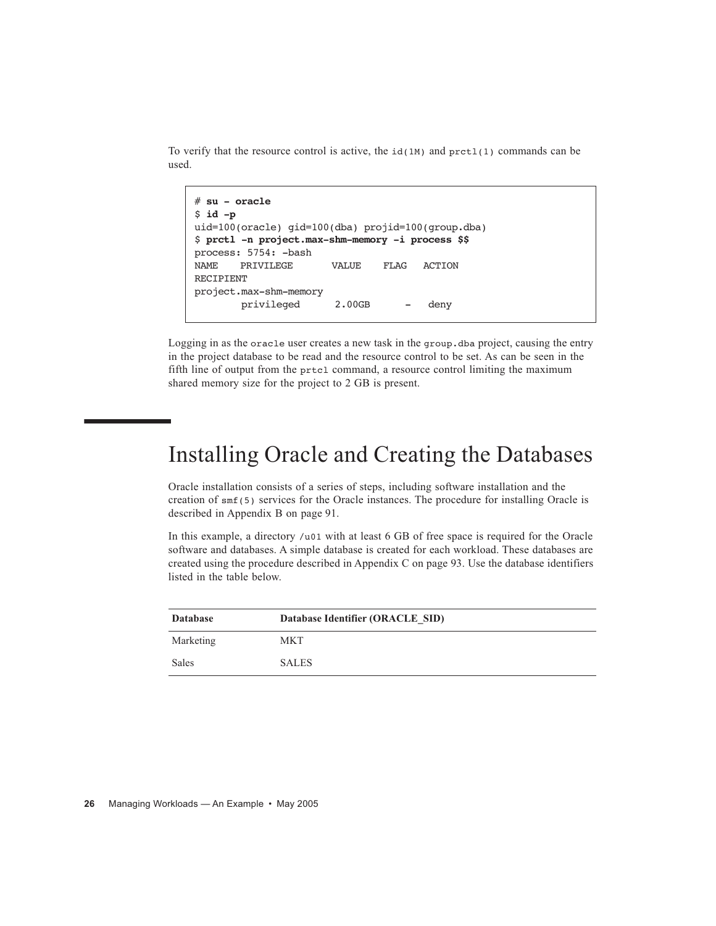To verify that the resource control is active, the  $id(1M)$  and  $pret(1)$  commands can be used.

```
# su - oracle
$ id -p
uid=100(oracle) gid=100(dba) projid=100(group.dba)
$ prctl -n project.max-shm-memory -i process $$
process: 5754: -bash
NAME PRIVILEGE VALUE FLAG ACTION 
RECIPIENT
project.max-shm-memory
        privileged 2.00GB - deny
```
Logging in as the oracle user creates a new task in the group.dba project, causing the entry in the project database to be read and the resource control to be set. As can be seen in the fifth line of output from the prtcl command, a resource control limiting the maximum shared memory size for the project to 2 GB is present.

## Installing Oracle and Creating the Databases

Oracle installation consists of a series of steps, including software installation and the creation of smf(5) services for the Oracle instances. The procedure for installing Oracle is described in Appendix B on page 91.

In this example, a directory /u01 with at least 6 GB of free space is required for the Oracle software and databases. A simple database is created for each workload. These databases are created using the procedure described in Appendix C on page 93. Use the database identifiers listed in the table below.

| <b>Database</b> | Database Identifier (ORACLE SID) |
|-----------------|----------------------------------|
| Marketing       | <b>MKT</b>                       |
| Sales           | <b>SALES</b>                     |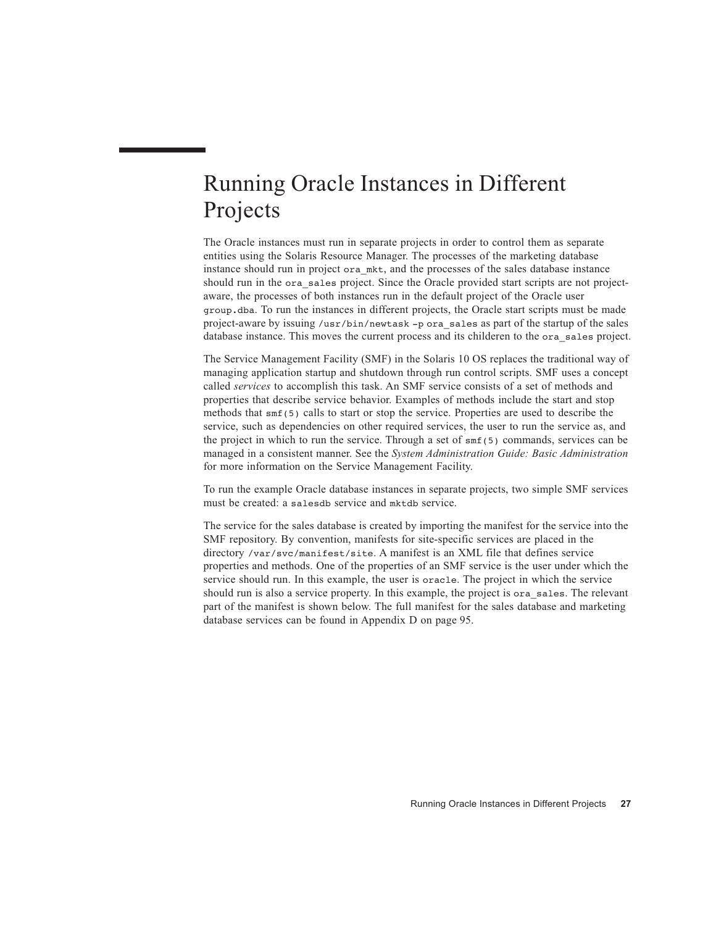## Running Oracle Instances in Different Projects

The Oracle instances must run in separate projects in order to control them as separate entities using the Solaris Resource Manager. The processes of the marketing database instance should run in project ora\_mkt, and the processes of the sales database instance should run in the ora\_sales project. Since the Oracle provided start scripts are not projectaware, the processes of both instances run in the default project of the Oracle user group.dba. To run the instances in different projects, the Oracle start scripts must be made project-aware by issuing /usr/bin/newtask -p ora\_sales as part of the startup of the sales database instance. This moves the current process and its childeren to the ora\_sales project.

The Service Management Facility (SMF) in the Solaris 10 OS replaces the traditional way of managing application startup and shutdown through run control scripts. SMF uses a concept called *services* to accomplish this task. An SMF service consists of a set of methods and properties that describe service behavior. Examples of methods include the start and stop methods that  $\text{smf}(5)$  calls to start or stop the service. Properties are used to describe the service, such as dependencies on other required services, the user to run the service as, and the project in which to run the service. Through a set of smf(5) commands, services can be managed in a consistent manner. See the *System Administration Guide: Basic Administration* for more information on the Service Management Facility.

To run the example Oracle database instances in separate projects, two simple SMF services must be created: a salesdb service and mktdb service.

The service for the sales database is created by importing the manifest for the service into the SMF repository. By convention, manifests for site-specific services are placed in the directory /var/svc/manifest/site. A manifest is an XML file that defines service properties and methods. One of the properties of an SMF service is the user under which the service should run. In this example, the user is oracle. The project in which the service should run is also a service property. In this example, the project is ora\_sales. The relevant part of the manifest is shown below. The full manifest for the sales database and marketing database services can be found in Appendix D on page 95.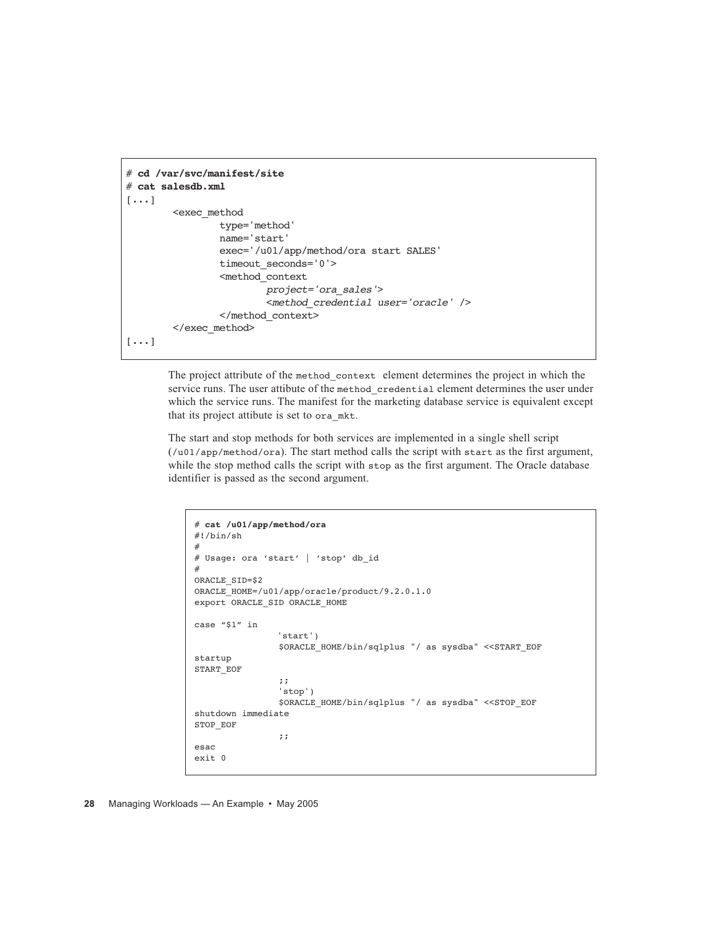```
# cd /var/svc/manifest/site
# cat salesdb.xml
[...]
         <exec_method
                  type='method'
                  name='start'
                  exec='/u01/app/method/ora start SALES'
                  timeout_seconds='0'>
                  <method_context
                          project='ora_sales'>
                          <method_credential user='oracle' />
                  </method_context>
        </exec_method>
[...]
```
The project attribute of the method\_context element determines the project in which the service runs. The user attibute of the method\_credential element determines the user under which the service runs. The manifest for the marketing database service is equivalent except that its project attibute is set to ora\_mkt.

The start and stop methods for both services are implemented in a single shell script (/u01/app/method/ora). The start method calls the script with start as the first argument, while the stop method calls the script with stop as the first argument. The Oracle database identifier is passed as the second argument.

```
# cat /u01/app/method/ora
#!/bin/sh
#
# Usage: ora 'start' | 'stop' db_id
#
ORACLE_SID=$2
ORACLE_HOME=/u01/app/oracle/product/9.2.0.1.0
export ORACLE_SID ORACLE_HOME
case "$1" in
                'start')
                  $ORACLE_HOME/bin/sqlplus "/ as sysdba" <<START_EOF
startup
START_EOF
                  ;;
                 'stop')
                  $ORACLE_HOME/bin/sqlplus "/ as sysdba" <<STOP_EOF
shutdown immediate
STOP_EOF
                 ;;
esac
e^{x}it 0
```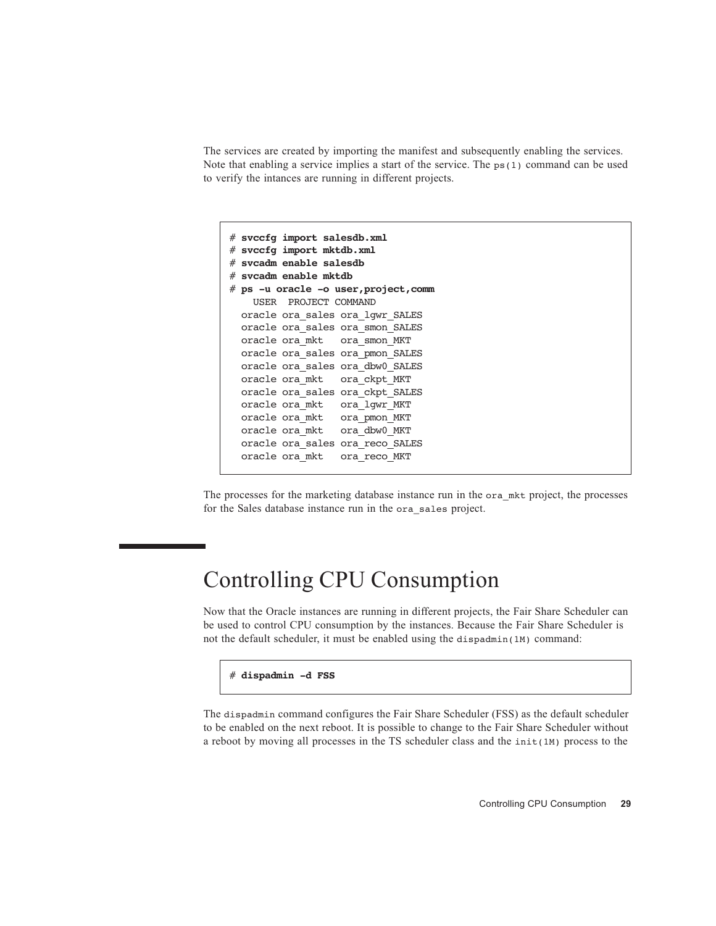The services are created by importing the manifest and subsequently enabling the services. Note that enabling a service implies a start of the service. The  $ps(1)$  command can be used to verify the intances are running in different projects.

```
# svccfg import salesdb.xml
# svccfg import mktdb.xml
# svcadm enable salesdb
# svcadm enable mktdb
# ps -u oracle -o user,project,comm
    USER PROJECT COMMAND
  oracle ora_sales ora_lgwr_SALES
  oracle ora_sales ora_smon_SALES
  oracle ora_mkt ora_smon_MKT
  oracle ora_sales ora_pmon_SALES
  oracle ora_sales ora_dbw0_SALES
  oracle ora_mkt ora_ckpt_MKT
  oracle ora_sales ora_ckpt_SALES
  oracle ora_mkt ora_lgwr_MKT
  oracle ora_mkt ora_pmon_MKT
  oracle ora_mkt ora_dbw0_MKT
  oracle ora_sales ora_reco_SALES
   oracle ora_mkt ora_reco_MKT
```
The processes for the marketing database instance run in the ora\_mkt project, the processes for the Sales database instance run in the ora\_sales project.

## Controlling CPU Consumption

Now that the Oracle instances are running in different projects, the Fair Share Scheduler can be used to control CPU consumption by the instances. Because the Fair Share Scheduler is not the default scheduler, it must be enabled using the dispadmin(1M) command:

# **dispadmin -d FSS**

The dispadmin command configures the Fair Share Scheduler (FSS) as the default scheduler to be enabled on the next reboot. It is possible to change to the Fair Share Scheduler without a reboot by moving all processes in the TS scheduler class and the  $init(1M)$  process to the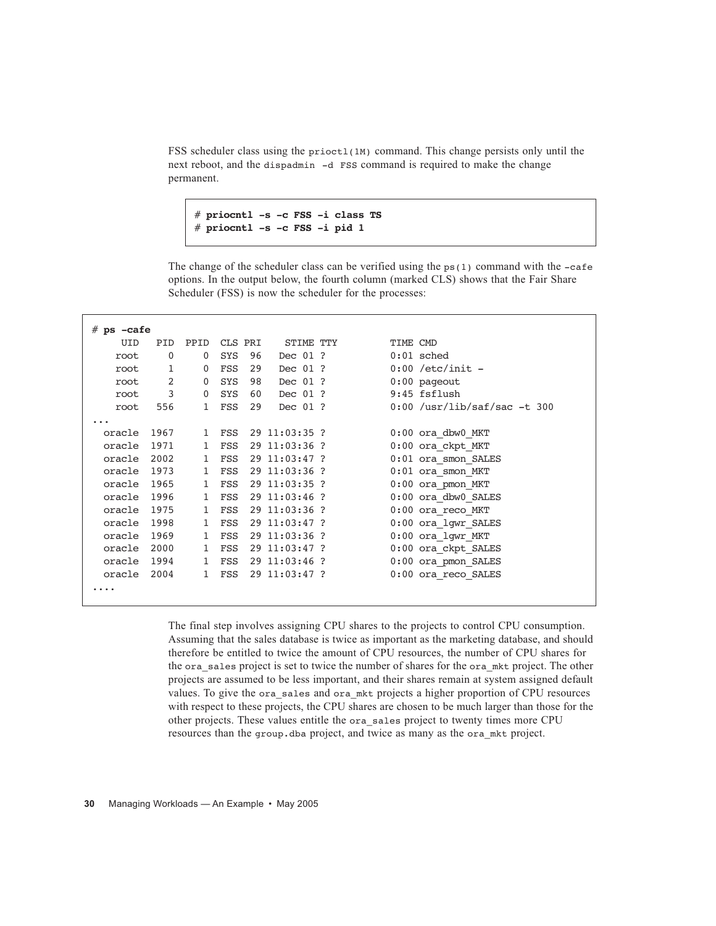FSS scheduler class using the prioct1(1M) command. This change persists only until the next reboot, and the dispadmin -d FSS command is required to make the change permanent.

```
# priocntl -s -c FSS -i class TS
# priocntl -s -c FSS -i pid 1
```
The change of the scheduler class can be verified using the  $ps(1)$  command with the  $-cafe$ options. In the output below, the fourth column (marked CLS) shows that the Fair Share Scheduler (FSS) is now the scheduler for the processes:

| $#$ ps $-cafe$ |              |              |         |    |                 |                                |
|----------------|--------------|--------------|---------|----|-----------------|--------------------------------|
| UID            | <b>PID</b>   | PPID         | CLS PRI |    | STIME TTY       | TIME CMD                       |
| root           | 0            | 0            | SYS     | 96 | Dec 01 ?        | $0:01$ sched                   |
| root           | $\mathbf{1}$ | 0            | FSS     | 29 | Dec 01 ?        | $0:00$ /etc/init -             |
| root           | 2            | 0            | SYS     | 98 | Dec 01 ?        | $0:00$ pageout                 |
| root           | 3            | 0            | SYS     | 60 | Dec 01 ?        | 9:45 fsflush                   |
| root           | 556          | $\mathbf{1}$ | FSS     | 29 | Dec 01 ?        | $0:00$ /usr/lib/saf/sac -t 300 |
|                |              |              |         |    |                 |                                |
| oracle         | 1967         | $\mathbf{1}$ | FSS     |    | $29$ 11:03:35 ? | $0:00$ ora dbw $0$ MKT         |
| oracle         | 1971         | 1            | FSS     |    | 29 11:03:36 ?   | 0:00 ora ckpt MKT              |
| oracle 2002    |              | $\mathbf{1}$ | FSS     |    | 29 11:03:47 ?   | 0:01 ora smon SALES            |
| oracle 1973    |              | $\mathbf{1}$ | FSS     |    | 29 11:03:36 ?   | 0:01 ora smon MKT              |
| oracle 1965    |              | $\mathbf{1}$ | FSS     |    | 29 11:03:35 ?   | $0:00$ ora pmon MKT            |
| oracle 1996    |              | $\mathbf{1}$ | FSS     |    | 29 11:03:46 ?   | 0:00 ora dbw0 SALES            |
| oracle 1975    |              | $\mathbf{1}$ | FSS     |    | 29 11:03:36 ?   | $0:00$ ora reco MKT            |
| oracle 1998    |              | $\mathbf{1}$ | FSS     |    | 29 11:03:47 ?   | 0:00 ora lgwr SALES            |
| oracle         | 1969         | 1            | FSS     |    | 29 11:03:36 ?   | $0:00$ ora $1$ gwr MKT         |
| oracle 2000    |              | $\mathbf{1}$ | FSS     |    | 29 11:03:47 ?   | 0:00 ora ckpt SALES            |
| oracle 1994    |              | 1            | FSS     |    | 29 11:03:46 ?   | 0:00 ora pmon SALES            |
| oracle 2004    |              | $\mathbf{1}$ | FSS     |    | 29 11:03:47 ?   | $0:00$ ora reco SALES          |
|                |              |              |         |    |                 |                                |

The final step involves assigning CPU shares to the projects to control CPU consumption. Assuming that the sales database is twice as important as the marketing database, and should therefore be entitled to twice the amount of CPU resources, the number of CPU shares for the ora\_sales project is set to twice the number of shares for the ora\_mkt project. The other projects are assumed to be less important, and their shares remain at system assigned default values. To give the ora\_sales and ora\_mkt projects a higher proportion of CPU resources with respect to these projects, the CPU shares are chosen to be much larger than those for the other projects. These values entitle the ora\_sales project to twenty times more CPU resources than the group.dba project, and twice as many as the ora\_mkt project.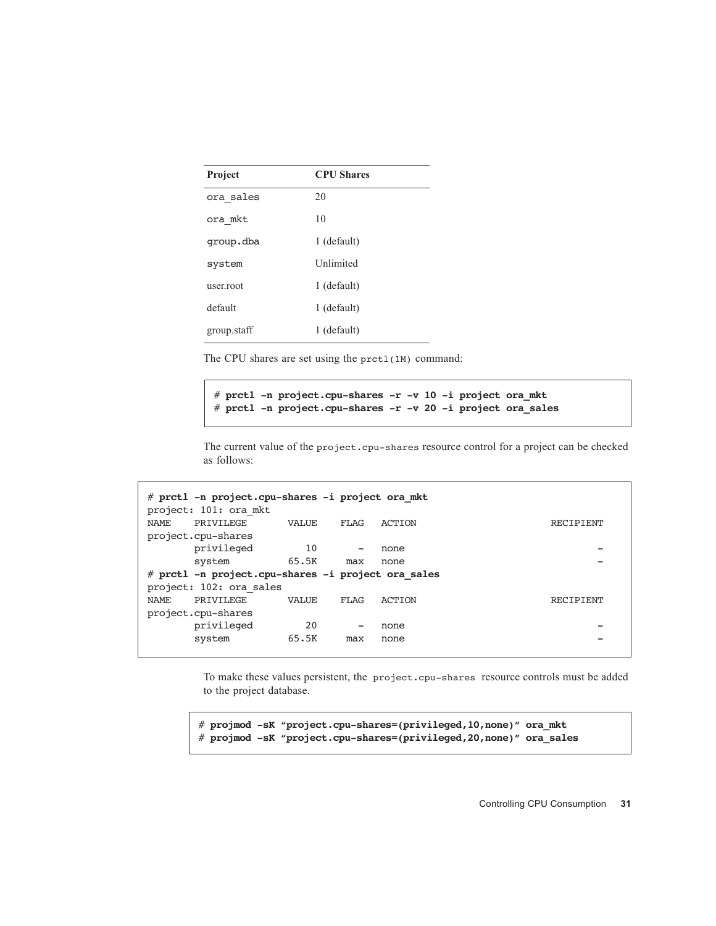| Project     | <b>CPU</b> Shares |  |  |  |
|-------------|-------------------|--|--|--|
| ora sales   | 20                |  |  |  |
| ora mkt     | 10                |  |  |  |
| qroup.dba   | 1 (default)       |  |  |  |
| system      | <b>Unlimited</b>  |  |  |  |
| user.root   | 1 (default)       |  |  |  |
| default     | 1 (default)       |  |  |  |
| group.staff | 1 (default)       |  |  |  |

The CPU shares are set using the prctl(1M) command:

# **prctl -n project.cpu-shares -r -v 10 -i project ora\_mkt**  # **prctl -n project.cpu-shares -r -v 20 -i project ora\_sales**

The current value of the project.cpu-shares resource control for a project can be checked as follows:

|       | # prctl -n project.cpu-shares -i project ora mkt<br>project: 101: ora mkt |              |                          |        |                  |
|-------|---------------------------------------------------------------------------|--------------|--------------------------|--------|------------------|
| NAMF. | PRTVTLEGE                                                                 | VALUE        | FLAG                     | ACTION | <b>RECTPTENT</b> |
|       | project.cpu-shares                                                        |              |                          |        |                  |
|       | privileged                                                                | 10           | $\overline{\phantom{0}}$ | none   |                  |
|       | system                                                                    | 65.5K        | max                      | none   |                  |
|       |                                                                           |              |                          |        |                  |
|       | # prctl -n project.cpu-shares -i project ora sales                        |              |                          |        |                  |
|       | project: 102: ora sales                                                   |              |                          |        |                  |
| NAMF. | PRTVTLEGE                                                                 | <b>VALUE</b> | FLAG                     | ACTION | RECIPIENT        |
|       | project.cpu-shares                                                        |              |                          |        |                  |
|       | privileged                                                                | 20           | $\overline{\phantom{0}}$ | none   |                  |
|       | system                                                                    | 65.5K        | max                      | none   |                  |

To make these values persistent, the project.cpu-shares resource controls must be added to the project database.

```
# projmod -sK "project.cpu-shares=(privileged,10,none)" ora_mkt
# projmod -sK "project.cpu-shares=(privileged,20,none)" ora_sales
```
Controlling CPU Consumption **31**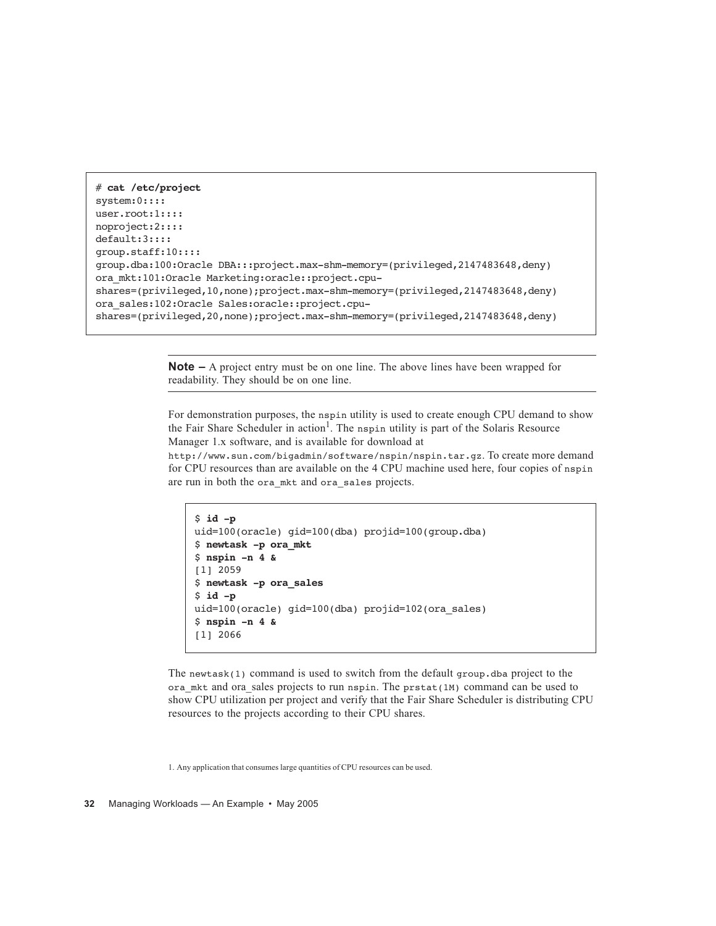```
# cat /etc/project
system:0::::
user.root:1::::
noproject:2::::
default:3::::
group.staff:10::::
group.dba:100:Oracle DBA:::project.max-shm-memory=(privileged,2147483648,deny)
ora_mkt:101:Oracle Marketing:oracle::project.cpu-
shares=(privileged,10,none);project.max-shm-memory=(privileged,2147483648,deny)
ora_sales:102:Oracle Sales:oracle::project.cpu-
shares=(privileged,20,none);project.max-shm-memory=(privileged,2147483648,deny)
```
**Note –** A project entry must be on one line. The above lines have been wrapped for readability. They should be on one line.

For demonstration purposes, the nspin utility is used to create enough CPU demand to show the Fair Share Scheduler in action<sup>1</sup>. The nspin utility is part of the Solaris Resource Manager 1.x software, and is available for download at

http://www.sun.com/bigadmin/software/nspin/nspin.tar.gz. To create more demand for CPU resources than are available on the 4 CPU machine used here, four copies of nspin are run in both the ora\_mkt and ora\_sales projects.

```
$ id -p
uid=100(oracle) gid=100(dba) projid=100(group.dba)
$ newtask -p ora_mkt
$ nspin -n 4 &
[1] 2059
$ newtask -p ora_sales
$ id -p
uid=100(oracle) gid=100(dba) projid=102(ora sales)
$ nspin -n 4 &
[1] 2066
```
The newtask(1) command is used to switch from the default group. dba project to the ora\_mkt and ora\_sales projects to run nspin. The prstat(1M) command can be used to show CPU utilization per project and verify that the Fair Share Scheduler is distributing CPU resources to the projects according to their CPU shares.

1. Any application that consumes large quantities of CPU resources can be used.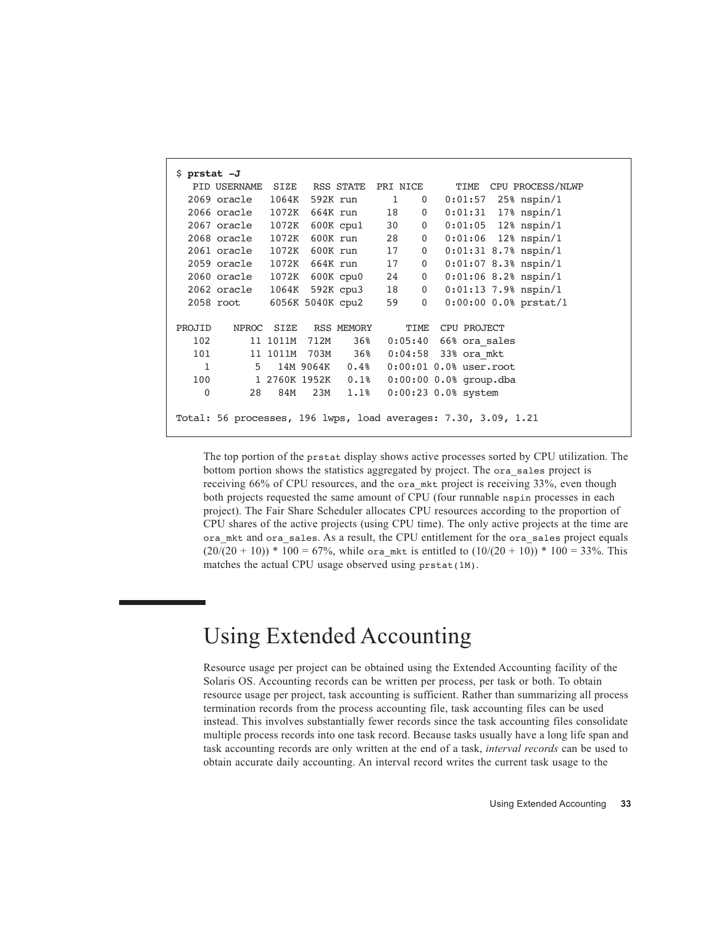| $$$ prstat $-J$ |                             |                  |      |                    |          |                |                                                                |
|-----------------|-----------------------------|------------------|------|--------------------|----------|----------------|----------------------------------------------------------------|
|                 | PID USERNAME                | SIZE             |      | RSS STATE          | PRI NICE |                | CPU PROCESS/NLWP<br>TIME                                       |
|                 | 2069 oracle                 | $1064\mathrm{K}$ |      | 592K run           | 1        | $\mathbf{0}$   | $25%$ nspin/1<br>0:01:57                                       |
|                 | 2066 oracle 1072K           |                  |      | 664K run           | 18       | $\mathbf{0}$   | $0:01:31$ 17% nspin/1                                          |
|                 | 2067 oracle                 | 1072K            |      | 600K cpul          | 30       | $\overline{0}$ | $0:01:05$ 12% nspin/1                                          |
|                 | 2068 oracle                 | 1072K            |      | 600K run           | 28       | $\overline{0}$ | $0:01:06$ 12% nspin/1                                          |
|                 | 2061 oracle 1072K           |                  |      | 600K run           | 17       | $\mathbf{0}$   | $0:01:31$ 8.7% nspin/1                                         |
|                 | 2059 oracle                 | 1072K            |      | 664K run           | 17       | 0              | $0:01:07$ 8.3% nspin/1                                         |
|                 | 2060 oracle 1072K 600K cpu0 |                  |      |                    | 24       | $\overline{0}$ | $0:01:06$ 8.2% nspin/1                                         |
|                 | 2062 oracle                 |                  |      | 1064K 592K cpu3    | 18       | $\overline{0}$ | $0:01:13$ 7.9% nspin/1                                         |
|                 | 2058 root                   |                  |      | 6056K 5040K cpu2   | 59       | $\overline{0}$ | $0:00:00$ 0.0% prstat/1                                        |
|                 |                             |                  |      |                    |          |                |                                                                |
| PROJID          | <b>NPROC</b>                | SIZE             |      | RSS MEMORY         |          | TIME           | CPU PROJECT                                                    |
| 102             |                             | 11 1011M         | 712M | 36%                |          |                | $0:05:40$ 66% ora sales                                        |
| 101             |                             | 11 1011M         |      | 703M 36%           |          |                | 0:04:58 33% ora mkt                                            |
| 1               | 5                           |                  |      | 14M 9064K 0.4%     |          |                | $0:00:01$ $0.08$ user.root                                     |
| 100             |                             |                  |      | 1 2760K 1952K 0.1% |          |                | $0:00:00 0.0%$ group.dba                                       |
| $\mathbf{0}$    | 28                          | 84M              | 23M  | 1.1%               |          |                | $0:00:23$ 0.0% system                                          |
|                 |                             |                  |      |                    |          |                |                                                                |
|                 |                             |                  |      |                    |          |                | Total: 56 processes, 196 lwps, load averages: 7.30, 3.09, 1.21 |

The top portion of the prstat display shows active processes sorted by CPU utilization. The bottom portion shows the statistics aggregated by project. The ora\_sales project is receiving 66% of CPU resources, and the ora mkt project is receiving 33%, even though both projects requested the same amount of CPU (four runnable nspin processes in each project). The Fair Share Scheduler allocates CPU resources according to the proportion of CPU shares of the active projects (using CPU time). The only active projects at the time are ora\_mkt and ora\_sales. As a result, the CPU entitlement for the ora\_sales project equals  $(20/(20 + 10))$  \* 100 = 67%, while ora mkt is entitled to  $(10/(20 + 10))$  \* 100 = 33%. This matches the actual CPU usage observed using prstat(1M).

## Using Extended Accounting

Resource usage per project can be obtained using the Extended Accounting facility of the Solaris OS. Accounting records can be written per process, per task or both. To obtain resource usage per project, task accounting is sufficient. Rather than summarizing all process termination records from the process accounting file, task accounting files can be used instead. This involves substantially fewer records since the task accounting files consolidate multiple process records into one task record. Because tasks usually have a long life span and task accounting records are only written at the end of a task, *interval records* can be used to obtain accurate daily accounting. An interval record writes the current task usage to the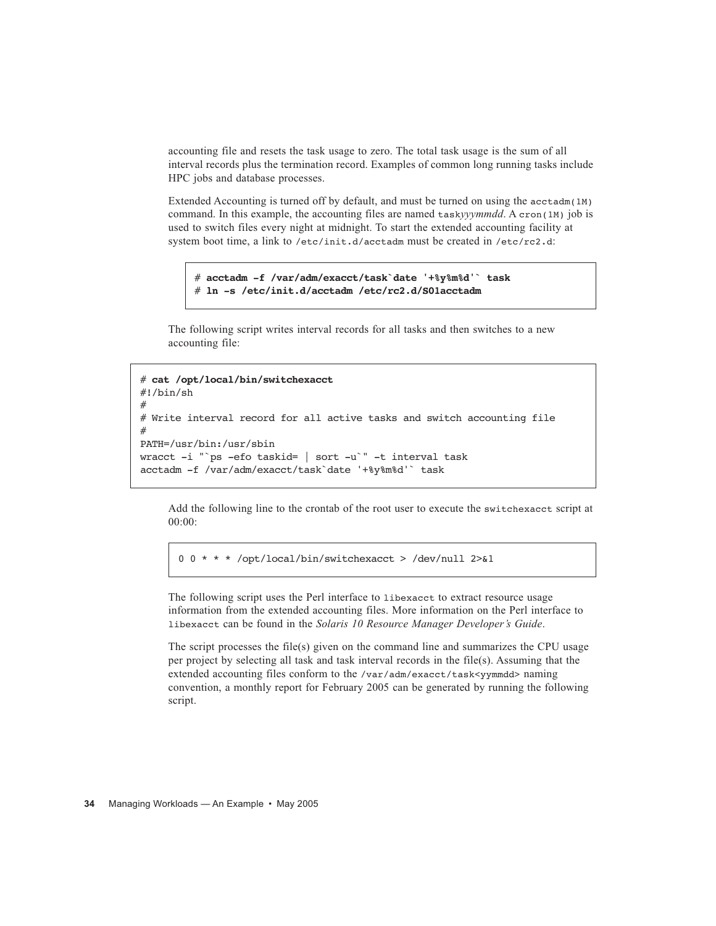accounting file and resets the task usage to zero. The total task usage is the sum of all interval records plus the termination record. Examples of common long running tasks include HPC jobs and database processes.

Extended Accounting is turned off by default, and must be turned on using the  $\arctan(1M)$ command. In this example, the accounting files are named task*yyymmdd*. A cron(1M) job is used to switch files every night at midnight. To start the extended accounting facility at system boot time, a link to /etc/init.d/acctadm must be created in /etc/rc2.d:

```
# acctadm -f /var/adm/exacct/task`date '+%y%m%d'` task
# ln -s /etc/init.d/acctadm /etc/rc2.d/S01acctadm
```
The following script writes interval records for all tasks and then switches to a new accounting file:

```
# cat /opt/local/bin/switchexacct
#!/bin/sh
#
# Write interval record for all active tasks and switch accounting file
#
PATH=/usr/bin:/usr/sbin
wracct -i "`ps -efo taskid= | sort -u`" -t interval task
acctadm -f /var/adm/exacct/task`date '+%y%m%d'` task
```
Add the following line to the crontab of the root user to execute the switchexacct script at 00:00:

0 0 \* \* \* /opt/local/bin/switchexacct > /dev/null 2>&1

The following script uses the Perl interface to libexacct to extract resource usage information from the extended accounting files. More information on the Perl interface to libexacct can be found in the *Solaris 10 Resource Manager Developer's Guide*.

The script processes the file(s) given on the command line and summarizes the CPU usage per project by selecting all task and task interval records in the file(s). Assuming that the extended accounting files conform to the /var/adm/exacct/task<yymmdd> naming convention, a monthly report for February 2005 can be generated by running the following script.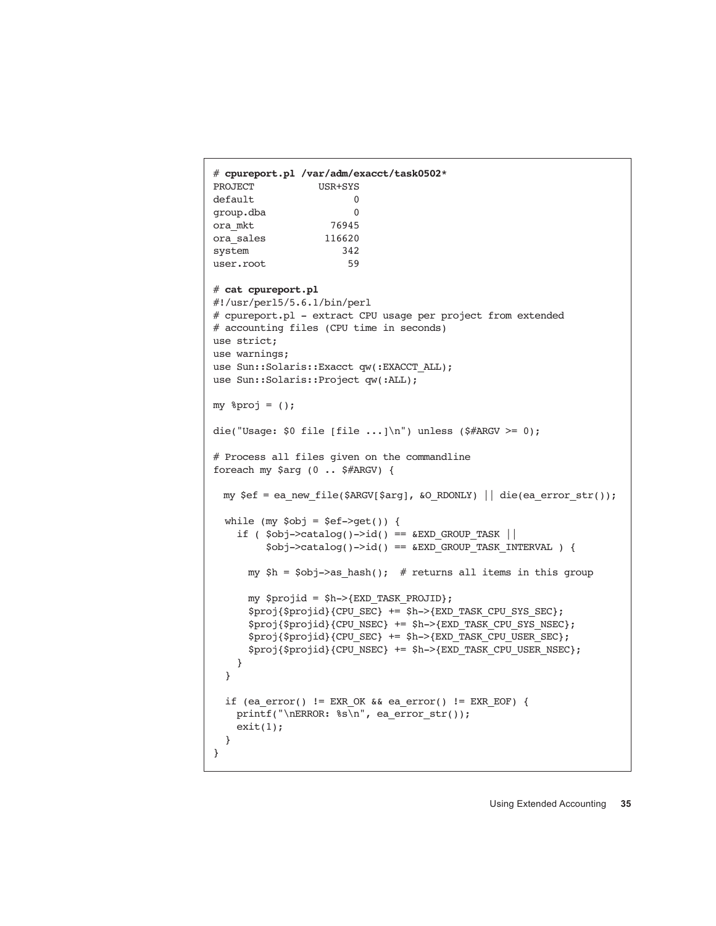```
# cpureport.pl /var/adm/exacct/task0502*
PROJECT USR+SYS
default 0
group.dba 0
ora_mkt 76945
ora_sales 116620
system 342
user.root 59
# cat cpureport.pl
#!/usr/perl5/5.6.1/bin/perl 
# cpureport.pl - extract CPU usage per project from extended 
# accounting files (CPU time in seconds)
use strict; 
use warnings; 
use Sun::Solaris::Exacct qw(:EXACCT_ALL); 
use Sun::Solaris::Project qw(:ALL); 
my %proj = ();
die("Usage: $0 file [file ...]\n") unless ($#ARGV >= 0);
# Process all files given on the commandline
foreach my $arg (0 .. $#ARGV) {
 my \left| \text{Set} \right| = \text{ea_new_file}(\text{SARGV}[\text{Sarg}], \text{ko_RDOMLY}) \mid \text{die}(\text{ea_error_str})).while (my $obj = $ef->get()) {
    if ($obj-\text{catalog}()-\text{id()} == \&\text{EXP} GROUP_TASK ||
         $obj->catalog()->id() == &EXD GROUP TASK INTERVAL ) {
      my $h = $obj->as_hash(); # returns all items in this group
       my $projid = $h->{EXD_TASK_PROJID};
       $proj{$projid}{CPU_SEC} += $h->{EXD_TASK_CPU_SYS_SEC};
       $proj{$projid}{CPU_NSEC} += $h->{EXD_TASK_CPU_SYS_NSEC};
       $proj{$projid}{CPU_SEC} += $h->{EXD_TASK_CPU_USER_SEC};
       $proj{$projid}{CPU_NSEC} += $h->{EXD_TASK_CPU_USER_NSEC};
     }
   }
  if (ea error() != EXR_OK &&&&& ea error() != EXR_EOF) {
     printf("\nERROR: %s\n", ea_error_str()); 
    exit(1); } 
}
```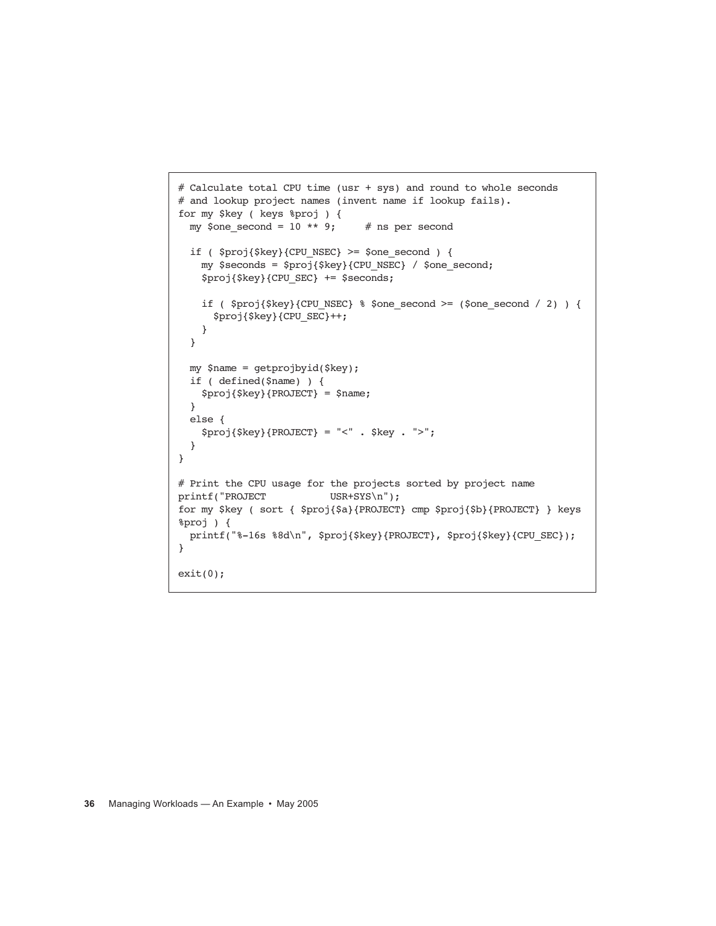```
# Calculate total CPU time (usr + sys) and round to whole seconds
# and lookup project names (invent name if lookup fails).
for my $key ( keys %proj ) {
 my $one_second = 10 ** 9; # ns per second
 if ( $proj$ $key$ {CPU$ NSEC > = $one$ second ) { my $seconds = $proj{$key}{CPU_NSEC} / $one_second;
     $proj{$key}{CPU_SEC} += $seconds;
    if ( $proj{key} {CPU NSEC} $ $one second >=($one second / 2) ) {
       $proj{$key}{CPU_SEC}++;
     }
   }
  my $name = getprojbyid($key);
  if ( defined($name) ) {
     $proj{$key}{PROJECT} = $name;
   } 
  else {
     $proj{$key}{PROJECT} = "<" . $key . ">";
   }
}
# Print the CPU usage for the projects sorted by project name
printf("PROJECT USR+SYS\n");
for my $key ( sort { $proj{$a}{PROJECT} cmp $proj{$b}{PROJECT} } keys 
%proj ) {
  printf("%-16s %8d\n", $proj{$key}{PROJECT}, $proj{$key}{CPU_SEC});
}
exit(0);
```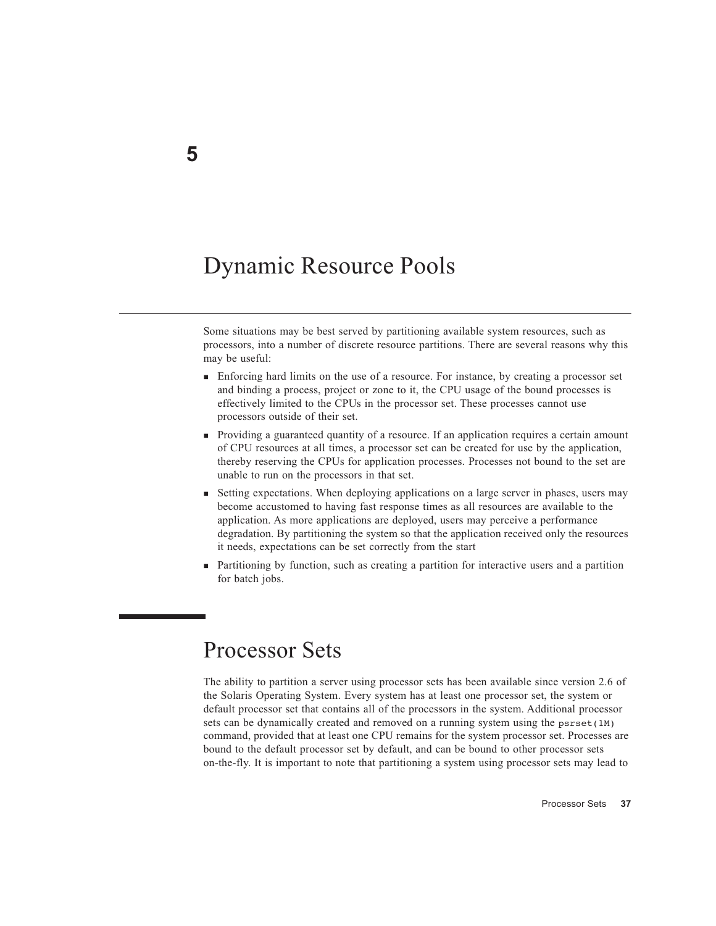# Dynamic Resource Pools

Some situations may be best served by partitioning available system resources, such as processors, into a number of discrete resource partitions. There are several reasons why this may be useful:

- Enforcing hard limits on the use of a resource. For instance, by creating a processor set and binding a process, project or zone to it, the CPU usage of the bound processes is effectively limited to the CPUs in the processor set. These processes cannot use processors outside of their set.
- Providing a guaranteed quantity of a resource. If an application requires a certain amount of CPU resources at all times, a processor set can be created for use by the application, thereby reserving the CPUs for application processes. Processes not bound to the set are unable to run on the processors in that set.
- Setting expectations. When deploying applications on a large server in phases, users may become accustomed to having fast response times as all resources are available to the application. As more applications are deployed, users may perceive a performance degradation. By partitioning the system so that the application received only the resources it needs, expectations can be set correctly from the start
- Partitioning by function, such as creating a partition for interactive users and a partition for batch jobs.

## Processor Sets

The ability to partition a server using processor sets has been available since version 2.6 of the Solaris Operating System. Every system has at least one processor set, the system or default processor set that contains all of the processors in the system. Additional processor sets can be dynamically created and removed on a running system using the  $psrset(1M)$ command, provided that at least one CPU remains for the system processor set. Processes are bound to the default processor set by default, and can be bound to other processor sets on-the-fly. It is important to note that partitioning a system using processor sets may lead to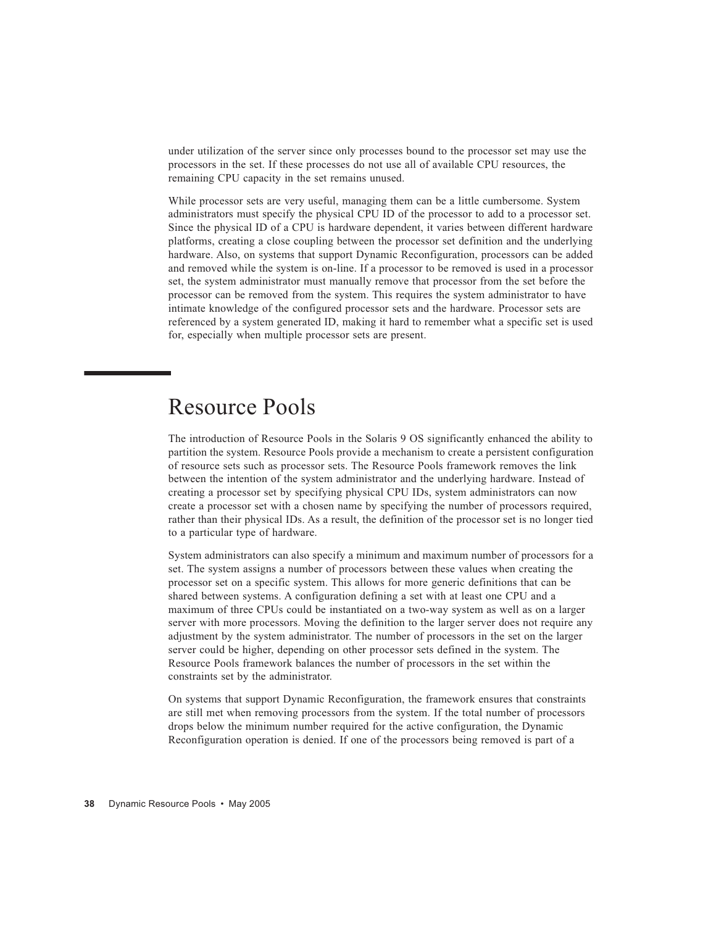under utilization of the server since only processes bound to the processor set may use the processors in the set. If these processes do not use all of available CPU resources, the remaining CPU capacity in the set remains unused.

While processor sets are very useful, managing them can be a little cumbersome. System administrators must specify the physical CPU ID of the processor to add to a processor set. Since the physical ID of a CPU is hardware dependent, it varies between different hardware platforms, creating a close coupling between the processor set definition and the underlying hardware. Also, on systems that support Dynamic Reconfiguration, processors can be added and removed while the system is on-line. If a processor to be removed is used in a processor set, the system administrator must manually remove that processor from the set before the processor can be removed from the system. This requires the system administrator to have intimate knowledge of the configured processor sets and the hardware. Processor sets are referenced by a system generated ID, making it hard to remember what a specific set is used for, especially when multiple processor sets are present.

## Resource Pools

The introduction of Resource Pools in the Solaris 9 OS significantly enhanced the ability to partition the system. Resource Pools provide a mechanism to create a persistent configuration of resource sets such as processor sets. The Resource Pools framework removes the link between the intention of the system administrator and the underlying hardware. Instead of creating a processor set by specifying physical CPU IDs, system administrators can now create a processor set with a chosen name by specifying the number of processors required, rather than their physical IDs. As a result, the definition of the processor set is no longer tied to a particular type of hardware.

System administrators can also specify a minimum and maximum number of processors for a set. The system assigns a number of processors between these values when creating the processor set on a specific system. This allows for more generic definitions that can be shared between systems. A configuration defining a set with at least one CPU and a maximum of three CPUs could be instantiated on a two-way system as well as on a larger server with more processors. Moving the definition to the larger server does not require any adjustment by the system administrator. The number of processors in the set on the larger server could be higher, depending on other processor sets defined in the system. The Resource Pools framework balances the number of processors in the set within the constraints set by the administrator.

On systems that support Dynamic Reconfiguration, the framework ensures that constraints are still met when removing processors from the system. If the total number of processors drops below the minimum number required for the active configuration, the Dynamic Reconfiguration operation is denied. If one of the processors being removed is part of a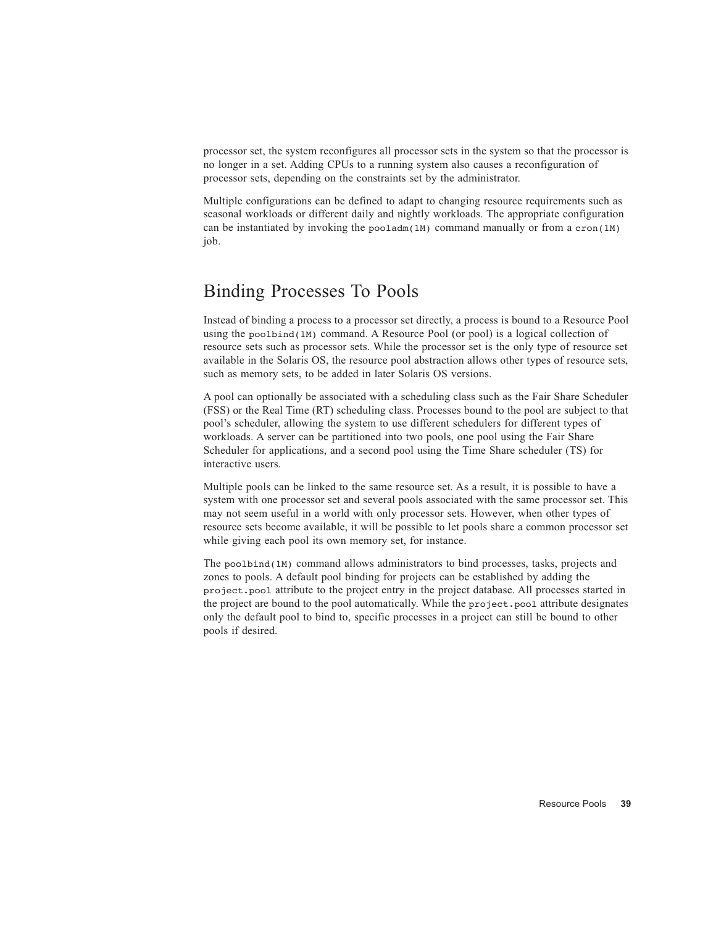processor set, the system reconfigures all processor sets in the system so that the processor is no longer in a set. Adding CPUs to a running system also causes a reconfiguration of processor sets, depending on the constraints set by the administrator.

Multiple configurations can be defined to adapt to changing resource requirements such as seasonal workloads or different daily and nightly workloads. The appropriate configuration can be instantiated by invoking the pooladm(1M) command manually or from a cron(1M) job.

### Binding Processes To Pools

Instead of binding a process to a processor set directly, a process is bound to a Resource Pool using the poolbind(1M) command. A Resource Pool (or pool) is a logical collection of resource sets such as processor sets. While the processor set is the only type of resource set available in the Solaris OS, the resource pool abstraction allows other types of resource sets, such as memory sets, to be added in later Solaris OS versions.

A pool can optionally be associated with a scheduling class such as the Fair Share Scheduler (FSS) or the Real Time (RT) scheduling class. Processes bound to the pool are subject to that pool's scheduler, allowing the system to use different schedulers for different types of workloads. A server can be partitioned into two pools, one pool using the Fair Share Scheduler for applications, and a second pool using the Time Share scheduler (TS) for interactive users.

Multiple pools can be linked to the same resource set. As a result, it is possible to have a system with one processor set and several pools associated with the same processor set. This may not seem useful in a world with only processor sets. However, when other types of resource sets become available, it will be possible to let pools share a common processor set while giving each pool its own memory set, for instance.

The poolbind(1M) command allows administrators to bind processes, tasks, projects and zones to pools. A default pool binding for projects can be established by adding the project.pool attribute to the project entry in the project database. All processes started in the project are bound to the pool automatically. While the project.pool attribute designates only the default pool to bind to, specific processes in a project can still be bound to other pools if desired.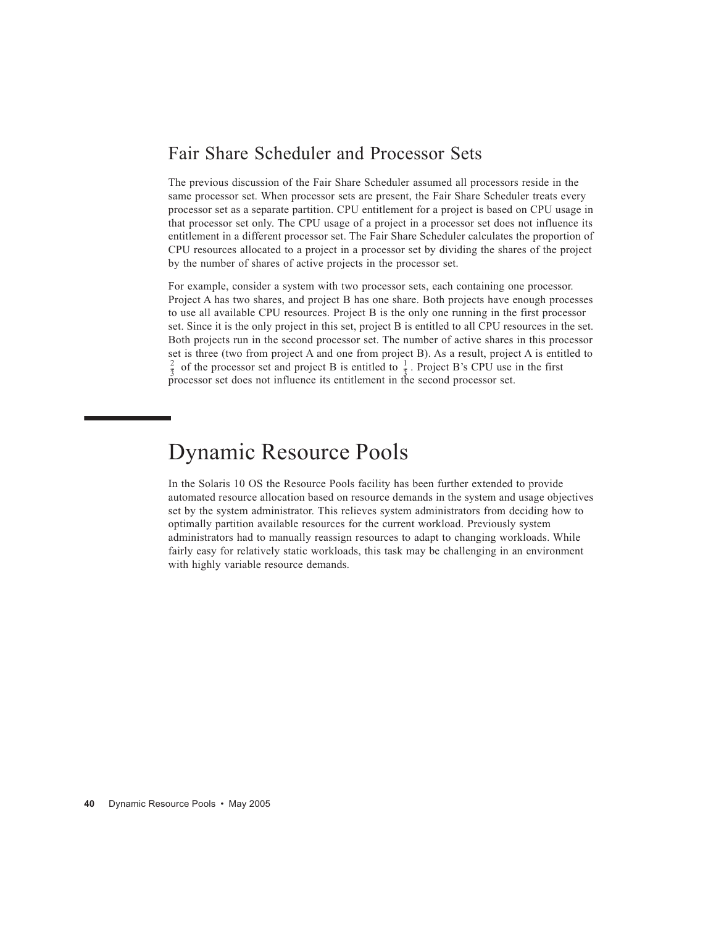#### Fair Share Scheduler and Processor Sets

The previous discussion of the Fair Share Scheduler assumed all processors reside in the same processor set. When processor sets are present, the Fair Share Scheduler treats every processor set as a separate partition. CPU entitlement for a project is based on CPU usage in that processor set only. The CPU usage of a project in a processor set does not influence its entitlement in a different processor set. The Fair Share Scheduler calculates the proportion of CPU resources allocated to a project in a processor set by dividing the shares of the project by the number of shares of active projects in the processor set.

For example, consider a system with two processor sets, each containing one processor. Project A has two shares, and project B has one share. Both projects have enough processes to use all available CPU resources. Project B is the only one running in the first processor set. Since it is the only project in this set, project B is entitled to all CPU resources in the set. Both projects run in the second processor set. The number of active shares in this processor set is three (two from project A and one from project B). As a result, project A is entitled to  $\frac{2}{5}$  of the processor set and project B is entitled to  $\frac{1}{5}$ . Project B's CPU use in the first processor set does not influence its entitlement in the second processor set.

# Dynamic Resource Pools

In the Solaris 10 OS the Resource Pools facility has been further extended to provide automated resource allocation based on resource demands in the system and usage objectives set by the system administrator. This relieves system administrators from deciding how to optimally partition available resources for the current workload. Previously system administrators had to manually reassign resources to adapt to changing workloads. While fairly easy for relatively static workloads, this task may be challenging in an environment with highly variable resource demands.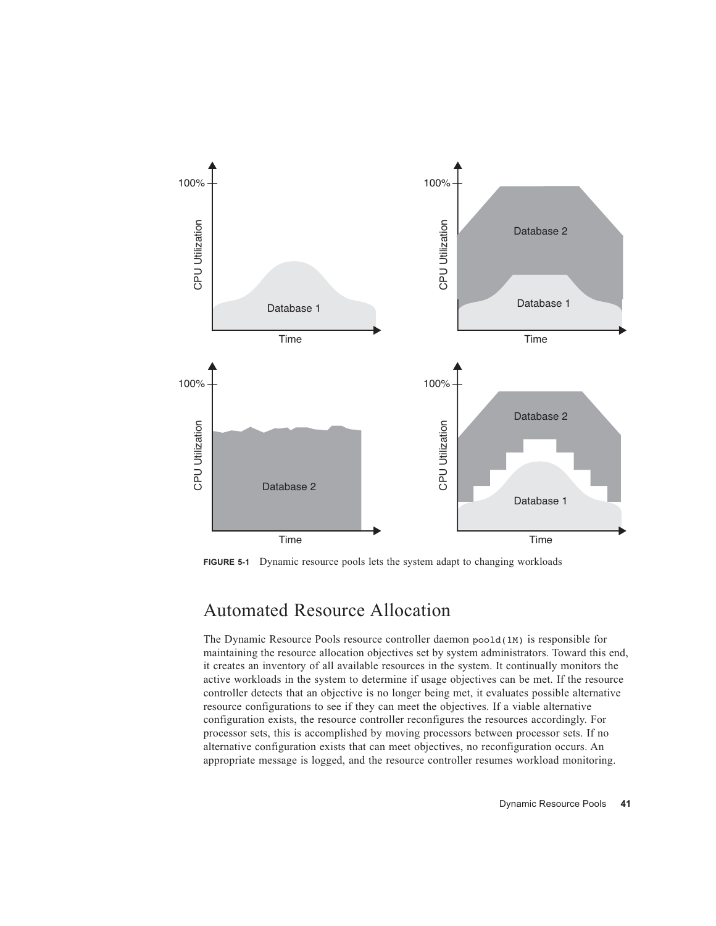

**FIGURE 5-1** Dynamic resource pools lets the system adapt to changing workloads

### Automated Resource Allocation

The Dynamic Resource Pools resource controller daemon poold(1M) is responsible for maintaining the resource allocation objectives set by system administrators. Toward this end, it creates an inventory of all available resources in the system. It continually monitors the active workloads in the system to determine if usage objectives can be met. If the resource controller detects that an objective is no longer being met, it evaluates possible alternative resource configurations to see if they can meet the objectives. If a viable alternative configuration exists, the resource controller reconfigures the resources accordingly. For processor sets, this is accomplished by moving processors between processor sets. If no alternative configuration exists that can meet objectives, no reconfiguration occurs. An appropriate message is logged, and the resource controller resumes workload monitoring.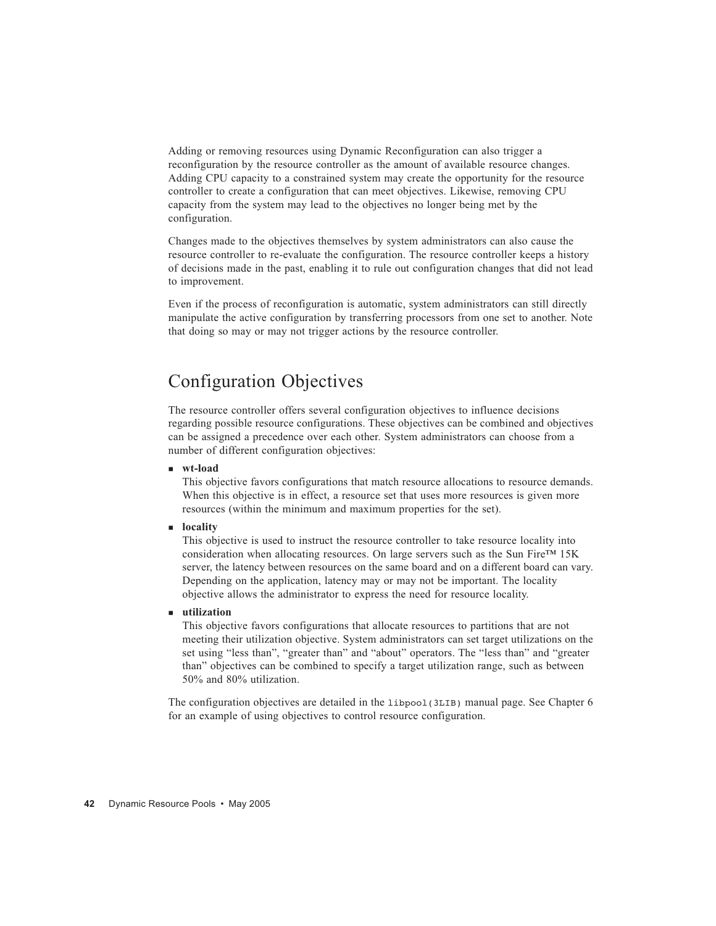Adding or removing resources using Dynamic Reconfiguration can also trigger a reconfiguration by the resource controller as the amount of available resource changes. Adding CPU capacity to a constrained system may create the opportunity for the resource controller to create a configuration that can meet objectives. Likewise, removing CPU capacity from the system may lead to the objectives no longer being met by the configuration.

Changes made to the objectives themselves by system administrators can also cause the resource controller to re-evaluate the configuration. The resource controller keeps a history of decisions made in the past, enabling it to rule out configuration changes that did not lead to improvement.

Even if the process of reconfiguration is automatic, system administrators can still directly manipulate the active configuration by transferring processors from one set to another. Note that doing so may or may not trigger actions by the resource controller.

### Configuration Objectives

The resource controller offers several configuration objectives to influence decisions regarding possible resource configurations. These objectives can be combined and objectives can be assigned a precedence over each other. System administrators can choose from a number of different configuration objectives:

**wt-load**

This objective favors configurations that match resource allocations to resource demands. When this objective is in effect, a resource set that uses more resources is given more resources (within the minimum and maximum properties for the set).

**locality** 

This objective is used to instruct the resource controller to take resource locality into consideration when allocating resources. On large servers such as the Sun Fire™ 15K server, the latency between resources on the same board and on a different board can vary. Depending on the application, latency may or may not be important. The locality objective allows the administrator to express the need for resource locality.

**utilization**

This objective favors configurations that allocate resources to partitions that are not meeting their utilization objective. System administrators can set target utilizations on the set using "less than", "greater than" and "about" operators. The "less than" and "greater than" objectives can be combined to specify a target utilization range, such as between 50% and 80% utilization.

The configuration objectives are detailed in the libpool(3LIB) manual page. See Chapter 6 for an example of using objectives to control resource configuration.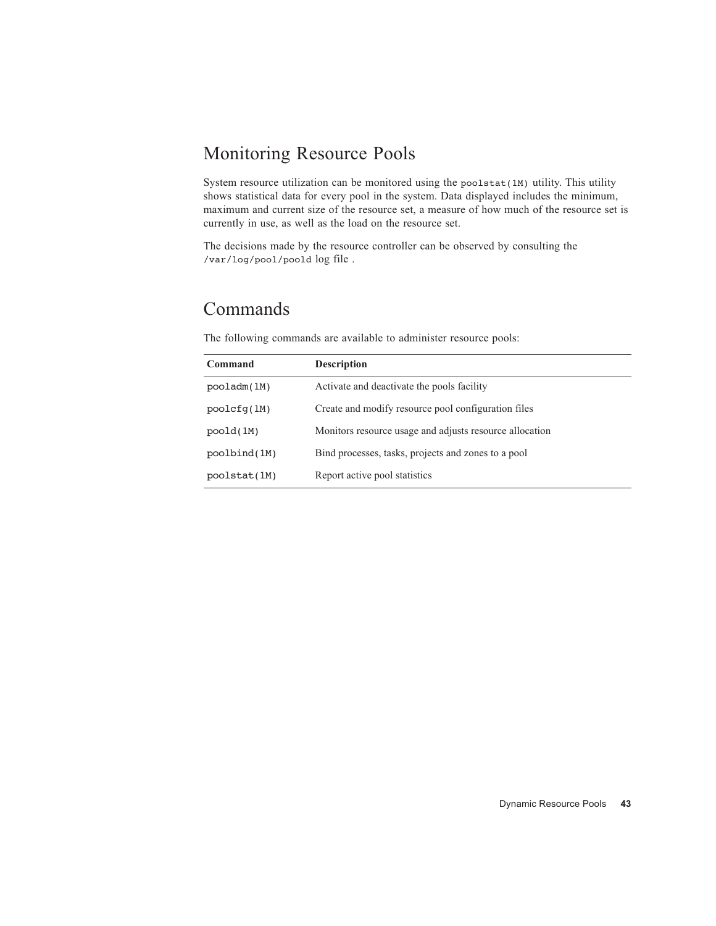### Monitoring Resource Pools

System resource utilization can be monitored using the poolstat $(1M)$  utility. This utility shows statistical data for every pool in the system. Data displayed includes the minimum, maximum and current size of the resource set, a measure of how much of the resource set is currently in use, as well as the load on the resource set.

The decisions made by the resource controller can be observed by consulting the /var/log/pool/poold log file .

### Commands

**Command Description** pooladm(1M) Activate and deactivate the pools facility poolcfg(1M) Create and modify resource pool configuration files poold(1M) Monitors resource usage and adjusts resource allocation poolbind(1M) Bind processes, tasks, projects and zones to a pool poolstat(1M) Report active pool statistics

The following commands are available to administer resource pools: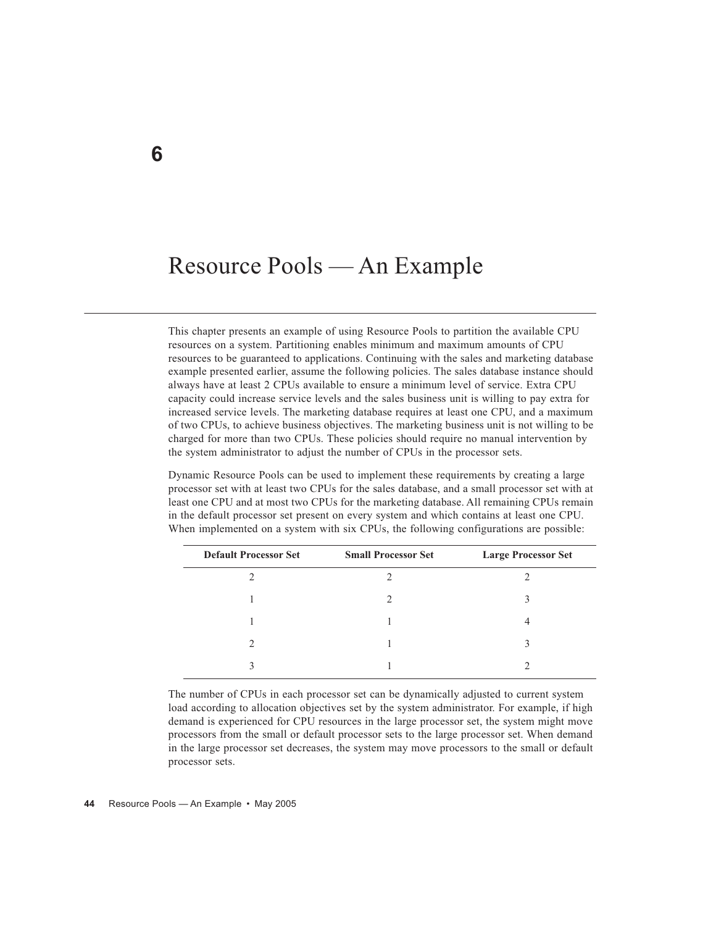# Resource Pools — An Example

This chapter presents an example of using Resource Pools to partition the available CPU resources on a system. Partitioning enables minimum and maximum amounts of CPU resources to be guaranteed to applications. Continuing with the sales and marketing database example presented earlier, assume the following policies. The sales database instance should always have at least 2 CPUs available to ensure a minimum level of service. Extra CPU capacity could increase service levels and the sales business unit is willing to pay extra for increased service levels. The marketing database requires at least one CPU, and a maximum of two CPUs, to achieve business objectives. The marketing business unit is not willing to be charged for more than two CPUs. These policies should require no manual intervention by the system administrator to adjust the number of CPUs in the processor sets.

Dynamic Resource Pools can be used to implement these requirements by creating a large processor set with at least two CPUs for the sales database, and a small processor set with at least one CPU and at most two CPUs for the marketing database. All remaining CPUs remain in the default processor set present on every system and which contains at least one CPU. When implemented on a system with six CPUs, the following configurations are possible:

| <b>Default Processor Set</b> | <b>Small Processor Set</b> | <b>Large Processor Set</b> |  |  |
|------------------------------|----------------------------|----------------------------|--|--|
|                              |                            |                            |  |  |
|                              | ∍                          |                            |  |  |
|                              |                            | 4                          |  |  |
|                              |                            |                            |  |  |
|                              |                            |                            |  |  |

The number of CPUs in each processor set can be dynamically adjusted to current system load according to allocation objectives set by the system administrator. For example, if high demand is experienced for CPU resources in the large processor set, the system might move processors from the small or default processor sets to the large processor set. When demand in the large processor set decreases, the system may move processors to the small or default processor sets.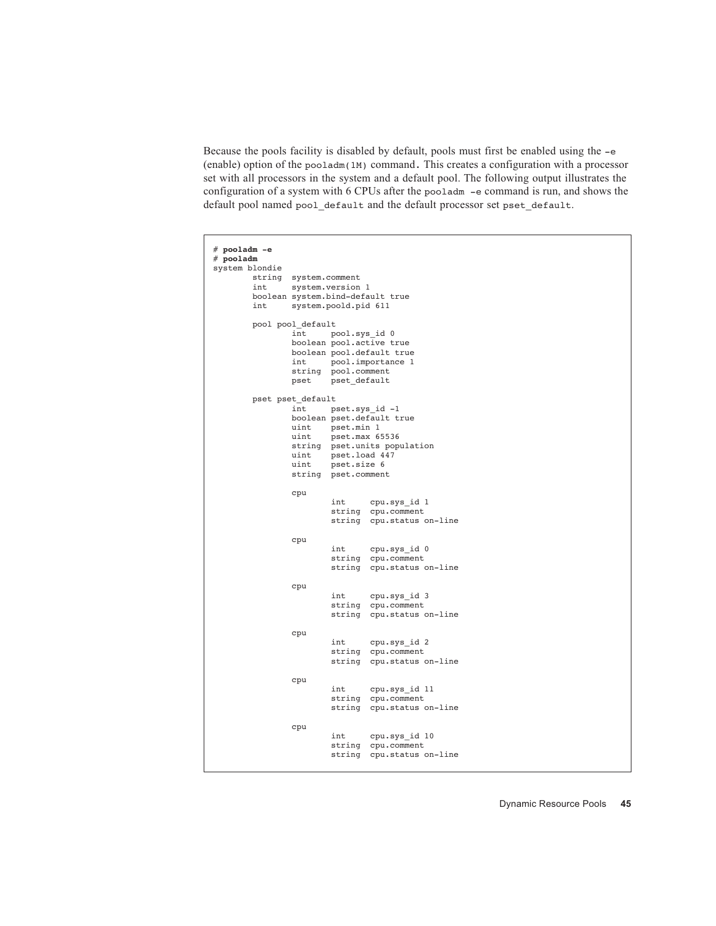Because the pools facility is disabled by default, pools must first be enabled using the -e (enable) option of the pooladm(1M) command. This creates a configuration with a processor set with all processors in the system and a default pool. The following output illustrates the configuration of a system with 6 CPUs after the pooladm -e command is run, and shows the default pool named pool\_default and the default processor set pset\_default.

```
# pooladm -e
# pooladm
system blondie
       string system.comment<br>int system.version
              system.version 1
        boolean system.bind-default true
        int system.poold.pid 611
        pool pool_default
int pool.sys id 0
 boolean pool.active true
                boolean pool.default true
 int pool.importance 1
 string pool.comment 
                pset pset_default
        pset pset_default
                int pset.sys_id -1
                boolean pset.default true
               uint pset.min 1<br>uint pset.max 6
                      pset.max 65536
                string pset.units population
                uint pset.load 447
                uint pset.size 6
                string pset.comment 
                cpu
                        int cpu.sys_id 1
                        string cpu.comment 
                        string cpu.status on-line
                cpu
                        int cpu.sys_id 0
                        string cpu.comment 
                        string cpu.status on-line
                cpu
                        int cpu.sys_id 3
                        string cpu.comment 
                        string cpu.status on-line
                cpu
                        int cpu.sys_id 2
                        string cpu.comment 
                        string cpu.status on-line
                cpu
                        int cpu.sys_id 11
                        string cpu.comment 
                        string cpu.status on-line
                cpu
                        int cpu.sys_id 10
                        string cpu.comment 
                        string cpu.status on-line
```
Dynamic Resource Pools **45**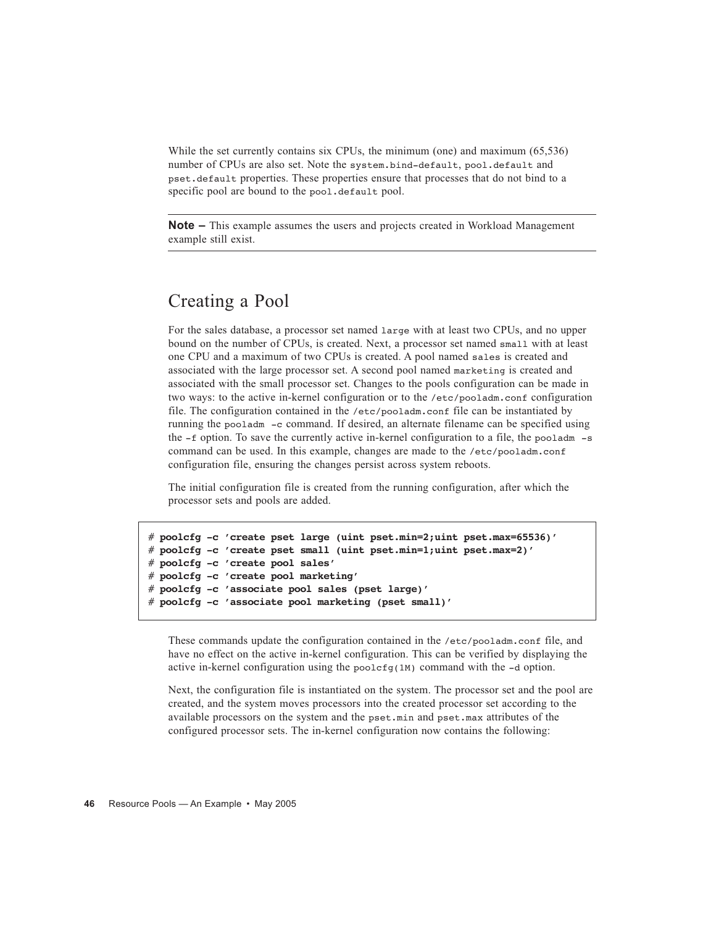While the set currently contains six CPUs, the minimum (one) and maximum (65,536) number of CPUs are also set. Note the system.bind-default, pool.default and pset.default properties. These properties ensure that processes that do not bind to a specific pool are bound to the pool.default pool.

**Note –** This example assumes the users and projects created in Workload Management example still exist.

### Creating a Pool

For the sales database, a processor set named large with at least two CPUs, and no upper bound on the number of CPUs, is created. Next, a processor set named small with at least one CPU and a maximum of two CPUs is created. A pool named sales is created and associated with the large processor set. A second pool named marketing is created and associated with the small processor set. Changes to the pools configuration can be made in two ways: to the active in-kernel configuration or to the /etc/pooladm.conf configuration file. The configuration contained in the /etc/pooladm.conf file can be instantiated by running the pooladm -c command. If desired, an alternate filename can be specified using the -f option. To save the currently active in-kernel configuration to a file, the pooladm -s command can be used. In this example, changes are made to the /etc/pooladm.conf configuration file, ensuring the changes persist across system reboots.

The initial configuration file is created from the running configuration, after which the processor sets and pools are added.

```
# poolcfg -c 'create pset large (uint pset.min=2;uint pset.max=65536)'
# poolcfg -c 'create pset small (uint pset.min=1;uint pset.max=2)'
# poolcfg -c 'create pool sales'
# poolcfg -c 'create pool marketing'
# poolcfg -c 'associate pool sales (pset large)'
# poolcfg -c 'associate pool marketing (pset small)'
```
These commands update the configuration contained in the /etc/pooladm.conf file, and have no effect on the active in-kernel configuration. This can be verified by displaying the active in-kernel configuration using the poolcfg(1M) command with the -d option.

Next, the configuration file is instantiated on the system. The processor set and the pool are created, and the system moves processors into the created processor set according to the available processors on the system and the pset.min and pset.max attributes of the configured processor sets. The in-kernel configuration now contains the following: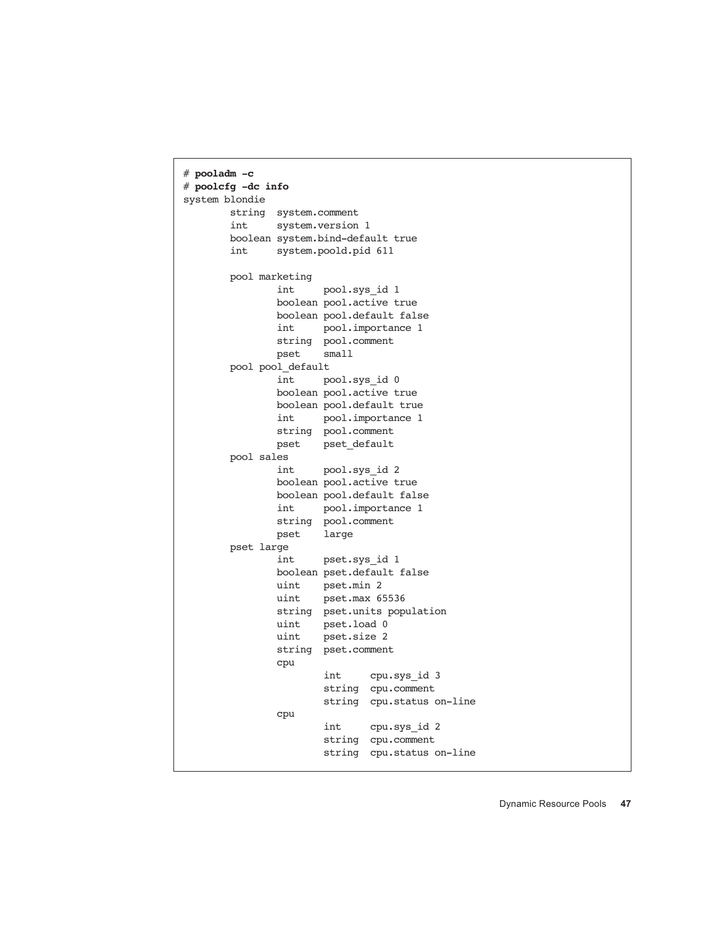```
# pooladm -c
# poolcfg -dc info
system blondie
        string system.comment 
        int system.version 1
        boolean system.bind-default true
        int system.poold.pid 611
        pool marketing
                int pool.sys_id 1
                boolean pool.active true
                boolean pool.default false
                int pool.importance 1
               string pool.comment<br>pset small
               pset pool pool_default
                int pool.sys_id 0
                boolean pool.active true
                boolean pool.default true
                int pool.importance 1
                string pool.comment 
                pset pset_default
        pool sales
                int pool.sys_id 2
                boolean pool.active true
                boolean pool.default false
                int pool.importance 1
                string pool.comment 
                pset large
        pset large
                int pset.sys_id 1
                boolean pset.default false
                uint pset.min 2
                uint pset.max 65536
                string pset.units population
                uint pset.load 0
                uint pset.size 2
                string pset.comment 
                cpu
                        int cpu.sys_id 3
                        string cpu.comment 
                        string cpu.status on-line
                cpu
                        int cpu.sys_id 2
                        string cpu.comment 
                        string cpu.status on-line
```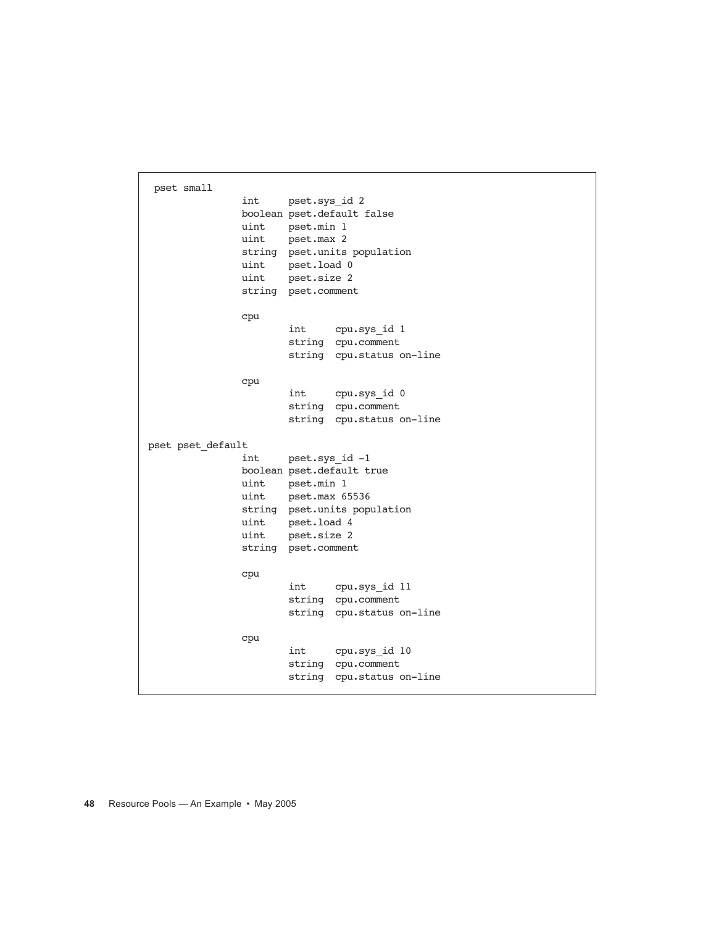```
 pset small
                int pset.sys_id 2
                boolean pset.default false
                uint pset.min 1
                uint pset.max 2
                string pset.units population
                uint pset.load 0
                uint pset.size 2
                string pset.comment 
                cpu
                        int cpu.sys_id 1
                        string cpu.comment 
                        string cpu.status on-line
                cpu
                        int cpu.sys_id 0
                        string cpu.comment 
                        string cpu.status on-line
pset pset default
                int pset.sys_id -1
                boolean pset.default true
                uint pset.min 1
                uint pset.max 65536
                string pset.units population
                uint pset.load 4
                uint pset.size 2
                string pset.comment 
                cpu
                        int cpu.sys_id 11
                        string cpu.comment 
                        string cpu.status on-line
                cpu
                        int cpu.sys_id 10
                        string cpu.comment 
                        string cpu.status on-line
```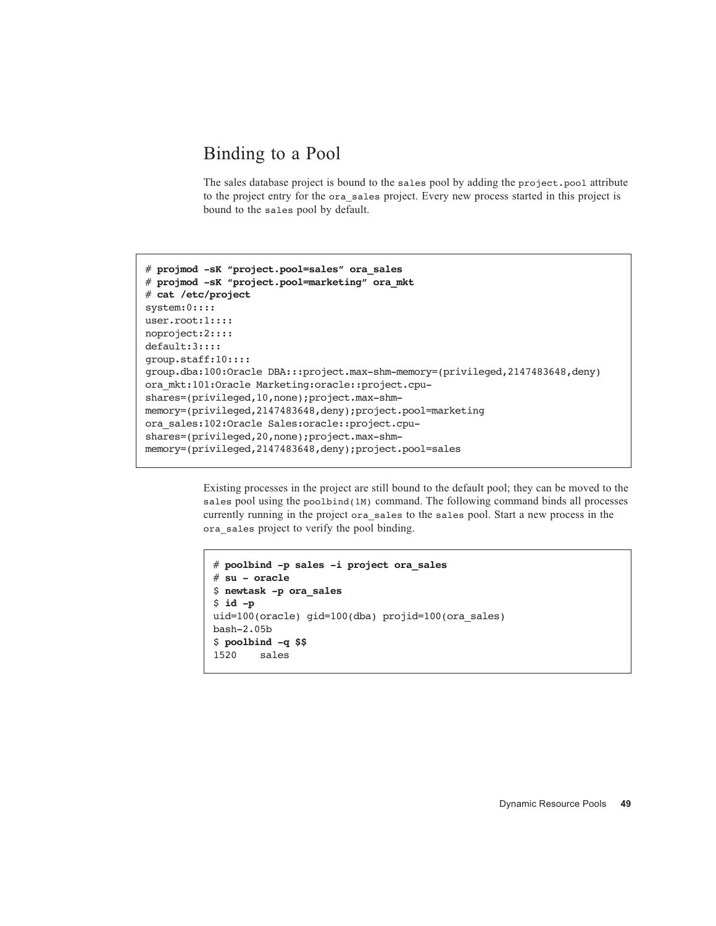### Binding to a Pool

The sales database project is bound to the sales pool by adding the project.pool attribute to the project entry for the ora\_sales project. Every new process started in this project is bound to the sales pool by default.

```
# projmod -sK "project.pool=sales" ora_sales
# projmod -sK "project.pool=marketing" ora_mkt
# cat /etc/project
system:0::::
user.root:1::::
noproject:2::::
default:3::::
group.staff:10::::
group.dba:100:Oracle DBA:::project.max-shm-memory=(privileged,2147483648,deny)
ora_mkt:101:Oracle Marketing:oracle::project.cpu-
shares=(privileged,10,none);project.max-shm-
memory=(privileged,2147483648,deny);project.pool=marketing
ora_sales:102:Oracle Sales:oracle::project.cpu-
shares=(privileged,20,none);project.max-shm-
memory=(privileged,2147483648,deny);project.pool=sales
```
Existing processes in the project are still bound to the default pool; they can be moved to the sales pool using the poolbind(1M) command. The following command binds all processes currently running in the project ora\_sales to the sales pool. Start a new process in the ora\_sales project to verify the pool binding.

```
# poolbind -p sales -i project ora_sales
# su - oracle
$ newtask -p ora_sales
$ id -p
uid=100(oracle) gid=100(dba) projid=100(ora_sales)
bash-2.05b
$ poolbind -q $$
1520 sales
```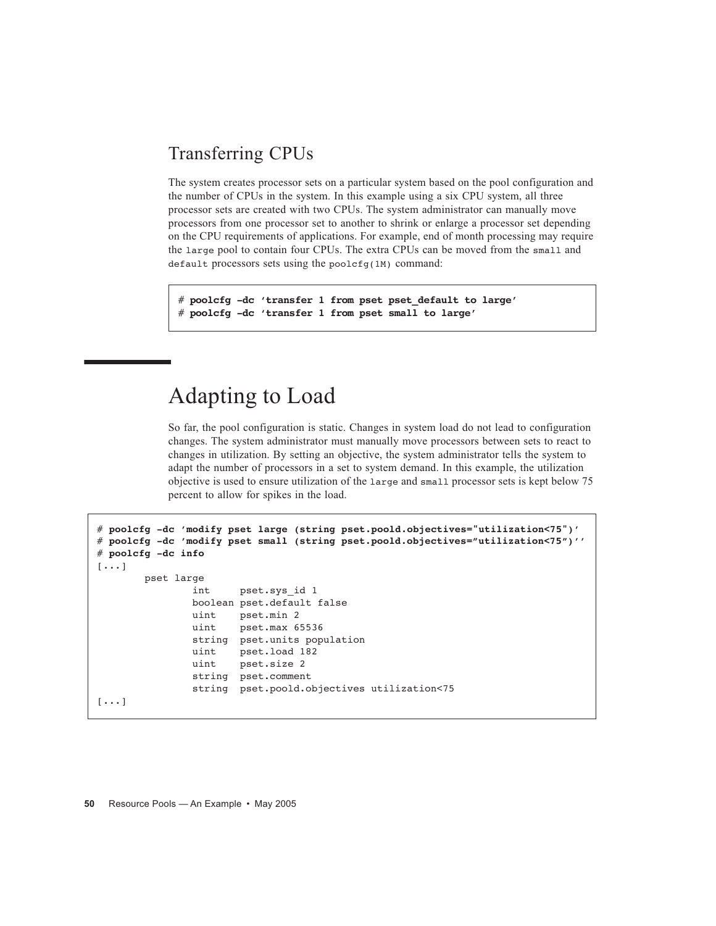### Transferring CPUs

The system creates processor sets on a particular system based on the pool configuration and the number of CPUs in the system. In this example using a six CPU system, all three processor sets are created with two CPUs. The system administrator can manually move processors from one processor set to another to shrink or enlarge a processor set depending on the CPU requirements of applications. For example, end of month processing may require the large pool to contain four CPUs. The extra CPUs can be moved from the small and default processors sets using the poolcfg(1M) command:

# **poolcfg -dc 'transfer 1 from pset pset\_default to large'** # **poolcfg -dc 'transfer 1 from pset small to large'**

# Adapting to Load

So far, the pool configuration is static. Changes in system load do not lead to configuration changes. The system administrator must manually move processors between sets to react to changes in utilization. By setting an objective, the system administrator tells the system to adapt the number of processors in a set to system demand. In this example, the utilization objective is used to ensure utilization of the large and small processor sets is kept below 75 percent to allow for spikes in the load.

```
# poolcfg -dc 'modify pset large (string pset.poold.objectives="utilization<75")'
# poolcfg -dc 'modify pset small (string pset.poold.objectives="utilization<75")''
# poolcfg -dc info
[\ldots] pset large
                int pset.sys_id 1
                boolean pset.default false
                uint pset.min 2
                uint pset.max 65536
                string pset.units population
                uint pset.load 182
                uint pset.size 2
                string pset.comment 
                string pset.poold.objectives utilization<75
[\ldots]
```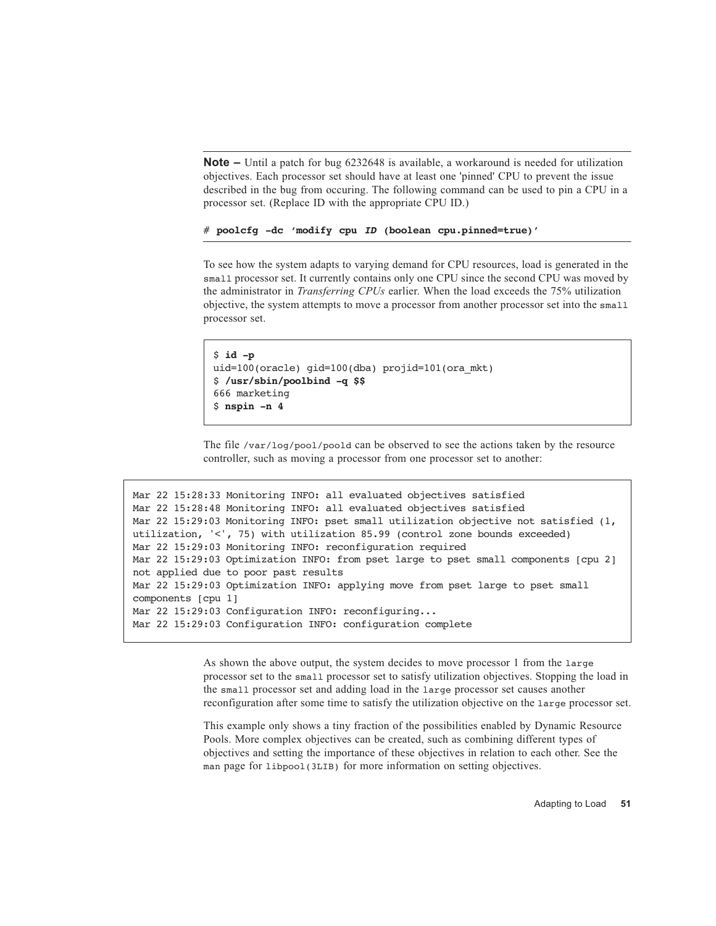**Note –** Until a patch for bug 6232648 is available, a workaround is needed for utilization objectives. Each processor set should have at least one 'pinned' CPU to prevent the issue described in the bug from occuring. The following command can be used to pin a CPU in a processor set. (Replace ID with the appropriate CPU ID.)

# **poolcfg -dc 'modify cpu** *ID* **(boolean cpu.pinned=true)'**

To see how the system adapts to varying demand for CPU resources, load is generated in the small processor set. It currently contains only one CPU since the second CPU was moved by the administrator in *Transferring CPUs* earlier. When the load exceeds the 75% utilization objective, the system attempts to move a processor from another processor set into the small processor set.

```
$ id -p
uid=100(oracle) gid=100(dba) projid=101(ora mkt)
$ /usr/sbin/poolbind -q $$
666 marketing
$ nspin -n 4
```
The file /var/log/pool/poold can be observed to see the actions taken by the resource controller, such as moving a processor from one processor set to another:

```
Mar 22 15:28:33 Monitoring INFO: all evaluated objectives satisfied
Mar 22 15:28:48 Monitoring INFO: all evaluated objectives satisfied
Mar 22 15:29:03 Monitoring INFO: pset small utilization objective not satisfied (1, 
utilization, '<', 75) with utilization 85.99 (control zone bounds exceeded)
Mar 22 15:29:03 Monitoring INFO: reconfiguration required
Mar 22 15:29:03 Optimization INFO: from pset large to pset small components [cpu 2] 
not applied due to poor past results
Mar 22 15:29:03 Optimization INFO: applying move from pset large to pset small 
components [cpu 1]
Mar 22 15:29:03 Configuration INFO: reconfiguring...
Mar 22 15:29:03 Configuration INFO: configuration complete
```
As shown the above output, the system decides to move processor 1 from the large processor set to the small processor set to satisfy utilization objectives. Stopping the load in the small processor set and adding load in the large processor set causes another reconfiguration after some time to satisfy the utilization objective on the large processor set.

This example only shows a tiny fraction of the possibilities enabled by Dynamic Resource Pools. More complex objectives can be created, such as combining different types of objectives and setting the importance of these objectives in relation to each other. See the man page for libpool(3LIB) for more information on setting objectives.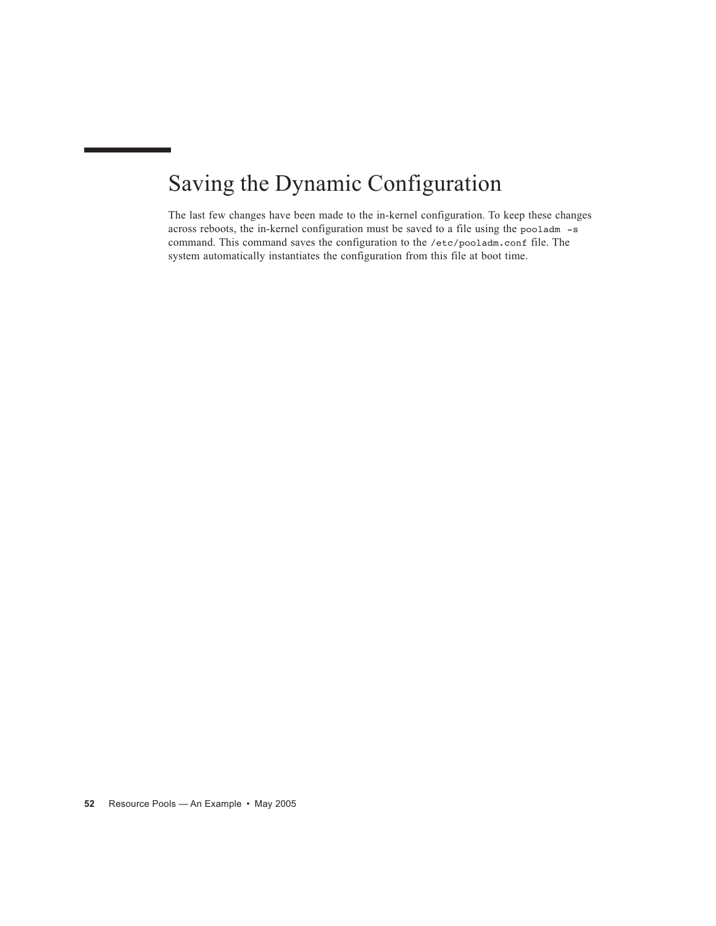# Saving the Dynamic Configuration

The last few changes have been made to the in-kernel configuration. To keep these changes across reboots, the in-kernel configuration must be saved to a file using the pooladm -s command. This command saves the configuration to the /etc/pooladm.conf file. The system automatically instantiates the configuration from this file at boot time.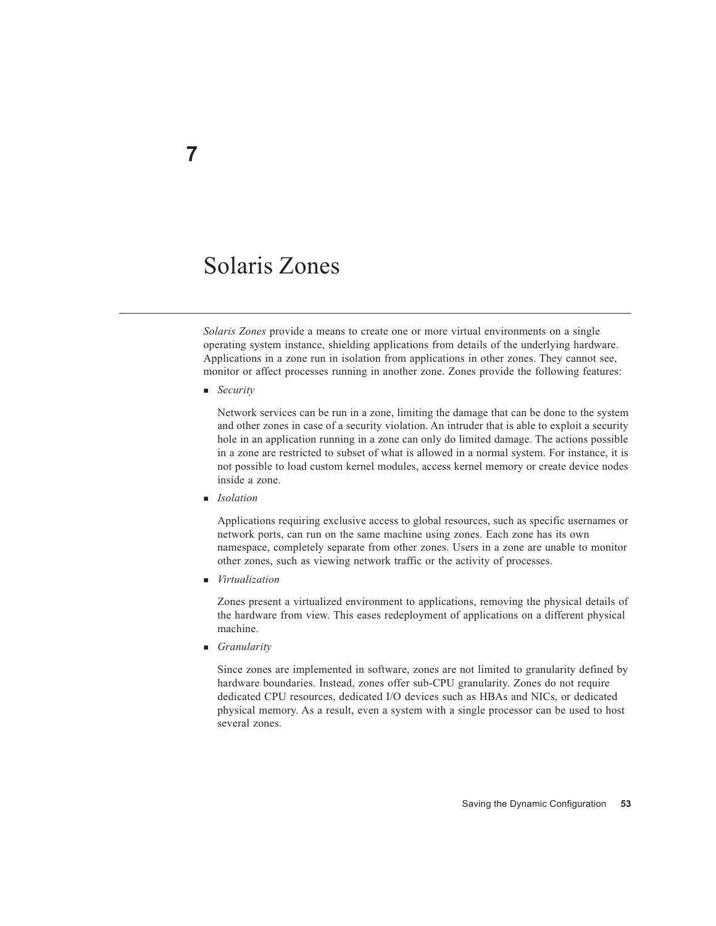# Solaris Zones

*Solaris Zones* provide a means to create one or more virtual environments on a single operating system instance, shielding applications from details of the underlying hardware. Applications in a zone run in isolation from applications in other zones. They cannot see, monitor or affect processes running in another zone. Zones provide the following features:

*Security*

Network services can be run in a zone, limiting the damage that can be done to the system and other zones in case of a security violation. An intruder that is able to exploit a security hole in an application running in a zone can only do limited damage. The actions possible in a zone are restricted to subset of what is allowed in a normal system. For instance, it is not possible to load custom kernel modules, access kernel memory or create device nodes inside a zone.

*Isolation*

Applications requiring exclusive access to global resources, such as specific usernames or network ports, can run on the same machine using zones. Each zone has its own namespace, completely separate from other zones. Users in a zone are unable to monitor other zones, such as viewing network traffic or the activity of processes.

*Virtualization*

Zones present a virtualized environment to applications, removing the physical details of the hardware from view. This eases redeployment of applications on a different physical machine.

*Granularity*

Since zones are implemented in software, zones are not limited to granularity defined by hardware boundaries. Instead, zones offer sub-CPU granularity. Zones do not require dedicated CPU resources, dedicated I/O devices such as HBAs and NICs, or dedicated physical memory. As a result, even a system with a single processor can be used to host several zones.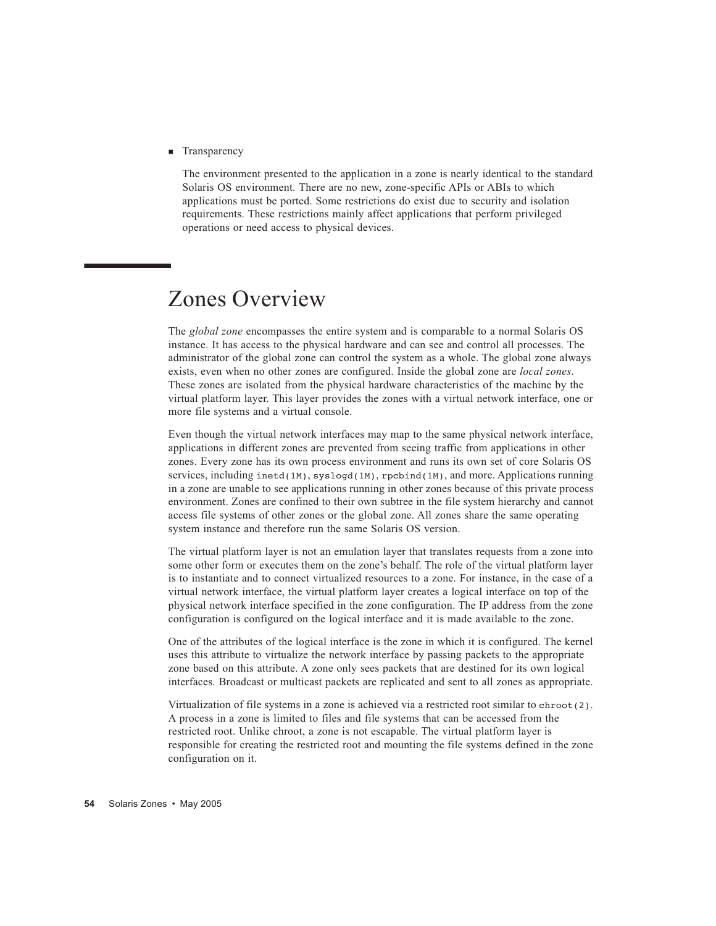Transparency

The environment presented to the application in a zone is nearly identical to the standard Solaris OS environment. There are no new, zone-specific APIs or ABIs to which applications must be ported. Some restrictions do exist due to security and isolation requirements. These restrictions mainly affect applications that perform privileged operations or need access to physical devices.

# Zones Overview

The *global zone* encompasses the entire system and is comparable to a normal Solaris OS instance. It has access to the physical hardware and can see and control all processes. The administrator of the global zone can control the system as a whole. The global zone always exists, even when no other zones are configured. Inside the global zone are *local zones*. These zones are isolated from the physical hardware characteristics of the machine by the virtual platform layer. This layer provides the zones with a virtual network interface, one or more file systems and a virtual console.

Even though the virtual network interfaces may map to the same physical network interface, applications in different zones are prevented from seeing traffic from applications in other zones. Every zone has its own process environment and runs its own set of core Solaris OS services, including  $\text{inetd}(1M)$ ,  $\text{syslogd}(1M)$ ,  $\text{rebind}(1M)$ , and more. Applications running in a zone are unable to see applications running in other zones because of this private process environment. Zones are confined to their own subtree in the file system hierarchy and cannot access file systems of other zones or the global zone. All zones share the same operating system instance and therefore run the same Solaris OS version.

The virtual platform layer is not an emulation layer that translates requests from a zone into some other form or executes them on the zone's behalf. The role of the virtual platform layer is to instantiate and to connect virtualized resources to a zone. For instance, in the case of a virtual network interface, the virtual platform layer creates a logical interface on top of the physical network interface specified in the zone configuration. The IP address from the zone configuration is configured on the logical interface and it is made available to the zone.

One of the attributes of the logical interface is the zone in which it is configured. The kernel uses this attribute to virtualize the network interface by passing packets to the appropriate zone based on this attribute. A zone only sees packets that are destined for its own logical interfaces. Broadcast or multicast packets are replicated and sent to all zones as appropriate.

Virtualization of file systems in a zone is achieved via a restricted root similar to chroot(2). A process in a zone is limited to files and file systems that can be accessed from the restricted root. Unlike chroot, a zone is not escapable. The virtual platform layer is responsible for creating the restricted root and mounting the file systems defined in the zone configuration on it.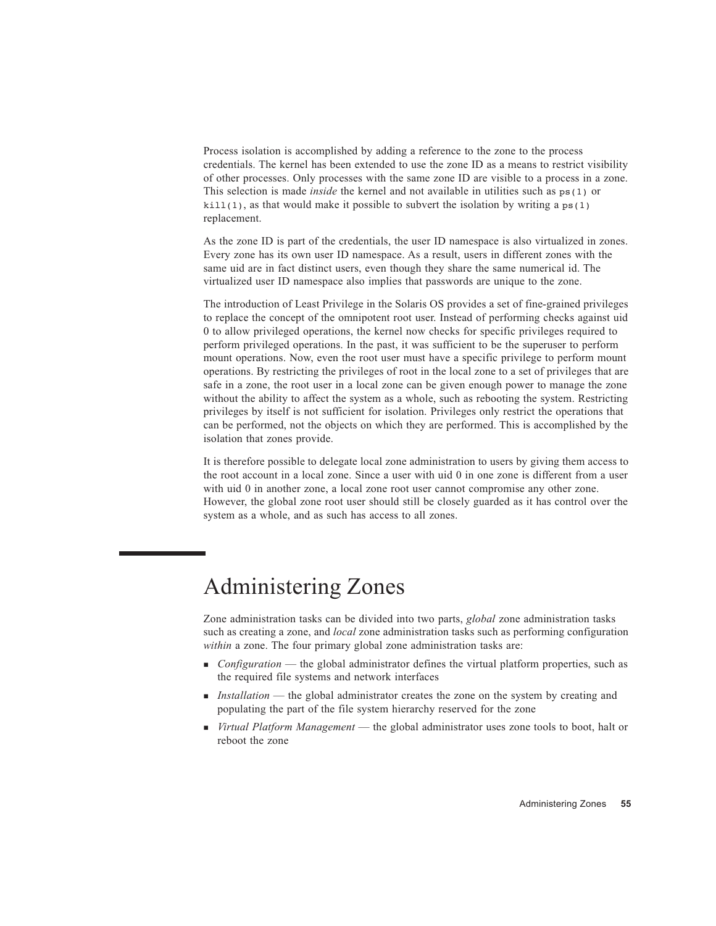Process isolation is accomplished by adding a reference to the zone to the process credentials. The kernel has been extended to use the zone ID as a means to restrict visibility of other processes. Only processes with the same zone ID are visible to a process in a zone. This selection is made *inside* the kernel and not available in utilities such as ps(1) or  $kill(1)$ , as that would make it possible to subvert the isolation by writing a  $ps(1)$ replacement.

As the zone ID is part of the credentials, the user ID namespace is also virtualized in zones. Every zone has its own user ID namespace. As a result, users in different zones with the same uid are in fact distinct users, even though they share the same numerical id. The virtualized user ID namespace also implies that passwords are unique to the zone.

The introduction of Least Privilege in the Solaris OS provides a set of fine-grained privileges to replace the concept of the omnipotent root user. Instead of performing checks against uid 0 to allow privileged operations, the kernel now checks for specific privileges required to perform privileged operations. In the past, it was sufficient to be the superuser to perform mount operations. Now, even the root user must have a specific privilege to perform mount operations. By restricting the privileges of root in the local zone to a set of privileges that are safe in a zone, the root user in a local zone can be given enough power to manage the zone without the ability to affect the system as a whole, such as rebooting the system. Restricting privileges by itself is not sufficient for isolation. Privileges only restrict the operations that can be performed, not the objects on which they are performed. This is accomplished by the isolation that zones provide.

It is therefore possible to delegate local zone administration to users by giving them access to the root account in a local zone. Since a user with uid 0 in one zone is different from a user with uid 0 in another zone, a local zone root user cannot compromise any other zone. However, the global zone root user should still be closely guarded as it has control over the system as a whole, and as such has access to all zones.

# Administering Zones

Zone administration tasks can be divided into two parts, *global* zone administration tasks such as creating a zone, and *local* zone administration tasks such as performing configuration *within* a zone. The four primary global zone administration tasks are:

- *Configuration* the global administrator defines the virtual platform properties, such as the required file systems and network interfaces
- **Installation** the global administrator creates the zone on the system by creating and populating the part of the file system hierarchy reserved for the zone
- *Virtual Platform Management* the global administrator uses zone tools to boot, halt or reboot the zone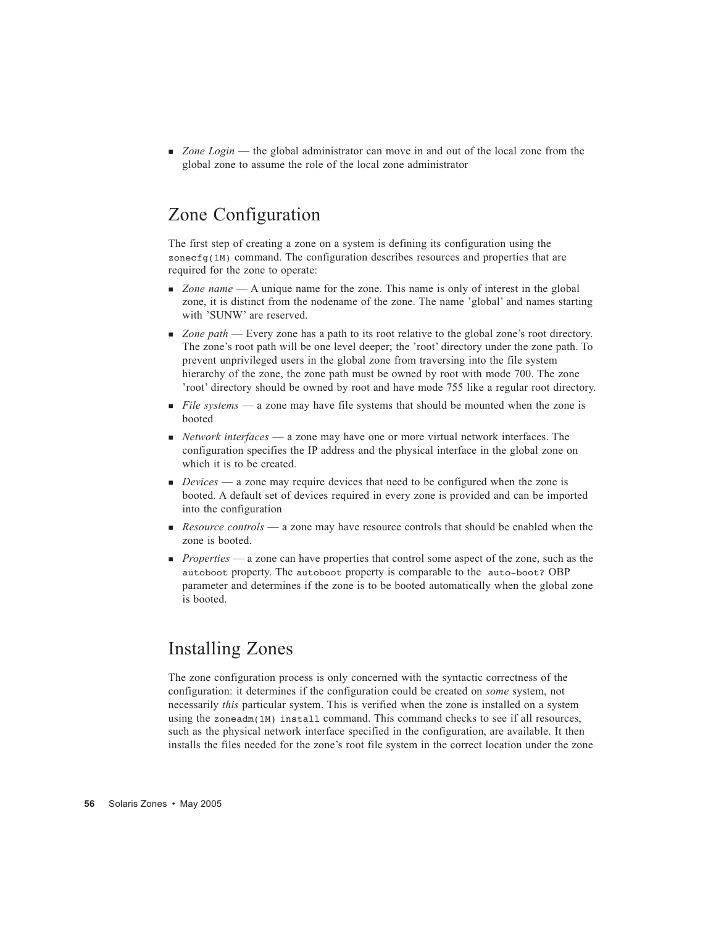*Zone Login* — the global administrator can move in and out of the local zone from the global zone to assume the role of the local zone administrator

### Zone Configuration

The first step of creating a zone on a system is defining its configuration using the zonecfg(1M) command. The configuration describes resources and properties that are required for the zone to operate:

- *Zone name* A unique name for the zone. This name is only of interest in the global zone, it is distinct from the nodename of the zone. The name 'global' and names starting with 'SUNW' are reserved.
- *Zone path* Every zone has a path to its root relative to the global zone's root directory. The zone's root path will be one level deeper; the 'root' directory under the zone path. To prevent unprivileged users in the global zone from traversing into the file system hierarchy of the zone, the zone path must be owned by root with mode 700. The zone 'root' directory should be owned by root and have mode 755 like a regular root directory.
- **File systems** a zone may have file systems that should be mounted when the zone is booted
- *Network interfaces* a zone may have one or more virtual network interfaces. The configuration specifies the IP address and the physical interface in the global zone on which it is to be created.
- *Devices* a zone may require devices that need to be configured when the zone is booted. A default set of devices required in every zone is provided and can be imported into the configuration
- *Resource controls* a zone may have resource controls that should be enabled when the zone is booted.
- **Properties** a zone can have properties that control some aspect of the zone, such as the autoboot property. The autoboot property is comparable to the auto-boot? OBP parameter and determines if the zone is to be booted automatically when the global zone is booted.

#### Installing Zones

The zone configuration process is only concerned with the syntactic correctness of the configuration: it determines if the configuration could be created on *some* system, not necessarily *this* particular system. This is verified when the zone is installed on a system using the zoneadm(1M) install command. This command checks to see if all resources, such as the physical network interface specified in the configuration, are available. It then installs the files needed for the zone's root file system in the correct location under the zone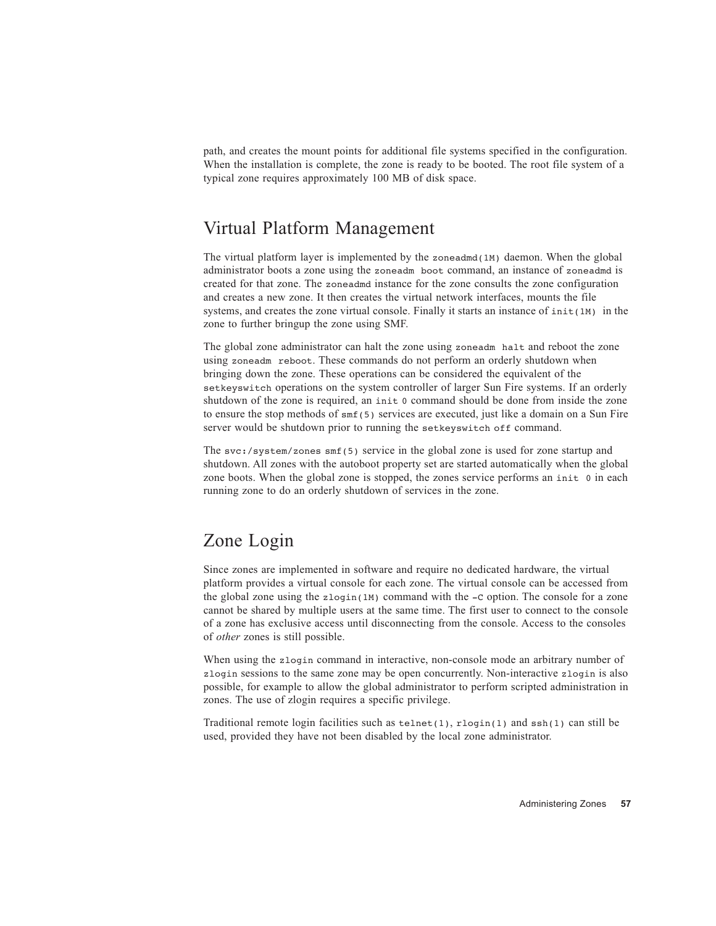path, and creates the mount points for additional file systems specified in the configuration. When the installation is complete, the zone is ready to be booted. The root file system of a typical zone requires approximately 100 MB of disk space.

#### Virtual Platform Management

The virtual platform layer is implemented by the zoneadmd(1M) daemon. When the global administrator boots a zone using the zoneadm boot command, an instance of zoneadmd is created for that zone. The zoneadmd instance for the zone consults the zone configuration and creates a new zone. It then creates the virtual network interfaces, mounts the file systems, and creates the zone virtual console. Finally it starts an instance of  $init(1M)$  in the zone to further bringup the zone using SMF.

The global zone administrator can halt the zone using zoneadm halt and reboot the zone using zoneadm reboot. These commands do not perform an orderly shutdown when bringing down the zone. These operations can be considered the equivalent of the setkeyswitch operations on the system controller of larger Sun Fire systems. If an orderly shutdown of the zone is required, an init 0 command should be done from inside the zone to ensure the stop methods of smf(5) services are executed, just like a domain on a Sun Fire server would be shutdown prior to running the setkeyswitch off command.

The svc:/system/zones smf(5) service in the global zone is used for zone startup and shutdown. All zones with the autoboot property set are started automatically when the global zone boots. When the global zone is stopped, the zones service performs an init 0 in each running zone to do an orderly shutdown of services in the zone.

### Zone Login

Since zones are implemented in software and require no dedicated hardware, the virtual platform provides a virtual console for each zone. The virtual console can be accessed from the global zone using the  $z \log \ln (1M)$  command with the  $-c$  option. The console for a zone cannot be shared by multiple users at the same time. The first user to connect to the console of a zone has exclusive access until disconnecting from the console. Access to the consoles of *other* zones is still possible.

When using the zlogin command in interactive, non-console mode an arbitrary number of zlogin sessions to the same zone may be open concurrently. Non-interactive zlogin is also possible, for example to allow the global administrator to perform scripted administration in zones. The use of zlogin requires a specific privilege.

Traditional remote login facilities such as  $t = \text{length}(1)$ ,  $r \log(n)$  and  $s \ln(1)$  can still be used, provided they have not been disabled by the local zone administrator.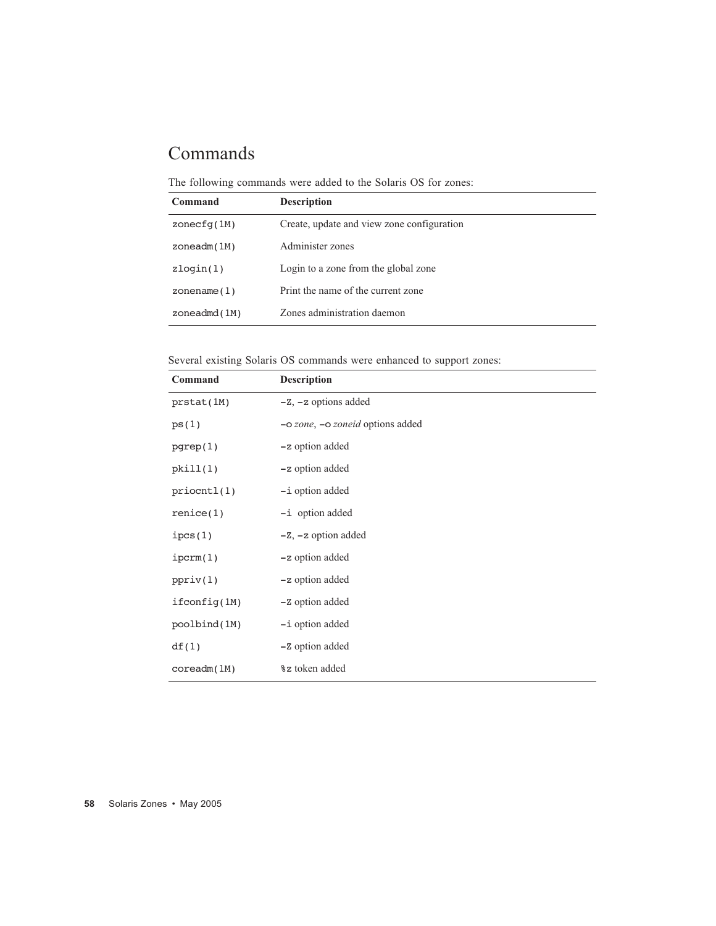# Commands

The following commands were added to the Solaris OS for zones:

| Command         | <b>Description</b>                         |
|-----------------|--------------------------------------------|
| zonecfq(1M)     | Create, update and view zone configuration |
| zoneadm(1M)     | Administer zones                           |
| $z$ loqin $(1)$ | Login to a zone from the global zone       |
| zonename $(1)$  | Print the name of the current zone         |
| zoneadmd(1M)    | Zones administration daemon                |

Several existing Solaris OS commands were enhanced to support zones:

| Command         | <b>Description</b>               |  |  |
|-----------------|----------------------------------|--|--|
| prstat(1M)      | $-Z$ , $-z$ options added        |  |  |
| ps(1)           | -o zone, -o zoneid options added |  |  |
| pgrep(1)        | -z option added                  |  |  |
| pkill(1)        | -z option added                  |  |  |
| priccnt1(1)     | -i option added                  |  |  |
| $r$ enice $(1)$ | -i option added                  |  |  |
| ipcs(1)         | $-Z$ , $-z$ option added         |  |  |
| iperm(1)        | -z option added                  |  |  |
| ppriv(1)        | -z option added                  |  |  |
| ifconfig(1M)    | -Z option added                  |  |  |
| poolbind(1M)    | $-i$ option added                |  |  |
| df(1)           | -Z option added                  |  |  |
| coreadm(1M)     | % a token added                  |  |  |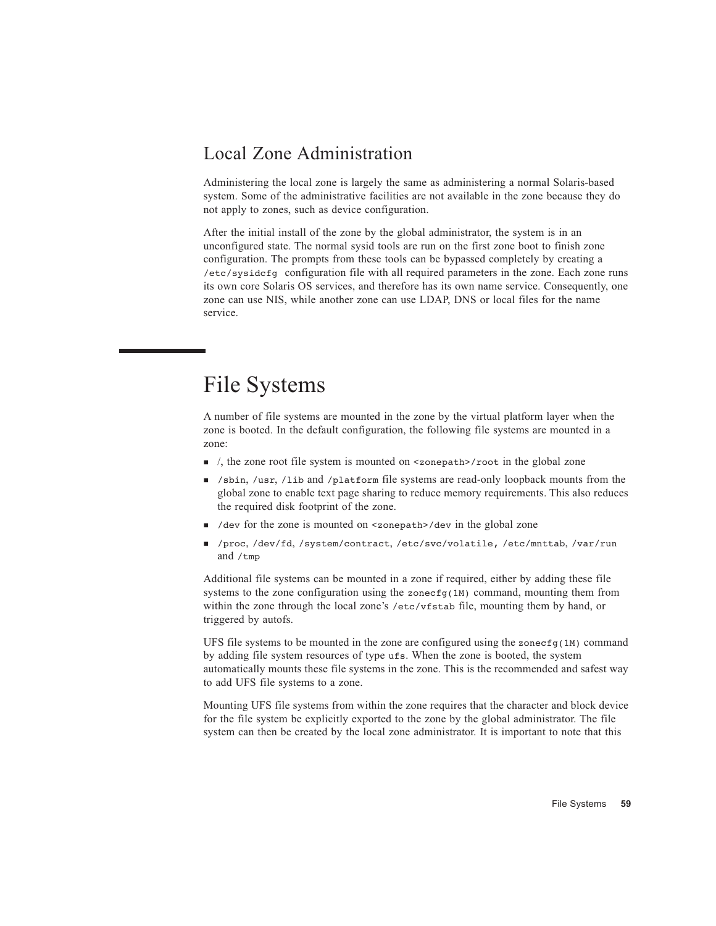#### Local Zone Administration

Administering the local zone is largely the same as administering a normal Solaris-based system. Some of the administrative facilities are not available in the zone because they do not apply to zones, such as device configuration.

After the initial install of the zone by the global administrator, the system is in an unconfigured state. The normal sysid tools are run on the first zone boot to finish zone configuration. The prompts from these tools can be bypassed completely by creating a /etc/sysidcfg configuration file with all required parameters in the zone. Each zone runs its own core Solaris OS services, and therefore has its own name service. Consequently, one zone can use NIS, while another zone can use LDAP, DNS or local files for the name service.

# File Systems

A number of file systems are mounted in the zone by the virtual platform layer when the zone is booted. In the default configuration, the following file systems are mounted in a zone:

- $\blacksquare$  /, the zone root file system is mounted on <zonepath>/root in the global zone
- /sbin, /usr, /lib and /platform file systems are read-only loopback mounts from the global zone to enable text page sharing to reduce memory requirements. This also reduces the required disk footprint of the zone.
- /dev for the zone is mounted on <zonepath>/dev in the global zone
- /proc, /dev/fd, /system/contract, /etc/svc/volatile, /etc/mnttab, /var/run and /tmp

Additional file systems can be mounted in a zone if required, either by adding these file systems to the zone configuration using the zonecf<sub>g</sub>(1M) command, mounting them from within the zone through the local zone's /etc/vfstab file, mounting them by hand, or triggered by autofs.

UFS file systems to be mounted in the zone are configured using the zone  $\epsilon_{q(1M)}$  command by adding file system resources of type ufs. When the zone is booted, the system automatically mounts these file systems in the zone. This is the recommended and safest way to add UFS file systems to a zone.

Mounting UFS file systems from within the zone requires that the character and block device for the file system be explicitly exported to the zone by the global administrator. The file system can then be created by the local zone administrator. It is important to note that this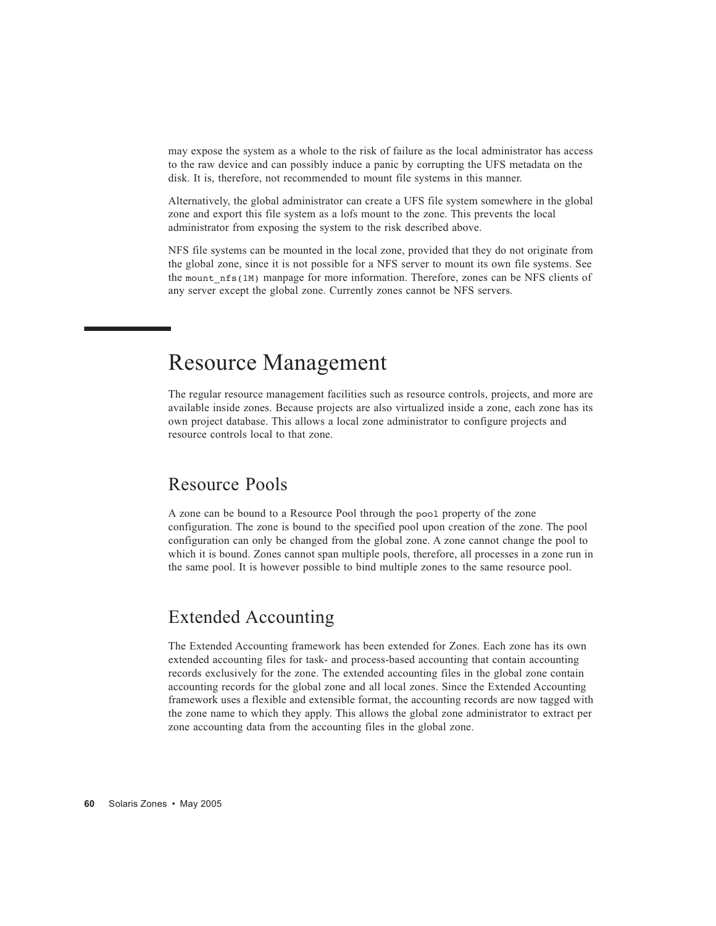may expose the system as a whole to the risk of failure as the local administrator has access to the raw device and can possibly induce a panic by corrupting the UFS metadata on the disk. It is, therefore, not recommended to mount file systems in this manner.

Alternatively, the global administrator can create a UFS file system somewhere in the global zone and export this file system as a lofs mount to the zone. This prevents the local administrator from exposing the system to the risk described above.

NFS file systems can be mounted in the local zone, provided that they do not originate from the global zone, since it is not possible for a NFS server to mount its own file systems. See the mount nfs(1M) manpage for more information. Therefore, zones can be NFS clients of any server except the global zone. Currently zones cannot be NFS servers.

# Resource Management

The regular resource management facilities such as resource controls, projects, and more are available inside zones. Because projects are also virtualized inside a zone, each zone has its own project database. This allows a local zone administrator to configure projects and resource controls local to that zone.

#### Resource Pools

A zone can be bound to a Resource Pool through the pool property of the zone configuration. The zone is bound to the specified pool upon creation of the zone. The pool configuration can only be changed from the global zone. A zone cannot change the pool to which it is bound. Zones cannot span multiple pools, therefore, all processes in a zone run in the same pool. It is however possible to bind multiple zones to the same resource pool.

### Extended Accounting

The Extended Accounting framework has been extended for Zones. Each zone has its own extended accounting files for task- and process-based accounting that contain accounting records exclusively for the zone. The extended accounting files in the global zone contain accounting records for the global zone and all local zones. Since the Extended Accounting framework uses a flexible and extensible format, the accounting records are now tagged with the zone name to which they apply. This allows the global zone administrator to extract per zone accounting data from the accounting files in the global zone.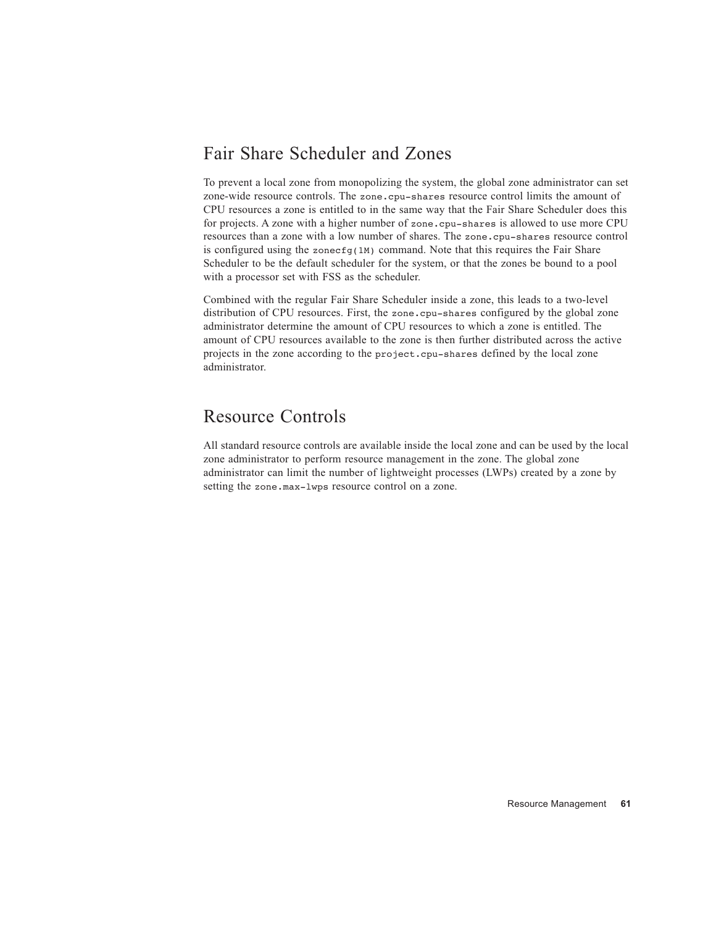#### Fair Share Scheduler and Zones

To prevent a local zone from monopolizing the system, the global zone administrator can set zone-wide resource controls. The zone.cpu-shares resource control limits the amount of CPU resources a zone is entitled to in the same way that the Fair Share Scheduler does this for projects. A zone with a higher number of zone.cpu-shares is allowed to use more CPU resources than a zone with a low number of shares. The zone.cpu-shares resource control is configured using the zonecf<sub>g</sub>(1M) command. Note that this requires the Fair Share Scheduler to be the default scheduler for the system, or that the zones be bound to a pool with a processor set with FSS as the scheduler.

Combined with the regular Fair Share Scheduler inside a zone, this leads to a two-level distribution of CPU resources. First, the zone.cpu-shares configured by the global zone administrator determine the amount of CPU resources to which a zone is entitled. The amount of CPU resources available to the zone is then further distributed across the active projects in the zone according to the project.cpu-shares defined by the local zone administrator.

#### Resource Controls

All standard resource controls are available inside the local zone and can be used by the local zone administrator to perform resource management in the zone. The global zone administrator can limit the number of lightweight processes (LWPs) created by a zone by setting the zone.max-lwps resource control on a zone.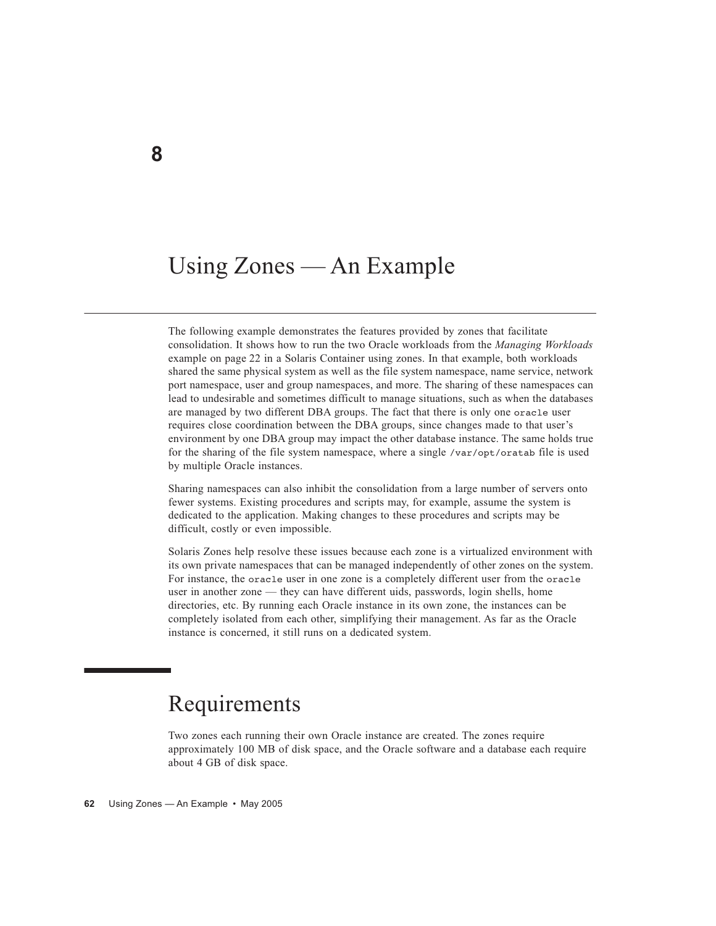# Using Zones — An Example

The following example demonstrates the features provided by zones that facilitate consolidation. It shows how to run the two Oracle workloads from the *Managing Workloads* example on page 22 in a Solaris Container using zones. In that example, both workloads shared the same physical system as well as the file system namespace, name service, network port namespace, user and group namespaces, and more. The sharing of these namespaces can lead to undesirable and sometimes difficult to manage situations, such as when the databases are managed by two different DBA groups. The fact that there is only one oracle user requires close coordination between the DBA groups, since changes made to that user's environment by one DBA group may impact the other database instance. The same holds true for the sharing of the file system namespace, where a single /var/opt/oratab file is used by multiple Oracle instances.

Sharing namespaces can also inhibit the consolidation from a large number of servers onto fewer systems. Existing procedures and scripts may, for example, assume the system is dedicated to the application. Making changes to these procedures and scripts may be difficult, costly or even impossible.

Solaris Zones help resolve these issues because each zone is a virtualized environment with its own private namespaces that can be managed independently of other zones on the system. For instance, the oracle user in one zone is a completely different user from the oracle user in another zone — they can have different uids, passwords, login shells, home directories, etc. By running each Oracle instance in its own zone, the instances can be completely isolated from each other, simplifying their management. As far as the Oracle instance is concerned, it still runs on a dedicated system.

# Requirements

Two zones each running their own Oracle instance are created. The zones require approximately 100 MB of disk space, and the Oracle software and a database each require about 4 GB of disk space.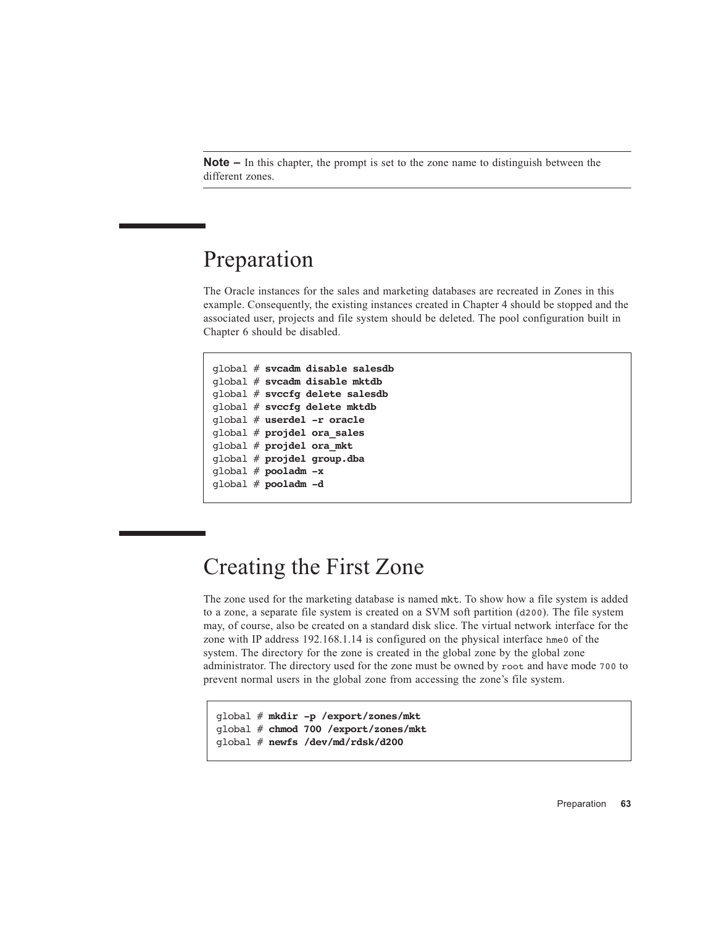**Note –** In this chapter, the prompt is set to the zone name to distinguish between the different zones.

# Preparation

The Oracle instances for the sales and marketing databases are recreated in Zones in this example. Consequently, the existing instances created in Chapter 4 should be stopped and the associated user, projects and file system should be deleted. The pool configuration built in Chapter 6 should be disabled.

```
global # svcadm disable salesdb
global # svcadm disable mktdb
global # svccfg delete salesdb
global # svccfg delete mktdb
global # userdel -r oracle
global # projdel ora_sales
global # projdel ora_mkt
global # projdel group.dba
global # pooladm -x
global # pooladm -d
```
# Creating the First Zone

The zone used for the marketing database is named mkt. To show how a file system is added to a zone, a separate file system is created on a SVM soft partition (d200). The file system may, of course, also be created on a standard disk slice. The virtual network interface for the zone with IP address 192.168.1.14 is configured on the physical interface hme0 of the system. The directory for the zone is created in the global zone by the global zone administrator. The directory used for the zone must be owned by root and have mode 700 to prevent normal users in the global zone from accessing the zone's file system.

```
global # mkdir -p /export/zones/mkt
global # chmod 700 /export/zones/mkt
global # newfs /dev/md/rdsk/d200
```
Preparation **63**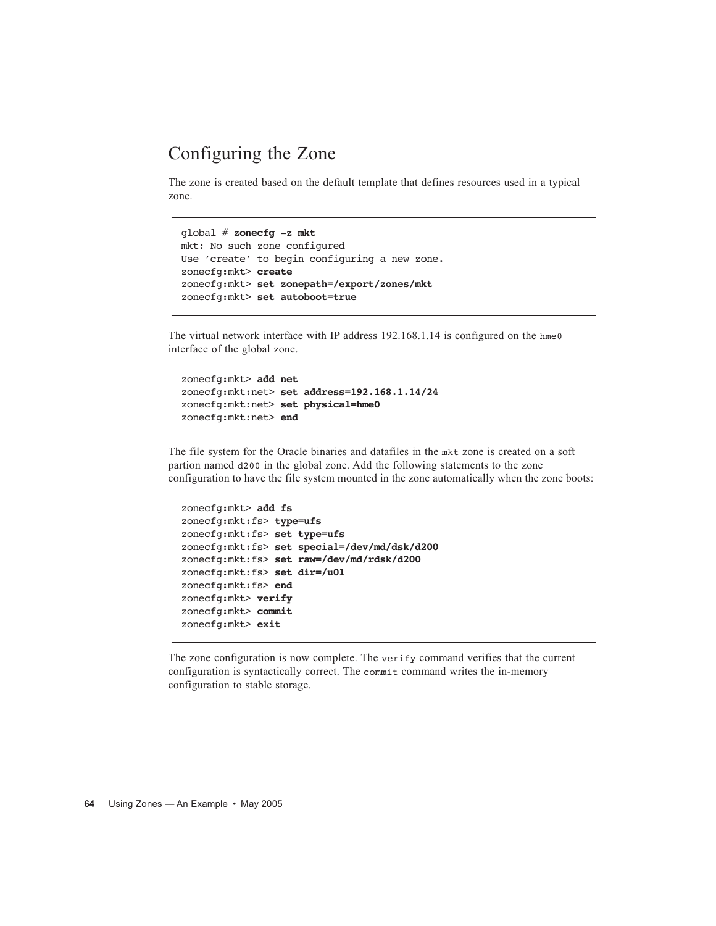### Configuring the Zone

The zone is created based on the default template that defines resources used in a typical zone.

```
global # zonecfg -z mkt
mkt: No such zone configured
Use 'create' to begin configuring a new zone.
zonecfg:mkt> create
zonecfg:mkt> set zonepath=/export/zones/mkt
zonecfg:mkt> set autoboot=true
```
The virtual network interface with IP address 192.168.1.14 is configured on the hme0 interface of the global zone.

```
zonecfg:mkt> add net
zonecfg:mkt:net> set address=192.168.1.14/24
zonecfg:mkt:net> set physical=hme0
zonecfg:mkt:net> end
```
The file system for the Oracle binaries and datafiles in the mkt zone is created on a soft partion named d200 in the global zone. Add the following statements to the zone configuration to have the file system mounted in the zone automatically when the zone boots:

```
zonecfg:mkt> add fs
zonecfg:mkt:fs> type=ufs
zonecfg:mkt:fs> set type=ufs
zonecfg:mkt:fs> set special=/dev/md/dsk/d200
zonecfg:mkt:fs> set raw=/dev/md/rdsk/d200
zonecfg:mkt:fs> set dir=/u01
zonecfg:mkt:fs> end
zonecfg:mkt> verify
zonecfg:mkt> commit
zonecfg:mkt> exit
```
The zone configuration is now complete. The verify command verifies that the current configuration is syntactically correct. The commit command writes the in-memory configuration to stable storage.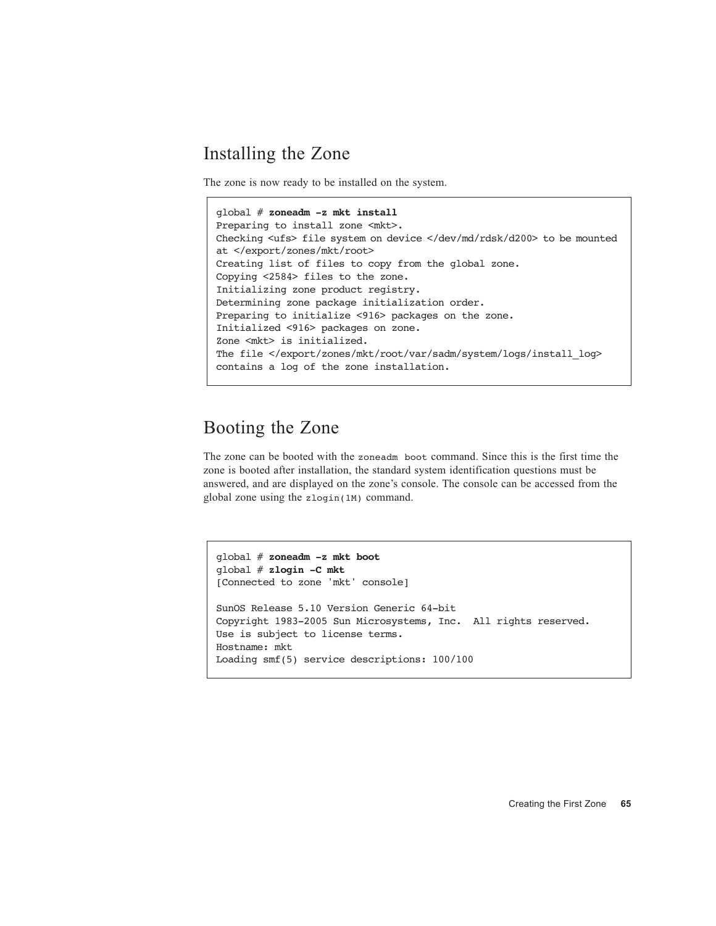#### Installing the Zone

The zone is now ready to be installed on the system.

```
global # zoneadm -z mkt install
Preparing to install zone <mkt>.
Checking <ufs> file system on device </dev/md/rdsk/d200> to be mounted 
at </export/zones/mkt/root>
Creating list of files to copy from the global zone.
Copying <2584> files to the zone.
Initializing zone product registry.
Determining zone package initialization order.
Preparing to initialize <916> packages on the zone.
Initialized <916> packages on zone.
Zone <mkt> is initialized.
The file </export/zones/mkt/root/var/sadm/system/logs/install_log>
contains a log of the zone installation.
```
### Booting the Zone

The zone can be booted with the zoneadm boot command. Since this is the first time the zone is booted after installation, the standard system identification questions must be answered, and are displayed on the zone's console. The console can be accessed from the global zone using the zlogin(1M) command.

```
global # zoneadm -z mkt boot
global # zlogin -C mkt
[Connected to zone 'mkt' console]
SunOS Release 5.10 Version Generic 64-bit
Copyright 1983-2005 Sun Microsystems, Inc. All rights reserved.
Use is subject to license terms.
Hostname: mkt
Loading smf(5) service descriptions: 100/100
```
Creating the First Zone **65**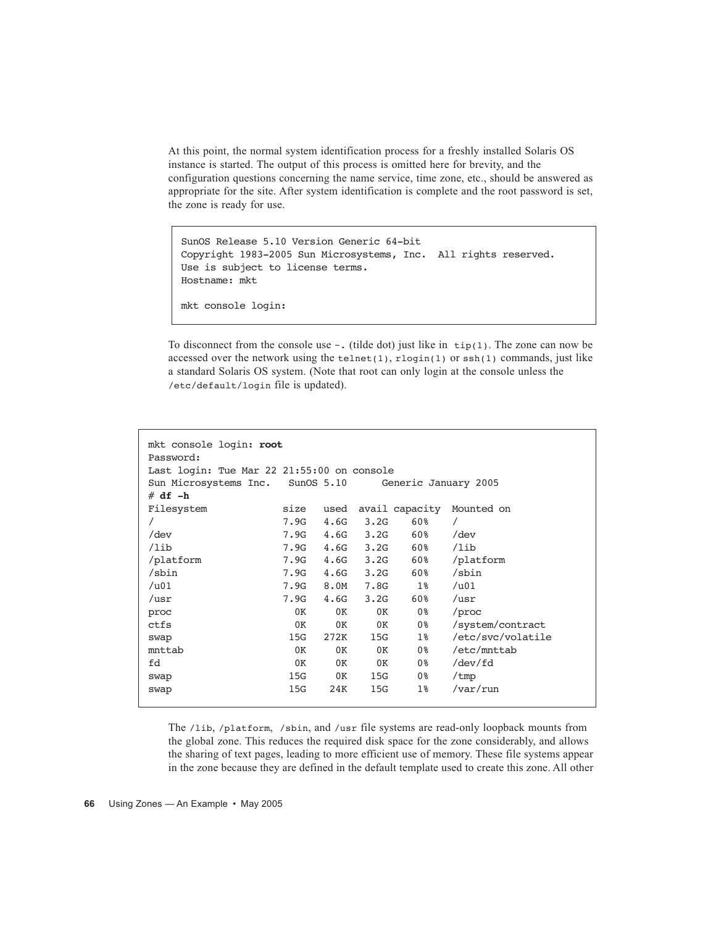At this point, the normal system identification process for a freshly installed Solaris OS instance is started. The output of this process is omitted here for brevity, and the configuration questions concerning the name service, time zone, etc., should be answered as appropriate for the site. After system identification is complete and the root password is set, the zone is ready for use.

SunOS Release 5.10 Version Generic 64-bit Copyright 1983-2005 Sun Microsystems, Inc. All rights reserved. Use is subject to license terms. Hostname: mkt mkt console login:

To disconnect from the console use  $\sim$ . (tilde dot) just like in  $\text{tip}(1)$ . The zone can now be accessed over the network using the  $t = lenet(1)$ ,  $r \log (1)$  or  $s = h(1)$  commands, just like a standard Solaris OS system. (Note that root can only login at the console unless the /etc/default/login file is updated).

| mkt console login: root<br>Password:       |                      |      |                                                                                                                                                                                                                                |                |                   |  |  |  |
|--------------------------------------------|----------------------|------|--------------------------------------------------------------------------------------------------------------------------------------------------------------------------------------------------------------------------------|----------------|-------------------|--|--|--|
| Last login: Tue Mar 22 21:55:00 on console |                      |      |                                                                                                                                                                                                                                |                |                   |  |  |  |
| Sun Microsystems Inc. SunOS 5.10           | Generic January 2005 |      |                                                                                                                                                                                                                                |                |                   |  |  |  |
| $# df - h$                                 |                      |      |                                                                                                                                                                                                                                |                |                   |  |  |  |
| Filesystem                                 | size                 | used |                                                                                                                                                                                                                                | avail capacity | Mounted on        |  |  |  |
|                                            | 7.9G                 | 4.6G | 3.2G                                                                                                                                                                                                                           | 60%            | $\prime$          |  |  |  |
| /dev                                       | 7.9G                 |      | $4.6G$ $3.2G$                                                                                                                                                                                                                  | 60%            | $/\text{dev}$     |  |  |  |
| /lib                                       | 7.9G                 |      | $4.6G$ $3.2G$                                                                                                                                                                                                                  | 60%            | /lib              |  |  |  |
| /platform                                  | 7.9G                 |      | $4.6G$ $3.2G$                                                                                                                                                                                                                  | 60%            | /platform         |  |  |  |
| /sbin                                      | 7.9G                 |      | $4.6G$ $3.2G$                                                                                                                                                                                                                  | 60%            | /sbin             |  |  |  |
| $/$ u01                                    | 7.9G                 | 8.0M | 7.8G                                                                                                                                                                                                                           | $1\%$          | $/$ u01           |  |  |  |
| /usr                                       | 7.9G                 | 4.6G | 3.2G                                                                                                                                                                                                                           | 60%            | ${\tt /usr}$      |  |  |  |
| proc                                       | 0K                   | 0K   | 0K                                                                                                                                                                                                                             | 0%             | /proc             |  |  |  |
| ctfs                                       | 0K                   | 0K   | 0K                                                                                                                                                                                                                             | 0%             | /system/contract  |  |  |  |
| swap                                       | 15G                  | 272K | 15G and the set of the set of the set of the set of the set of the set of the set of the set of the set of the set of the set of the set of the set of the set of the set of the set of the set of the set of the set of the s | $1\%$          | /etc/svc/volatile |  |  |  |
| mnttab                                     | 0K                   | 0K   | 0K                                                                                                                                                                                                                             | 0%             | /etc/mnttab       |  |  |  |
| fd                                         | 0K                   | 0K   | 0K                                                                                                                                                                                                                             | 0%             | /dev/fd           |  |  |  |
| swap                                       | 15G                  | 0K   | 15G                                                                                                                                                                                                                            | 0 %            | /tmp              |  |  |  |
| swap                                       | 15G                  | 24K  | 15G                                                                                                                                                                                                                            | $1\%$          | $\sqrt{var/run}$  |  |  |  |
|                                            |                      |      |                                                                                                                                                                                                                                |                |                   |  |  |  |

The /lib, /platform, /sbin, and /usr file systems are read-only loopback mounts from the global zone. This reduces the required disk space for the zone considerably, and allows the sharing of text pages, leading to more efficient use of memory. These file systems appear in the zone because they are defined in the default template used to create this zone. All other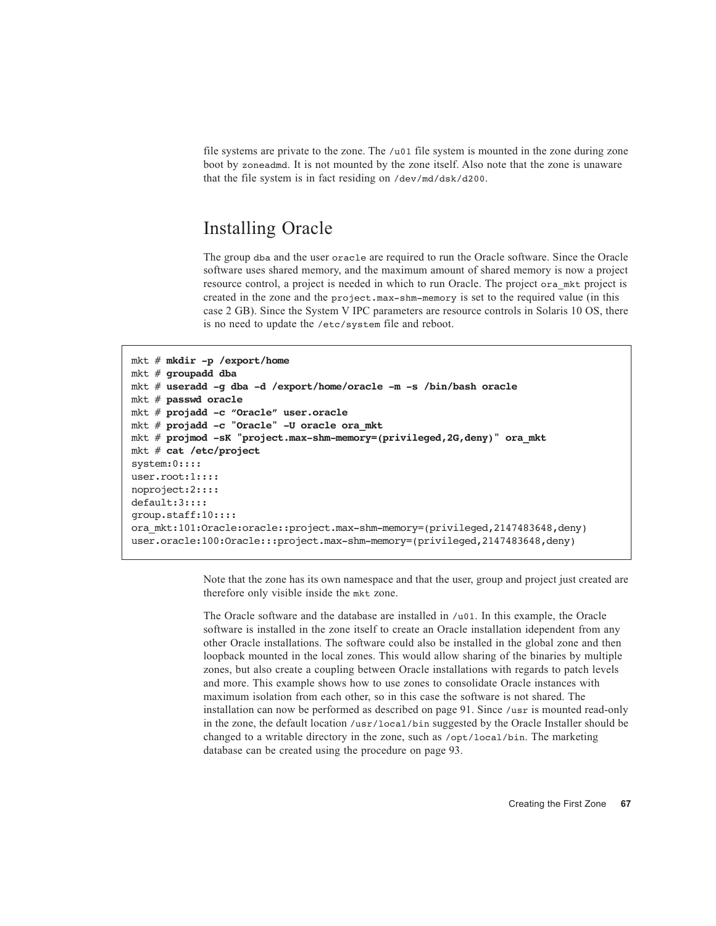file systems are private to the zone. The /u01 file system is mounted in the zone during zone boot by zoneadmd. It is not mounted by the zone itself. Also note that the zone is unaware that the file system is in fact residing on /dev/md/dsk/d200.

#### Installing Oracle

The group dba and the user oracle are required to run the Oracle software. Since the Oracle software uses shared memory, and the maximum amount of shared memory is now a project resource control, a project is needed in which to run Oracle. The project ora mkt project is created in the zone and the project.max-shm-memory is set to the required value (in this case 2 GB). Since the System V IPC parameters are resource controls in Solaris 10 OS, there is no need to update the /etc/system file and reboot.

```
mkt # mkdir -p /export/home
mkt # groupadd dba
mkt # useradd -g dba -d /export/home/oracle -m -s /bin/bash oracle
mkt # passwd oracle
mkt # projadd -c "Oracle" user.oracle
mkt # projadd -c "Oracle" -U oracle ora_mkt
mkt # projmod -sK "project.max-shm-memory=(privileged,2G,deny)" ora_mkt
mkt # cat /etc/project
system:0::::
user.root:1::::
noproject:2::::
default:3::::
group.staff:10::::
ora_mkt:101:Oracle:oracle::project.max-shm-memory=(privileged,2147483648,deny)
user.oracle:100:Oracle:::project.max-shm-memory=(privileged,2147483648,deny)
```
Note that the zone has its own namespace and that the user, group and project just created are therefore only visible inside the mkt zone.

The Oracle software and the database are installed in /u01. In this example, the Oracle software is installed in the zone itself to create an Oracle installation idependent from any other Oracle installations. The software could also be installed in the global zone and then loopback mounted in the local zones. This would allow sharing of the binaries by multiple zones, but also create a coupling between Oracle installations with regards to patch levels and more. This example shows how to use zones to consolidate Oracle instances with maximum isolation from each other, so in this case the software is not shared. The installation can now be performed as described on page 91. Since /usr is mounted read-only in the zone, the default location /usr/local/bin suggested by the Oracle Installer should be changed to a writable directory in the zone, such as /opt/local/bin. The marketing database can be created using the procedure on page 93.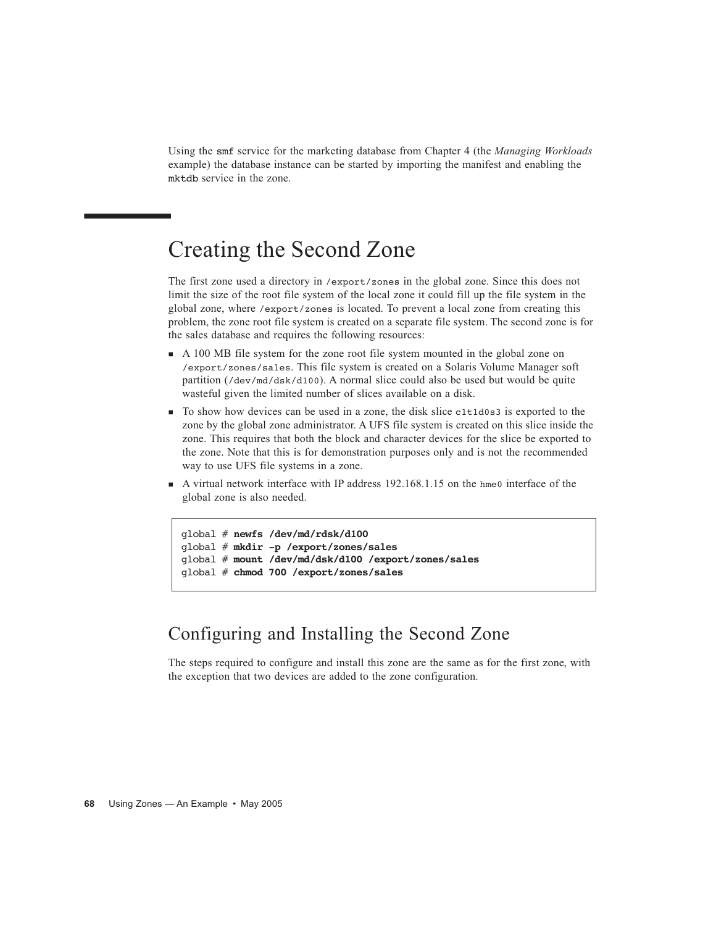Using the smf service for the marketing database from Chapter 4 (the *Managing Workloads* example) the database instance can be started by importing the manifest and enabling the mktdb service in the zone.

# Creating the Second Zone

The first zone used a directory in /export/zones in the global zone. Since this does not limit the size of the root file system of the local zone it could fill up the file system in the global zone, where /export/zones is located. To prevent a local zone from creating this problem, the zone root file system is created on a separate file system. The second zone is for the sales database and requires the following resources:

- A 100 MB file system for the zone root file system mounted in the global zone on /export/zones/sales. This file system is created on a Solaris Volume Manager soft partition (/dev/md/dsk/d100). A normal slice could also be used but would be quite wasteful given the limited number of slices available on a disk.
- To show how devices can be used in a zone, the disk slice c1t1d0s3 is exported to the zone by the global zone administrator. A UFS file system is created on this slice inside the zone. This requires that both the block and character devices for the slice be exported to the zone. Note that this is for demonstration purposes only and is not the recommended way to use UFS file systems in a zone.
- A virtual network interface with IP address 192.168.1.15 on the hme0 interface of the global zone is also needed.

```
global # newfs /dev/md/rdsk/d100
global # mkdir -p /export/zones/sales
global # mount /dev/md/dsk/d100 /export/zones/sales
global # chmod 700 /export/zones/sales
```
### Configuring and Installing the Second Zone

The steps required to configure and install this zone are the same as for the first zone, with the exception that two devices are added to the zone configuration.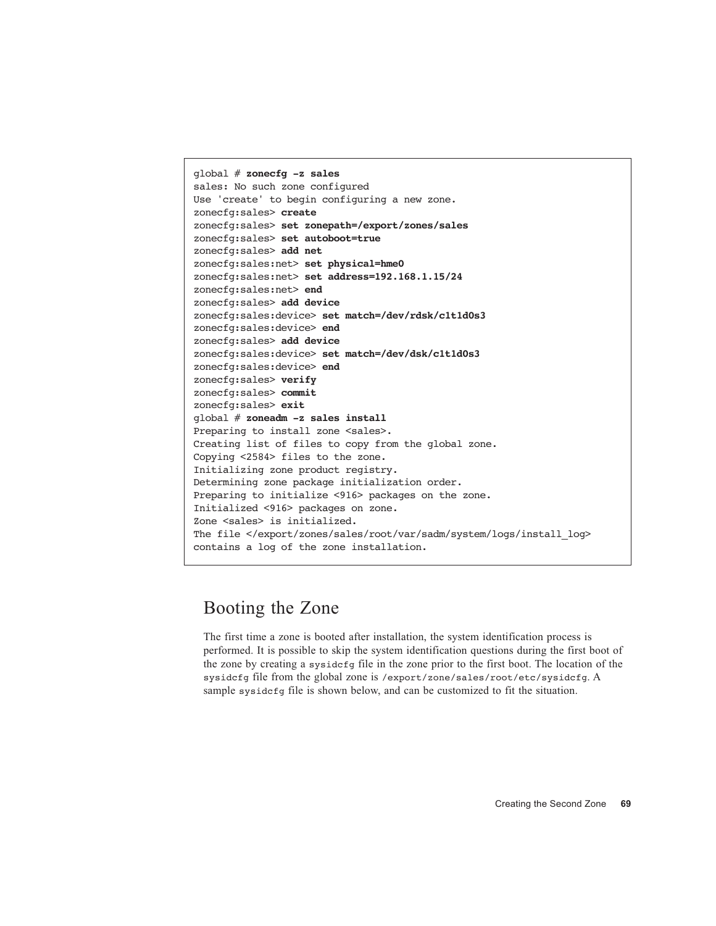```
global # zonecfg -z sales
sales: No such zone configured
Use 'create' to begin configuring a new zone.
zonecfg:sales> create
zonecfg:sales> set zonepath=/export/zones/sales
zonecfg:sales> set autoboot=true
zonecfg:sales> add net
zonecfg:sales:net> set physical=hme0
zonecfg:sales:net> set address=192.168.1.15/24
zonecfg:sales:net> end
zonecfg:sales> add device
zonecfg:sales:device> set match=/dev/rdsk/c1t1d0s3
zonecfg:sales:device> end
zonecfg:sales> add device
zonecfg:sales:device> set match=/dev/dsk/c1t1d0s3
zonecfg:sales:device> end
zonecfg:sales> verify
zonecfg:sales> commit
zonecfg:sales> exit
global # zoneadm -z sales install
Preparing to install zone <sales>.
Creating list of files to copy from the global zone.
Copying <2584> files to the zone.
Initializing zone product registry.
Determining zone package initialization order.
Preparing to initialize <916> packages on the zone.
Initialized <916> packages on zone.
Zone <sales> is initialized.
The file </export/zones/sales/root/var/sadm/system/logs/install_log>
contains a log of the zone installation.
```
#### Booting the Zone

The first time a zone is booted after installation, the system identification process is performed. It is possible to skip the system identification questions during the first boot of the zone by creating a sysidcfg file in the zone prior to the first boot. The location of the sysidcfg file from the global zone is /export/zone/sales/root/etc/sysidcfg. A sample sysidcfg file is shown below, and can be customized to fit the situation.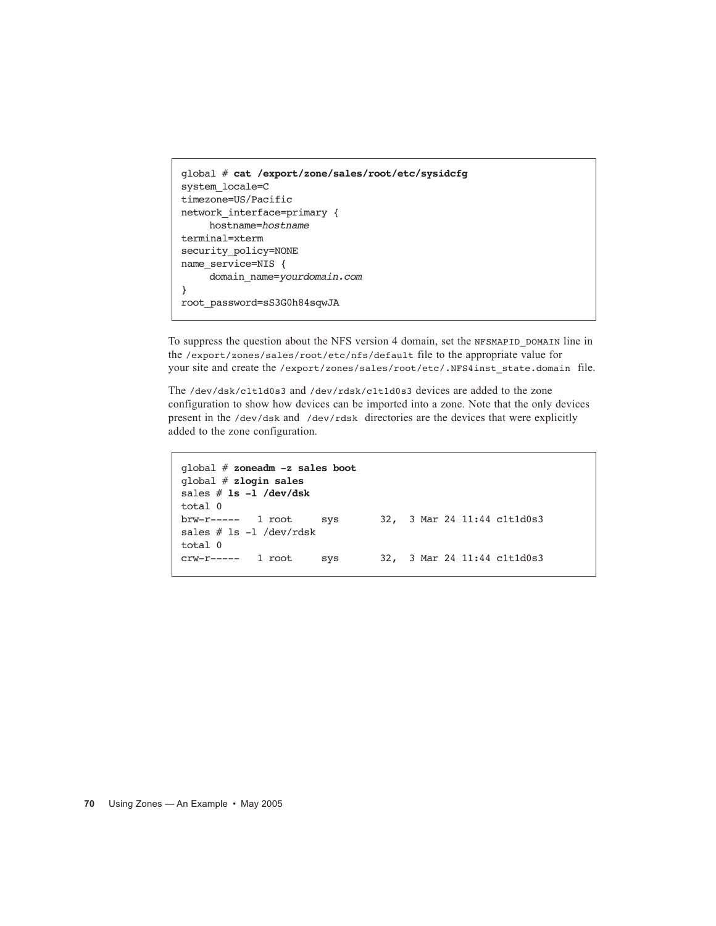```
global # cat /export/zone/sales/root/etc/sysidcfg
system_locale=C
timezone=US/Pacific
network interface=primary {
     hostname=hostname
terminal=xterm
security_policy=NONE
name_service=NIS {
     domain_name=yourdomain.com
}
root_password=sS3G0h84sqwJA
```
To suppress the question about the NFS version 4 domain, set the NFSMAPID\_DOMAIN line in the /export/zones/sales/root/etc/nfs/default file to the appropriate value for your site and create the /export/zones/sales/root/etc/.NFS4inst\_state.domain\_file.

The /dev/dsk/c1t1d0s3 and /dev/rdsk/c1t1d0s3 devices are added to the zone configuration to show how devices can be imported into a zone. Note that the only devices present in the /dev/dsk and /dev/rdsk directories are the devices that were explicitly added to the zone configuration.

```
global # zoneadm -z sales boot
global # zlogin sales
sales # ls -l /dev/dsk
total 0
brw-r----- 1 root sys 32, 3 Mar 24 11:44 c1t1d0s3
sales # ls -l /dev/rdsk
total 0
crw-r----- 1 root sys 32, 3 Mar 24 11:44 c1t1d0s3
```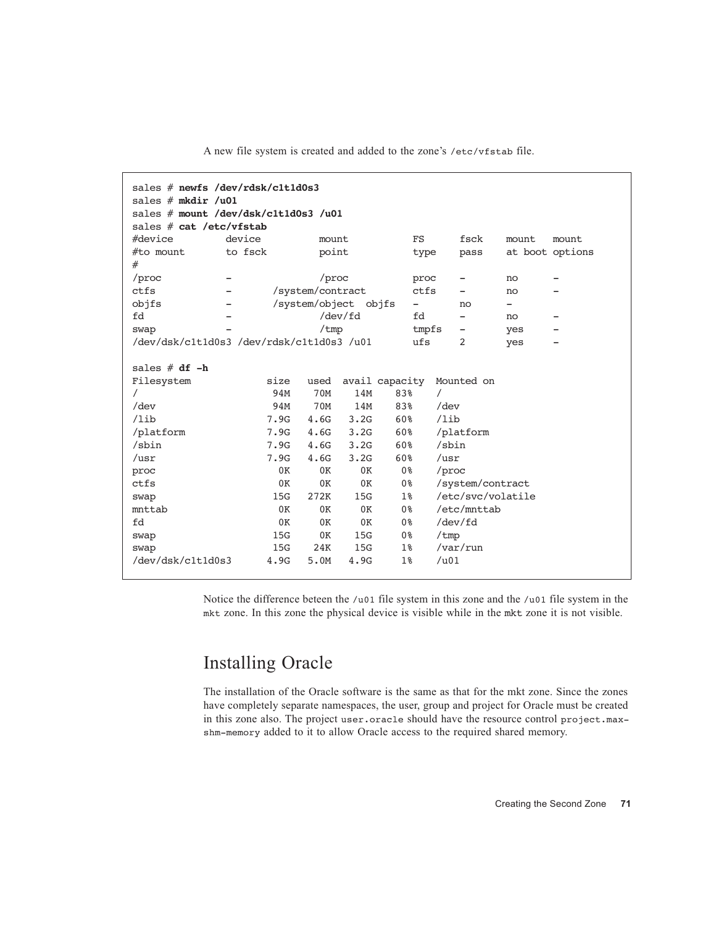| sales $#$ newfs /dev/rdsk/c1t1d0s3<br>sales $#$ mkdir /u01<br>sales # mount /dev/dsk/c1t1d0s3 /u01<br>sales # cat /etc/vfstab        |                                                                             |                                                                                     |                                                                     |                                                                                                          |                                                                                                                                                        |       |                 |
|--------------------------------------------------------------------------------------------------------------------------------------|-----------------------------------------------------------------------------|-------------------------------------------------------------------------------------|---------------------------------------------------------------------|----------------------------------------------------------------------------------------------------------|--------------------------------------------------------------------------------------------------------------------------------------------------------|-------|-----------------|
| #device                                                                                                                              | device                                                                      | mount                                                                               |                                                                     | FS                                                                                                       | fsck                                                                                                                                                   | mount | mount           |
| #to mount                                                                                                                            | to fsck                                                                     | point                                                                               |                                                                     | type                                                                                                     | pass                                                                                                                                                   |       | at boot options |
| #                                                                                                                                    |                                                                             |                                                                                     |                                                                     |                                                                                                          |                                                                                                                                                        |       |                 |
| /proc                                                                                                                                |                                                                             | /proc                                                                               |                                                                     | proc                                                                                                     |                                                                                                                                                        | no    |                 |
| ctfs                                                                                                                                 |                                                                             | /system/contract                                                                    |                                                                     | ctfs                                                                                                     |                                                                                                                                                        | no    |                 |
| objfs                                                                                                                                | /system/object objfs<br>-<br>no<br>-                                        |                                                                                     |                                                                     |                                                                                                          |                                                                                                                                                        |       |                 |
| fd                                                                                                                                   |                                                                             |                                                                                     | $/\text{dev}/\text{fd}$                                             | fd                                                                                                       |                                                                                                                                                        | no    |                 |
| swap                                                                                                                                 |                                                                             | /tmp                                                                                |                                                                     |                                                                                                          | tmpfs<br>-                                                                                                                                             | yes   |                 |
| /dev/dsk/c1t1d0s3 /dev/rdsk/c1t1d0s3 /u01                                                                                            |                                                                             |                                                                                     |                                                                     | ufs                                                                                                      | 2                                                                                                                                                      | yes   |                 |
| sales $# df - h$<br>Filesystem<br>7<br>$/\text{dev}$<br>/lib<br>/platform<br>/sbin<br>${\tt /usr}$<br>proc<br>ctfs<br>swap<br>mnttab | size<br>94M<br>94M<br>7.9G<br>7.9G<br>7.9G<br>7.9G<br>0K<br>0K<br>15G<br>0K | used<br>70M<br><b>70M</b><br>4.6G<br>4.6G<br>4.6G<br>4.6G<br>0K<br>0K<br>272K<br>0K | 14M<br>14M<br>3.2G<br>3.2G<br>3.2G<br>3.2G<br>0K<br>0K<br>15G<br>0K | avail capacity<br>83%<br>83%<br>60%<br>60%<br>60%<br>60%<br>0 <sup>8</sup><br>0%<br>1 <sup>°</sup><br>0% | Mounted on<br>$\prime$<br>$/\text{dev}$<br>/lib<br>/platform<br>/sbin<br>${\tt /usr}$<br>/proc<br>/system/contract<br>/etc/svc/volatile<br>/etc/mnttab |       |                 |
| fd                                                                                                                                   | 0K                                                                          | 0K                                                                                  | 0K                                                                  | 0%                                                                                                       | /dev/fd                                                                                                                                                |       |                 |
| swap                                                                                                                                 | 15G                                                                         | 0K                                                                                  | 15G                                                                 | 0 <sup>8</sup>                                                                                           | /tmp                                                                                                                                                   |       |                 |
| swap                                                                                                                                 | 15G                                                                         | 24K                                                                                 | 15G                                                                 | $1\%$                                                                                                    | /var/run                                                                                                                                               |       |                 |
| /dev/dsk/c1t1d0s3                                                                                                                    | 4.9G                                                                        | 5.0M                                                                                | 4.9G                                                                | 1 <sup>°</sup>                                                                                           | / <sub>u01</sub>                                                                                                                                       |       |                 |

A new file system is created and added to the zone's /etc/vfstab file.

Notice the difference beteen the /u01 file system in this zone and the /u01 file system in the mkt zone. In this zone the physical device is visible while in the mkt zone it is not visible.

#### Installing Oracle

The installation of the Oracle software is the same as that for the mkt zone. Since the zones have completely separate namespaces, the user, group and project for Oracle must be created in this zone also. The project user.oracle should have the resource control project.maxshm-memory added to it to allow Oracle access to the required shared memory.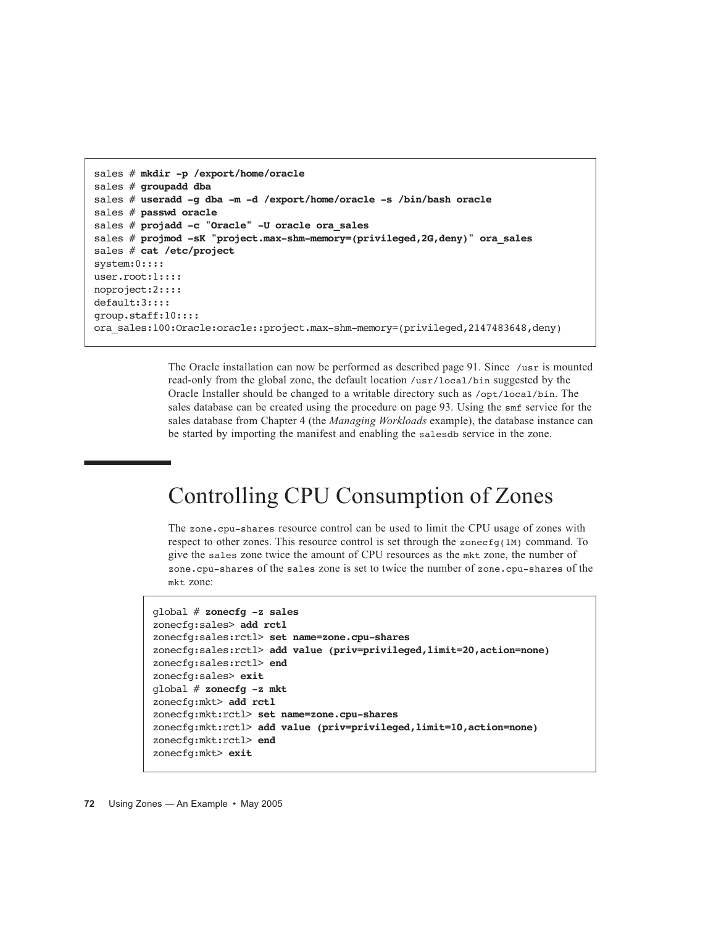```
sales # mkdir -p /export/home/oracle
sales # groupadd dba
sales # useradd -g dba -m -d /export/home/oracle -s /bin/bash oracle
sales # passwd oracle
sales # projadd -c "Oracle" -U oracle ora_sales
sales # projmod -sK "project.max-shm-memory=(privileged,2G,deny)" ora_sales
sales # cat /etc/project
system:0::::
user.root:1::::
noproject:2::::
default:3::::
group.staff:10::::
ora_sales:100:Oracle:oracle::project.max-shm-memory=(privileged,2147483648,deny)
```
The Oracle installation can now be performed as described page 91. Since /usr is mounted read-only from the global zone, the default location /usr/local/bin suggested by the Oracle Installer should be changed to a writable directory such as /opt/local/bin. The sales database can be created using the procedure on page 93. Using the smf service for the sales database from Chapter 4 (the *Managing Workloads* example), the database instance can be started by importing the manifest and enabling the salesdb service in the zone.

## Controlling CPU Consumption of Zones

The zone.cpu-shares resource control can be used to limit the CPU usage of zones with respect to other zones. This resource control is set through the zonecfg(1M) command. To give the sales zone twice the amount of CPU resources as the mkt zone, the number of zone.cpu-shares of the sales zone is set to twice the number of zone.cpu-shares of the mkt zone:

```
global # zonecfg -z sales
zonecfg:sales> add rctl
zonecfg:sales:rctl> set name=zone.cpu-shares
zonecfg:sales:rctl> add value (priv=privileged,limit=20,action=none)
zonecfg:sales:rctl> end
zonecfg:sales> exit
global # zonecfg -z mkt
zonecfg:mkt> add rctl
zonecfg:mkt:rctl> set name=zone.cpu-shares
zonecfg:mkt:rctl> add value (priv=privileged,limit=10,action=none)
zonecfg:mkt:rctl> end
zonecfg:mkt> exit
```

```
72 Using Zones — An Example • May 2005
```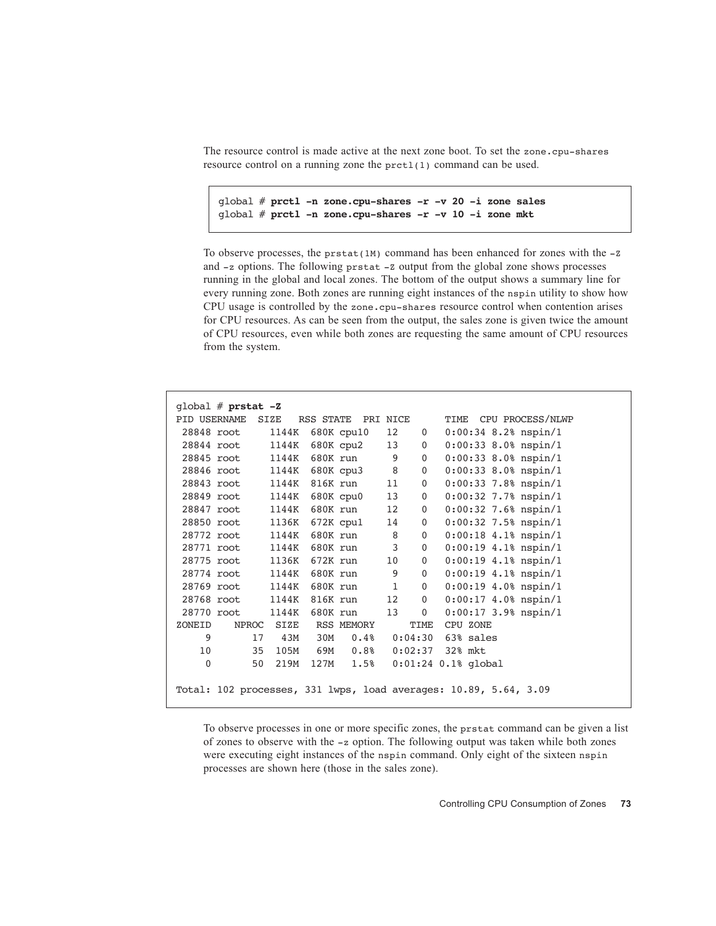The resource control is made active at the next zone boot. To set the zone.cpu-shares resource control on a running zone the prctl(1) command can be used.

global # **prctl -n zone.cpu-shares -r -v 20 -i zone sales** global # **prctl -n zone.cpu-shares -r -v 10 -i zone mkt**

To observe processes, the pr $stat(1M)$  command has been enhanced for zones with the  $-z$ and -z options. The following prstat -Z output from the global zone shows processes running in the global and local zones. The bottom of the output shows a summary line for every running zone. Both zones are running eight instances of the nspin utility to show how CPU usage is controlled by the zone.cpu-shares resource control when contention arises for CPU resources. As can be seen from the output, the sales zone is given twice the amount of CPU resources, even while both zones are requesting the same amount of CPU resources from the system.

|        | qlobal $#$ prstat $-Z$ |       |                                                                              |              |                |                     |                       |                        |
|--------|------------------------|-------|------------------------------------------------------------------------------|--------------|----------------|---------------------|-----------------------|------------------------|
|        | PID USERNAME SIZE      |       | RSS STATE PRI NICE                                                           |              |                |                     |                       | TIME CPU PROCESS/NLWP  |
|        | 28848 root             | 1144K | 680K cpu10                                                                   | 12           | $\mathbf{0}$   |                     |                       | $0:00:34$ 8.2% nspin/1 |
|        | 28844 root             | 1144K | 680K cpu2                                                                    | 13           | 0              |                     |                       | $0:00:33$ 8.0% nspin/1 |
|        | 28845 root             | 1144K | 680K run                                                                     | 9            | $\mathbf{0}$   |                     |                       | $0:00:33$ 8.0% nspin/1 |
|        | 28846 root             | 1144K | 680K cpu3 8                                                                  |              | $\mathbf 0$    |                     |                       | $0:00:33$ 8.0% nspin/1 |
|        | 28843 root             | 1144K | 816K run                                                                     | 11           | 0              |                     |                       | $0:00:33$ 7.8% nspin/1 |
|        | 28849 root             | 1144K | 680K cpu0                                                                    | 13           | 0              |                     |                       | $0:00:32$ 7.7% nspin/1 |
|        | 28847 root             | 1144K | 680K run                                                                     | 12           | 0              |                     |                       | $0:00:32$ 7.6% nspin/1 |
|        | 28850 root             | 1136K | 672K cpul                                                                    | 14           | 0              |                     |                       | $0:00:32$ 7.5% nspin/1 |
|        | 28772 root             | 1144K | 680K run                                                                     | 8            | $\mathbf 0$    |                     |                       | $0:00:18$ 4.1% nspin/1 |
|        | 28771 root             | 1144K | 680K run                                                                     | $3^{\circ}$  | $\mathbf 0$    |                     |                       | $0:00:19$ 4.1% nspin/1 |
|        | 28775 root             | 1136K | 672K run                                                                     | 10           | $\mathbf 0$    |                     |                       | $0:00:19$ 4.1% nspin/1 |
|        | 28774 root             | 1144K | 680K run                                                                     | 9            | $\overline{0}$ |                     |                       | $0:00:19$ 4.1% nspin/1 |
|        | 28769 root             | 1144K | 680K run                                                                     | $\mathbf{1}$ | $\mathbf 0$    |                     |                       | $0:00:19$ 4.0% nspin/1 |
|        | 28768 root             | 1144K | 816K run                                                                     | 12           | $\overline{0}$ |                     |                       | $0:00:17$ 4.0% nspin/1 |
|        | 28770 root             | 1144K | 680K run                                                                     | 13           | $\overline{0}$ |                     |                       | $0:00:17$ 3.9% nspin/1 |
| ZONEID | NPROC                  | SIZE  | RSS MEMORY                                                                   |              | TIME           | CPU ZONE            |                       |                        |
| 9      | 17                     | 43M   | 30M<br>0.48                                                                  |              |                | $0:04:30$ 63% sales |                       |                        |
| 10     | 35                     | 105M  | $69M$ 0.8%                                                                   |              |                | $0:02:37$ 32% mkt   |                       |                        |
| 0      | 50                     | 219M  | 127M 1.5%                                                                    |              |                |                     | $0:01:24$ 0.1% global |                        |
|        |                        |       | Total: $102$ processes, $331$ lwps, load averages: $10.89$ , $5.64$ , $3.09$ |              |                |                     |                       |                        |
|        |                        |       |                                                                              |              |                |                     |                       |                        |

To observe processes in one or more specific zones, the prstat command can be given a list of zones to observe with the -z option. The following output was taken while both zones were executing eight instances of the nspin command. Only eight of the sixteen nspin processes are shown here (those in the sales zone).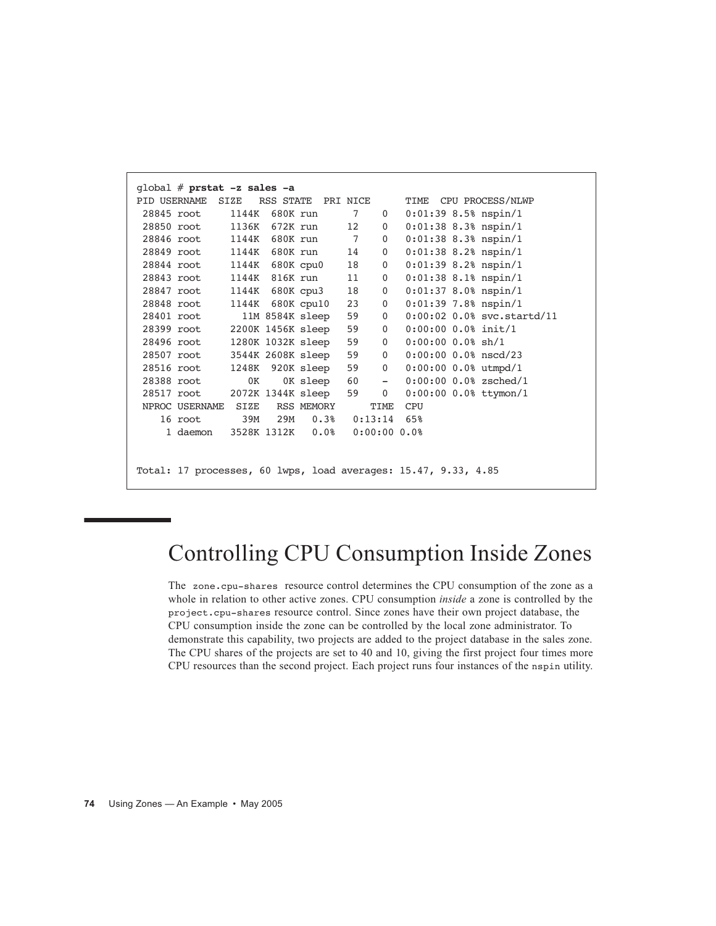| qlobal $#$ prstat $-z$ sales $-a$      |     |     |                    |                      |                |                                                                |
|----------------------------------------|-----|-----|--------------------|----------------------|----------------|----------------------------------------------------------------|
| PID USERNAME SIZE                      |     |     | RSS STATE PRI NICE |                      |                | TIME CPU PROCESS/NLWP                                          |
| 28845 root                             |     |     | 1144K 680K run     | $7\degree$           | $\mathbf{0}$   | $0:01:39$ 8.5% nspin/1                                         |
| 28850 root                             |     |     | 1136K 672K run     | 12                   | $\overline{0}$ | $0:01:38$ 8.3% nspin/1                                         |
| 28846 root 1144K 680K run              |     |     |                    | $7\overline{ }$      | $\mathbf{0}$   | $0:01:38$ 8.3% nspin/1                                         |
| 28849 root 1144K                       |     |     | 680K run           | 14                   | $\overline{0}$ | $0:01:38$ 8.2% nspin/1                                         |
| 28844 root 1144K 680K cpu0             |     |     |                    | 18                   | $\overline{0}$ | $0:01:39$ 8.2% nspin/1                                         |
| 28843 root                             |     |     | 1144K 816K run     | 11                   | $\overline{0}$ | $0:01:38$ 8.1% nspin/1                                         |
| 28847 root                             |     |     | 1144K 680K cpu3    | 18                   | $\overline{0}$ | $0:01:37$ 8.0% nspin/1                                         |
| 28848 root                             |     |     | 1144K 680K cpu10   | 23                   | $\overline{0}$ | $0:01:39$ 7.8% nspin/1                                         |
| 28401 root                             |     |     | 11M 8584K sleep    | 59                   | $\overline{0}$ | 0:00:02 0.0% svc.startd/11                                     |
| 28399 root                             |     |     | 2200K 1456K sleep  | 59                   | $\overline{0}$ | $0:00:00$ 0.0% init/1                                          |
| 28496 root                             |     |     | 1280K 1032K sleep  | 59                   | $\overline{0}$ | $0:00:00$ 0.0% sh/1                                            |
| 28507 root                             |     |     | 3544K 2608K sleep  | 59                   | $\overline{0}$ | $0:00:00$ 0.0% nscd/23                                         |
| 28516 root                             |     |     | 1248K 920K sleep   | 59                   | $\overline{0}$ | $0:00:00$ 0.0% utmpd/1                                         |
| 28388 root                             | 0K  |     | OK sleep           | 60 —                 | $-$            | $0:00:00$ 0.0% zsched/1                                        |
| 28517 root                             |     |     | 2072K 1344K sleep  | 59                   | $\overline{0}$ | $0:00:00$ 0.0% ttymon/1                                        |
| NPROC USERNAME SIZE                    |     |     | RSS MEMORY         |                      | TIME           | CPU                                                            |
| 16 root                                | 39M | 29M |                    | $0.38$ $0:13:14$ 65% |                |                                                                |
| 1 daemon 3528K 1312K 0.0% 0:00:00 0.0% |     |     |                    |                      |                |                                                                |
|                                        |     |     |                    |                      |                |                                                                |
|                                        |     |     |                    |                      |                |                                                                |
|                                        |     |     |                    |                      |                | Total: 17 processes, 60 lwps, load averages: 15.47, 9.33, 4.85 |

## Controlling CPU Consumption Inside Zones

The zone.cpu-shares resource control determines the CPU consumption of the zone as a whole in relation to other active zones. CPU consumption *inside* a zone is controlled by the project.cpu-shares resource control. Since zones have their own project database, the CPU consumption inside the zone can be controlled by the local zone administrator. To demonstrate this capability, two projects are added to the project database in the sales zone. The CPU shares of the projects are set to 40 and 10, giving the first project four times more CPU resources than the second project. Each project runs four instances of the nspin utility.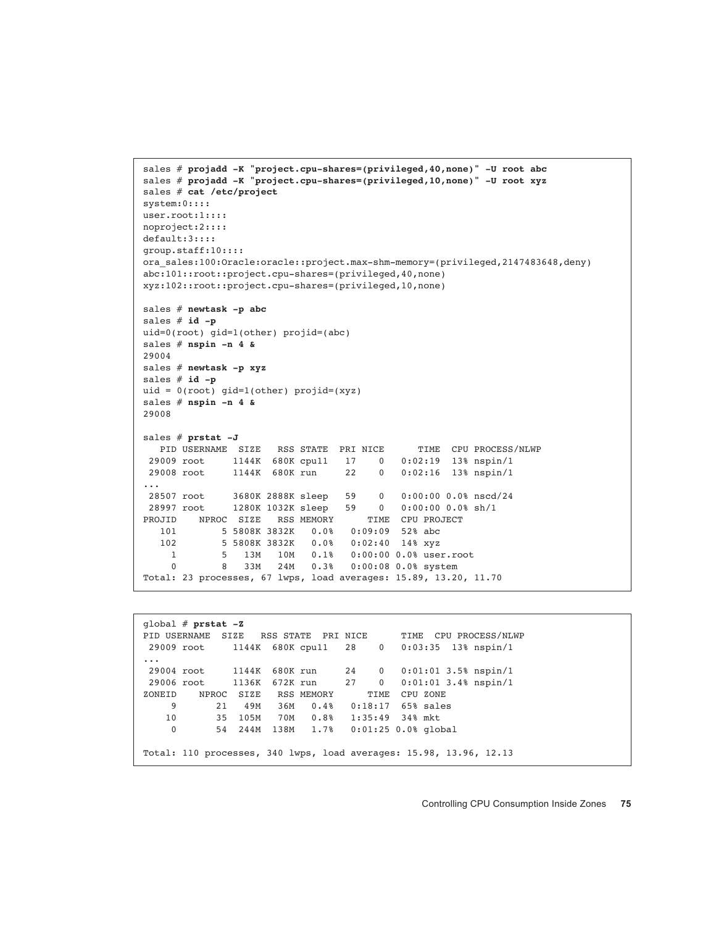```
sales # projadd -K "project.cpu-shares=(privileged,40,none)" -U root abc
sales # projadd -K "project.cpu-shares=(privileged,10,none)" -U root xyz
sales # cat /etc/project
system:0::::
user.root:1::::
noproject:2::::
default:3::::
group.staff:10::::
ora_sales:100:Oracle:oracle::project.max-shm-memory=(privileged,2147483648,deny)
abc:101::root::project.cpu-shares=(privileged,40,none)
xyz:102::root::project.cpu-shares=(privileged,10,none)
sales # newtask -p abc
sales # id -p
uid=0(root) gid=1(other) projid=(abc)
sales # nspin -n 4 &
29004
sales # newtask -p xyz
sales # id -p
uid = 0(root) gid=1(other) projid=(xyz)
sales # nspin -n 4 &
29008
sales # prstat -J
  PID USERNAME SIZE RSS STATE PRI NICE TIME CPU PROCESS/NLWP
 29009 root 1144K 680K cpu11 17 0 0:02:19 13% nspin/1
              29008 root 1144K 680K run 22 0 0:02:16 13% nspin/1
...
 28507 root 3680K 2888K sleep 59 0 0:00:00 0.0% nscd/24
  28997 root 1280K 1032K sleep 59 0 0:00:00 0.0% sh/1
PROJID NPROC SIZE RSS MEMORY TIME CPU PROJECT
    101 5 5808K 3832K 0.0% 0:09:09 52% abc
   102 5 5808K 3832K 0.0% 0:02:40 14% xyz
    1 5 13M 10M 0.1% 0:00:00 0.0% user.root
     0 8 33M 24M 0.3% 0:00:08 0.0% system
Total: 23 processes, 67 lwps, load averages: 15.89, 13.20, 11.70
```

```
global # prstat -Z
PID USERNAME SIZE RSS STATE PRI NICE TIME CPU PROCESS/NLWP
 29009 root 1144K 680K cpu11 28 0 0:03:35 13% nspin/1
...
 29004 root 1144K 680K run 24 0 0:01:01 3.5% nspin/1
 29006 root 1136K 672K run 27 0 0:01:01 3.4% nspin/1
ZONEID NPROC SIZE RSS MEMORY TIME CPU ZONE
    9 21 49M 36M 0.4% 0:18:17 65% sales
 10 35 105M 70M 0.8% 1:35:49 34% mkt
 0 54 244M 138M 1.7% 0:01:25 0.0% global
Total: 110 processes, 340 lwps, load averages: 15.98, 13.96, 12.13
```
Controlling CPU Consumption Inside Zones **75**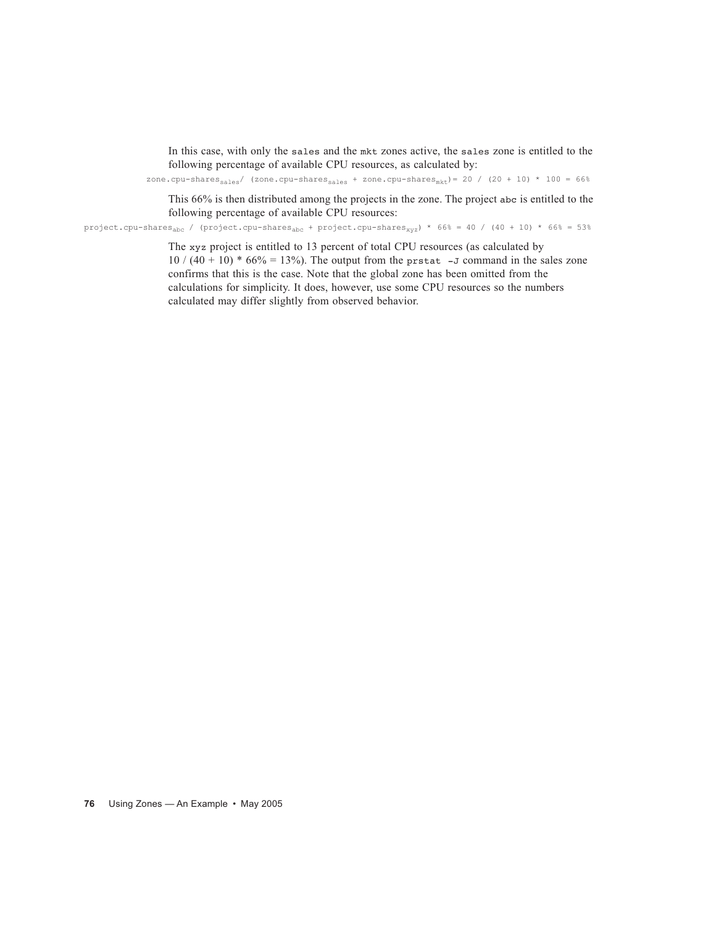In this case, with only the sales and the mkt zones active, the sales zone is entitled to the following percentage of available CPU resources, as calculated by:

zone.cpu-shares<sub>sales</sub>/ (zone.cpu-shares<sub>sales</sub> + zone.cpu-shares<sub>mkt</sub>)= 20 / (20 + 10) \* 100 = 66%

This 66% is then distributed among the projects in the zone. The project abc is entitled to the following percentage of available CPU resources:

project.cpu-shares<sub>abc</sub> / (project.cpu-shares<sub>abc</sub> + project.cpu-shares<sub>xyz</sub>) \* 66% = 40 / (40 + 10) \* 66% = 53%

The xyz project is entitled to 13 percent of total CPU resources (as calculated by  $10 / (40 + 10) * 66\% = 13\%$ . The output from the prstat -J command in the sales zone confirms that this is the case. Note that the global zone has been omitted from the calculations for simplicity. It does, however, use some CPU resources so the numbers calculated may differ slightly from observed behavior.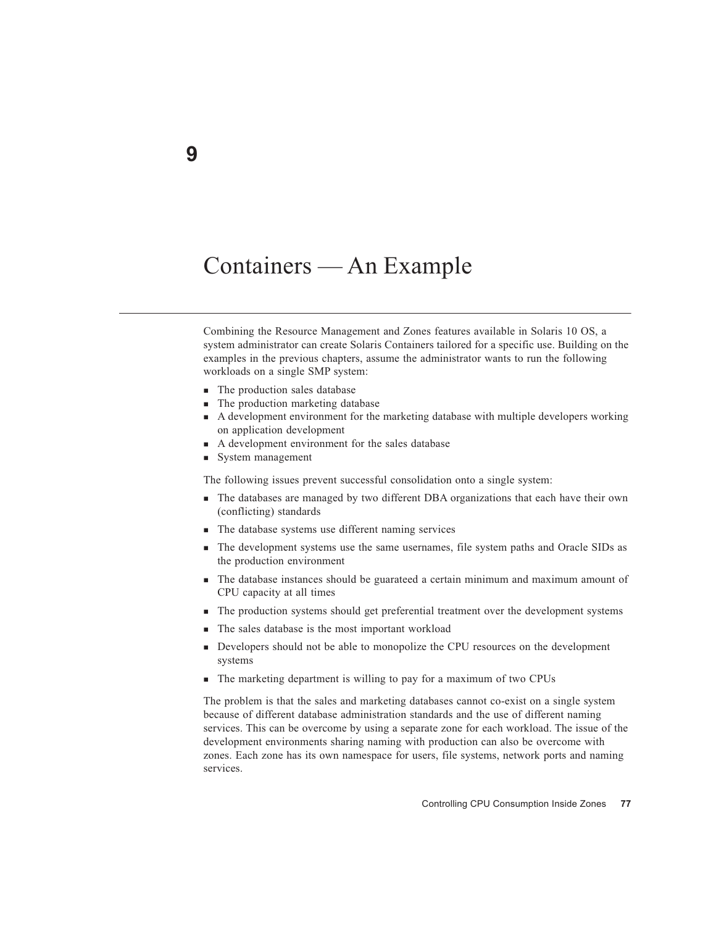#### Containers — An Example

Combining the Resource Management and Zones features available in Solaris 10 OS, a system administrator can create Solaris Containers tailored for a specific use. Building on the examples in the previous chapters, assume the administrator wants to run the following workloads on a single SMP system:

- $\blacksquare$  The production sales database
- The production marketing database
- A development environment for the marketing database with multiple developers working on application development
- A development environment for the sales database
- System management

The following issues prevent successful consolidation onto a single system:

- The databases are managed by two different DBA organizations that each have their own (conflicting) standards
- The database systems use different naming services
- The development systems use the same usernames, file system paths and Oracle SIDs as the production environment
- The database instances should be guarateed a certain minimum and maximum amount of CPU capacity at all times
- The production systems should get preferential treatment over the development systems
- The sales database is the most important workload
- Developers should not be able to monopolize the CPU resources on the development systems
- The marketing department is willing to pay for a maximum of two CPUs

The problem is that the sales and marketing databases cannot co-exist on a single system because of different database administration standards and the use of different naming services. This can be overcome by using a separate zone for each workload. The issue of the development environments sharing naming with production can also be overcome with zones. Each zone has its own namespace for users, file systems, network ports and naming services.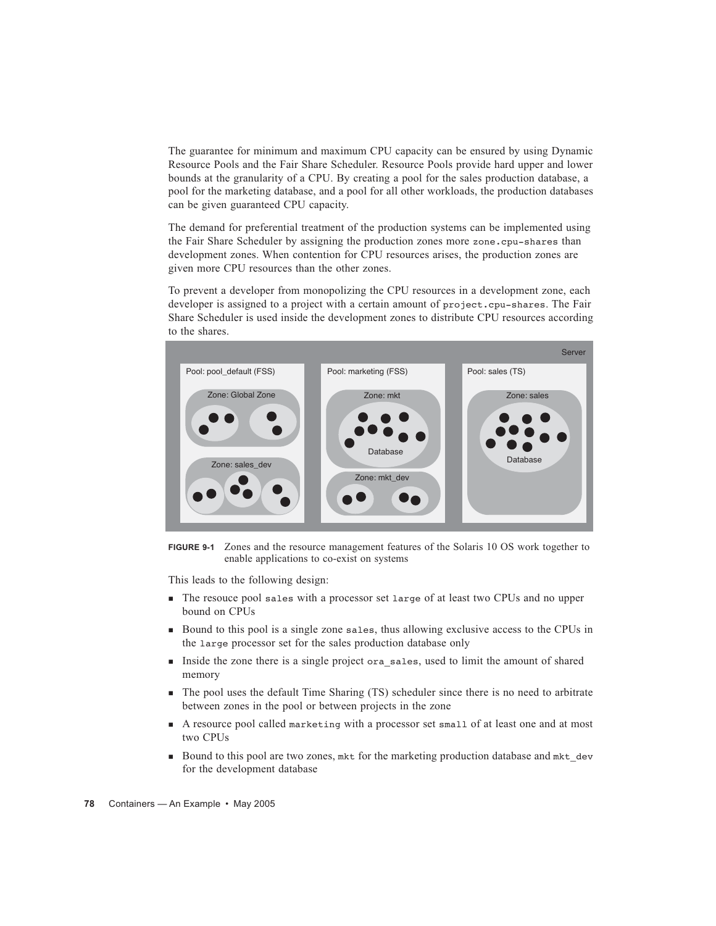The guarantee for minimum and maximum CPU capacity can be ensured by using Dynamic Resource Pools and the Fair Share Scheduler. Resource Pools provide hard upper and lower bounds at the granularity of a CPU. By creating a pool for the sales production database, a pool for the marketing database, and a pool for all other workloads, the production databases can be given guaranteed CPU capacity.

The demand for preferential treatment of the production systems can be implemented using the Fair Share Scheduler by assigning the production zones more zone.cpu-shares than development zones. When contention for CPU resources arises, the production zones are given more CPU resources than the other zones.

To prevent a developer from monopolizing the CPU resources in a development zone, each developer is assigned to a project with a certain amount of project.cpu-shares. The Fair Share Scheduler is used inside the development zones to distribute CPU resources according to the shares.



**FIGURE 9-1** Zones and the resource management features of the Solaris 10 OS work together to enable applications to co-exist on systems

This leads to the following design:

- The resouce pool sales with a processor set large of at least two CPUs and no upper bound on CPUs
- Bound to this pool is a single zone sales, thus allowing exclusive access to the CPUs in the large processor set for the sales production database only
- Inside the zone there is a single project ora\_sales, used to limit the amount of shared memory
- The pool uses the default Time Sharing (TS) scheduler since there is no need to arbitrate between zones in the pool or between projects in the zone
- A resource pool called marketing with a processor set small of at least one and at most two CPUs
- Bound to this pool are two zones, mkt for the marketing production database and mkt dev for the development database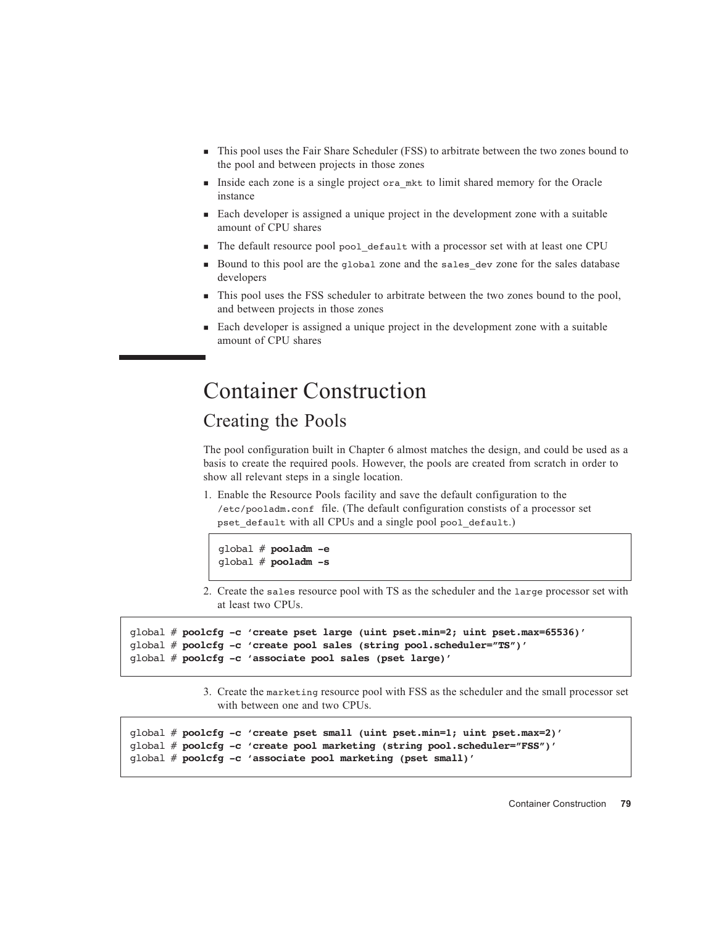- $\blacksquare$  This pool uses the Fair Share Scheduler (FSS) to arbitrate between the two zones bound to the pool and between projects in those zones
- Inside each zone is a single project ora mkt to limit shared memory for the Oracle instance
- Each developer is assigned a unique project in the development zone with a suitable amount of CPU shares
- The default resource pool pool\_default with a processor set with at least one CPU
- Bound to this pool are the global zone and the sales\_dev zone for the sales database developers
- This pool uses the FSS scheduler to arbitrate between the two zones bound to the pool, and between projects in those zones
- Each developer is assigned a unique project in the development zone with a suitable amount of CPU shares

#### Container Construction

#### Creating the Pools

The pool configuration built in Chapter 6 almost matches the design, and could be used as a basis to create the required pools. However, the pools are created from scratch in order to show all relevant steps in a single location.

1. Enable the Resource Pools facility and save the default configuration to the /etc/pooladm.conf file. (The default configuration constists of a processor set pset\_default with all CPUs and a single pool pool\_default.)

```
global # pooladm -e
global # pooladm -s
```
2. Create the sales resource pool with TS as the scheduler and the large processor set with at least two CPUs.

```
global # poolcfg -c 'create pset large (uint pset.min=2; uint pset.max=65536)'
global # poolcfg -c 'create pool sales (string pool.scheduler="TS")'
global # poolcfg -c 'associate pool sales (pset large)'
```
3. Create the marketing resource pool with FSS as the scheduler and the small processor set with between one and two CPUs.

```
global # poolcfg -c 'create pset small (uint pset.min=1; uint pset.max=2)'
global # poolcfg -c 'create pool marketing (string pool.scheduler="FSS")'
global # poolcfg -c 'associate pool marketing (pset small)'
```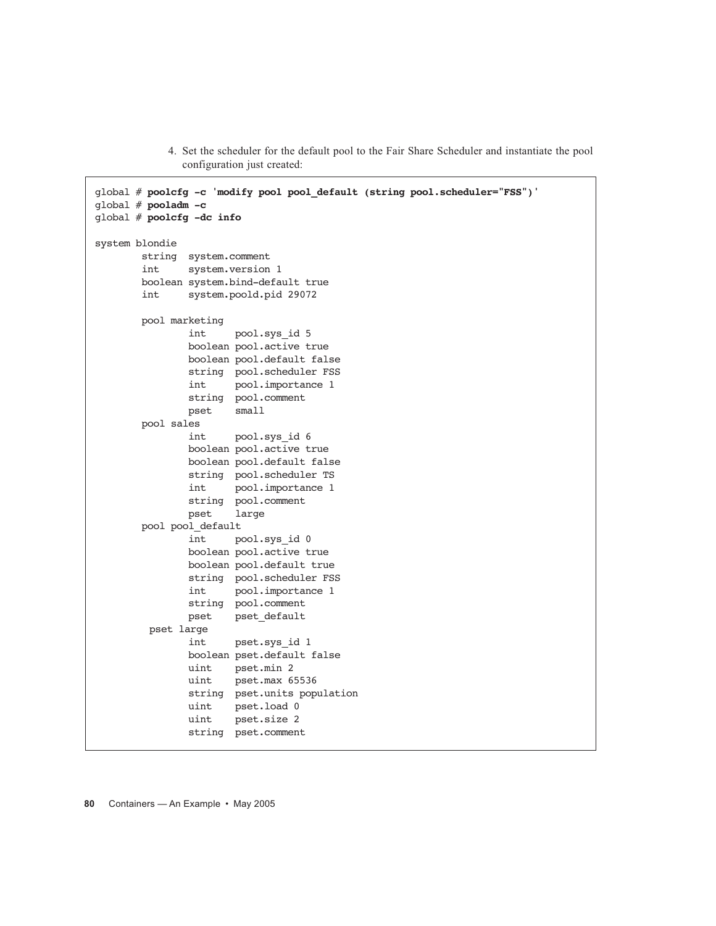4. Set the scheduler for the default pool to the Fair Share Scheduler and instantiate the pool configuration just created:

```
global # poolcfg -c 'modify pool pool_default (string pool.scheduler="FSS")'
global # pooladm -c
global # poolcfg -dc info
system blondie
        string system.comment
        int system.version 1
        boolean system.bind-default true
        int system.poold.pid 29072
        pool marketing
                 int pool.sys_id 5
                boolean pool.active true
                boolean pool.default false
                string pool.scheduler FSS
                 int pool.importance 1
                 string pool.comment
                pset small
        pool sales
                 int pool.sys_id 6
                boolean pool.active true
                boolean pool.default false
                 string pool.scheduler TS
                 int pool.importance 1
               string pool.comment<br>pset large
                        large
        pool pool_default
                 int pool.sys_id 0
                 boolean pool.active true
                boolean pool.default true
                 string pool.scheduler FSS
                 int pool.importance 1
                 string pool.comment
                 pset pset_default
         pset large
                 int pset.sys_id 1
                boolean pset.default false
                uint pset.min 2
                uint pset.max 65536
                 string pset.units population
                uint pset.load 0
                 uint pset.size 2
                 string pset.comment
```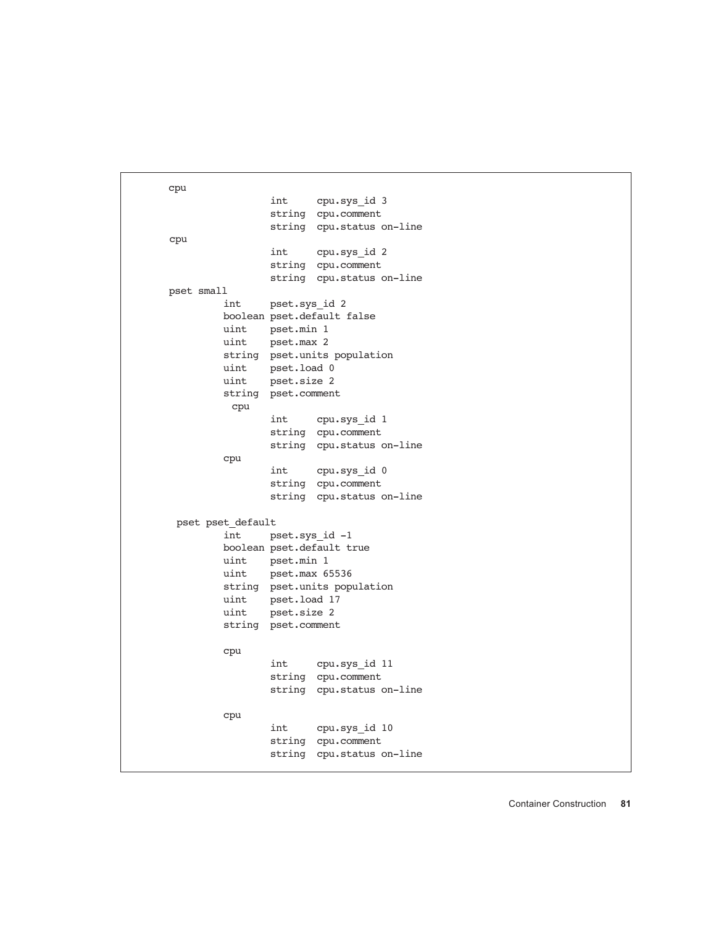```
cpu
                 int cpu.sys_id 3
                 string cpu.comment
                 string cpu.status on-line
cpu
                 int cpu.sys_id 2
                 string cpu.comment
                 string cpu.status on-line
pset small
          int pset.sys_id 2
         boolean pset.default false
         uint pset.min 1
         uint pset.max 2
          string pset.units population
          uint pset.load 0
         uint pset.size 2
          string pset.comment
          cpu
                 int cpu.sys_id 1
                 string cpu.comment
                 string cpu.status on-line
          cpu
                 int cpu.sys_id 0
                 string cpu.comment
                 string cpu.status on-line
 pset pset default
          int pset.sys_id -1
          boolean pset.default true
         uint pset.min 1
          uint pset.max 65536
          string pset.units population
          uint pset.load 17
          uint pset.size 2
          string pset.comment
          cpu
                 int cpu.sys_id 11
                 string cpu.comment
                 string cpu.status on-line
          cpu
                 int cpu.sys_id 10
                 string cpu.comment
                 string cpu.status on-line
```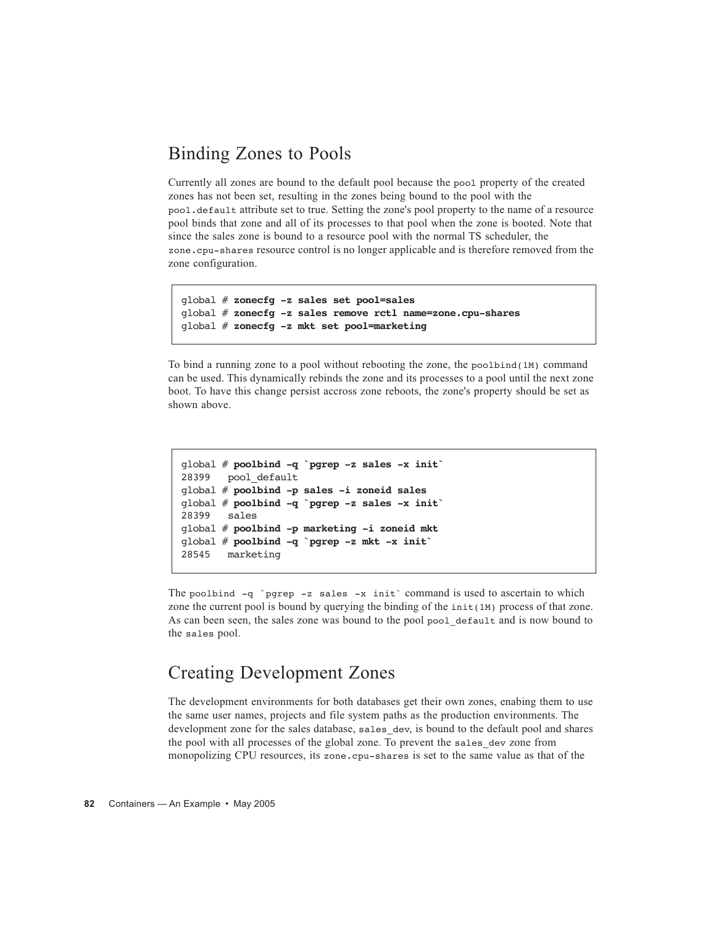#### Binding Zones to Pools

Currently all zones are bound to the default pool because the pool property of the created zones has not been set, resulting in the zones being bound to the pool with the pool.default attribute set to true. Setting the zone's pool property to the name of a resource pool binds that zone and all of its processes to that pool when the zone is booted. Note that since the sales zone is bound to a resource pool with the normal TS scheduler, the zone.cpu-shares resource control is no longer applicable and is therefore removed from the zone configuration.

```
global # zonecfg -z sales set pool=sales
global # zonecfg -z sales remove rctl name=zone.cpu-shares
global # zonecfg -z mkt set pool=marketing
```
To bind a running zone to a pool without rebooting the zone, the poolbind(1M) command can be used. This dynamically rebinds the zone and its processes to a pool until the next zone boot. To have this change persist accross zone reboots, the zone's property should be set as shown above.

```
global # poolbind -q `pgrep -z sales -x init`
28399 pool default
global # poolbind -p sales -i zoneid sales
global # poolbind -q `pgrep -z sales -x init`
28399 sales
global # poolbind -p marketing -i zoneid mkt
global # poolbind -q `pgrep -z mkt -x init`
28545 marketing
```
The poolbind -q `pgrep -z sales -x init` command is used to ascertain to which zone the current pool is bound by querying the binding of the  $init(1M)$  process of that zone. As can been seen, the sales zone was bound to the pool pool default and is now bound to the sales pool.

#### Creating Development Zones

The development environments for both databases get their own zones, enabing them to use the same user names, projects and file system paths as the production environments. The development zone for the sales database, sales dev, is bound to the default pool and shares the pool with all processes of the global zone. To prevent the sales\_dev zone from monopolizing CPU resources, its zone.cpu-shares is set to the same value as that of the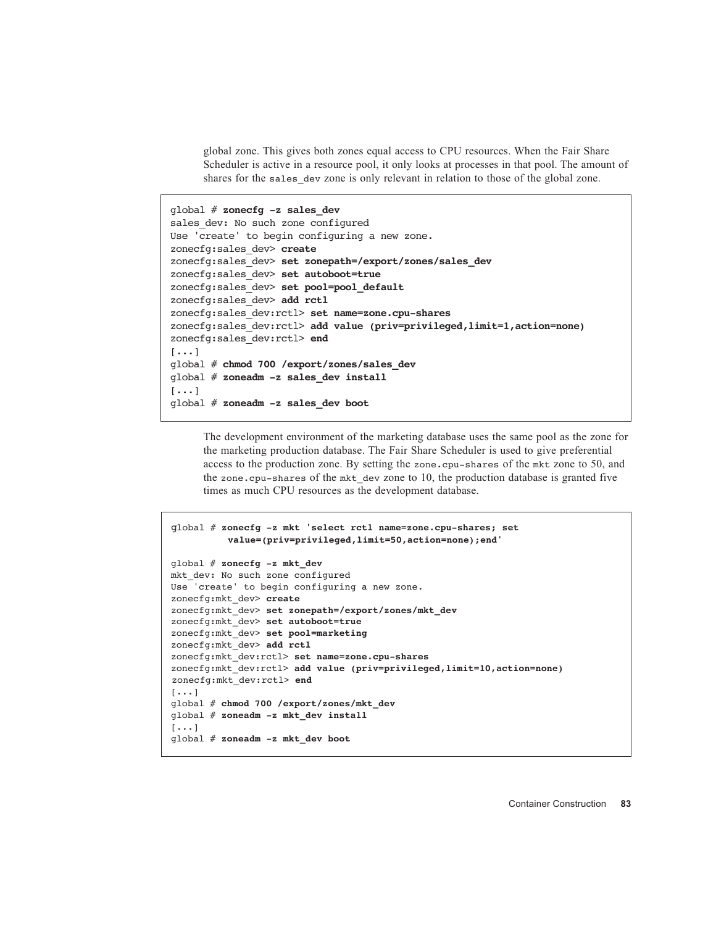global zone. This gives both zones equal access to CPU resources. When the Fair Share Scheduler is active in a resource pool, it only looks at processes in that pool. The amount of shares for the sales dev zone is only relevant in relation to those of the global zone.

```
global # zonecfg -z sales_dev
sales dev: No such zone configured
Use 'create' to begin configuring a new zone.
zonecfg:sales_dev> create
zonecfg:sales_dev> set zonepath=/export/zones/sales_dev
zonecfg:sales_dev> set autoboot=true
zonecfg:sales_dev> set pool=pool_default
zonecfg:sales_dev> add rctl
zonecfg:sales_dev:rctl> set name=zone.cpu-shares
zonecfg:sales_dev:rctl> add value (priv=privileged,limit=1,action=none)
zonecfg:sales_dev:rctl> end
[\ldots]global # chmod 700 /export/zones/sales_dev
global # zoneadm -z sales_dev install
[...]
global # zoneadm -z sales_dev boot
```
The development environment of the marketing database uses the same pool as the zone for the marketing production database. The Fair Share Scheduler is used to give preferential access to the production zone. By setting the zone.cpu-shares of the mkt zone to 50, and the zone.cpu-shares of the mkt dev zone to 10, the production database is granted five times as much CPU resources as the development database.

```
global # zonecfg -z mkt 'select rctl name=zone.cpu-shares; set 
          value=(priv=privileged,limit=50,action=none);end'
global # zonecfg -z mkt_dev
mkt dev: No such zone configured
Use 'create' to begin configuring a new zone.
zonecfg:mkt_dev> create
zonecfg:mkt_dev> set zonepath=/export/zones/mkt_dev
zonecfg:mkt_dev> set autoboot=true
zonecfg:mkt_dev> set pool=marketing
zonecfg:mkt_dev> add rctl
zonecfg:mkt_dev:rctl> set name=zone.cpu-shares
zonecfg:mkt_dev:rctl> add value (priv=privileged,limit=10,action=none)
zonecfg:mkt_dev:rctl> end
[...]
global # chmod 700 /export/zones/mkt_dev
global # zoneadm -z mkt_dev install
[\ldots]global # zoneadm -z mkt_dev boot
```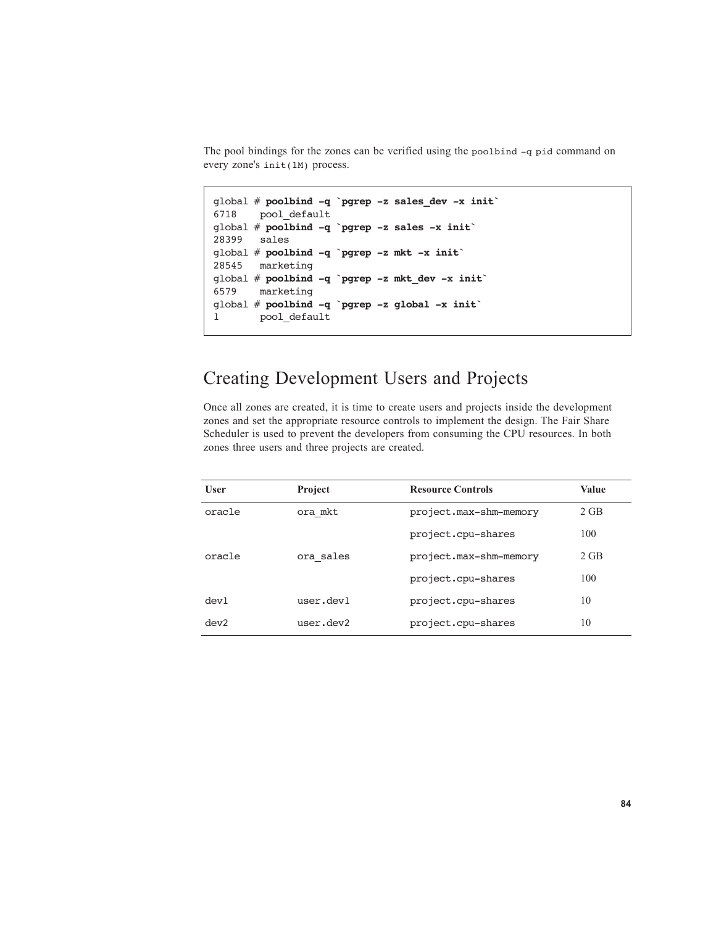The pool bindings for the zones can be verified using the poolbind -q pid command on every zone's init(1M) process.

```
global # poolbind -q `pgrep -z sales_dev -x init`
6718 pool_default
global # poolbind -q `pgrep -z sales -x init`
28399 sales
global # poolbind -q `pgrep -z mkt -x init`
28545 marketing
global # poolbind -q `pgrep -z mkt_dev -x init`
6579 marketing
global # poolbind -q `pgrep -z global -x init`
1 pool default
```
#### Creating Development Users and Projects

Once all zones are created, it is time to create users and projects inside the development zones and set the appropriate resource controls to implement the design. The Fair Share Scheduler is used to prevent the developers from consuming the CPU resources. In both zones three users and three projects are created.

| <b>Project</b> | <b>Resource Controls</b> | <b>Value</b> |
|----------------|--------------------------|--------------|
| ora mkt        | project.max-shm-memory   | $2$ GB       |
|                | project.cpu-shares       | 100          |
| ora sales      | project.max-shm-memory   | $2$ GB       |
|                | project.cpu-shares       | 100          |
| user.dev1      | project.cpu-shares       | 10           |
| user.dev2      | project.cpu-shares       | 10           |
|                |                          |              |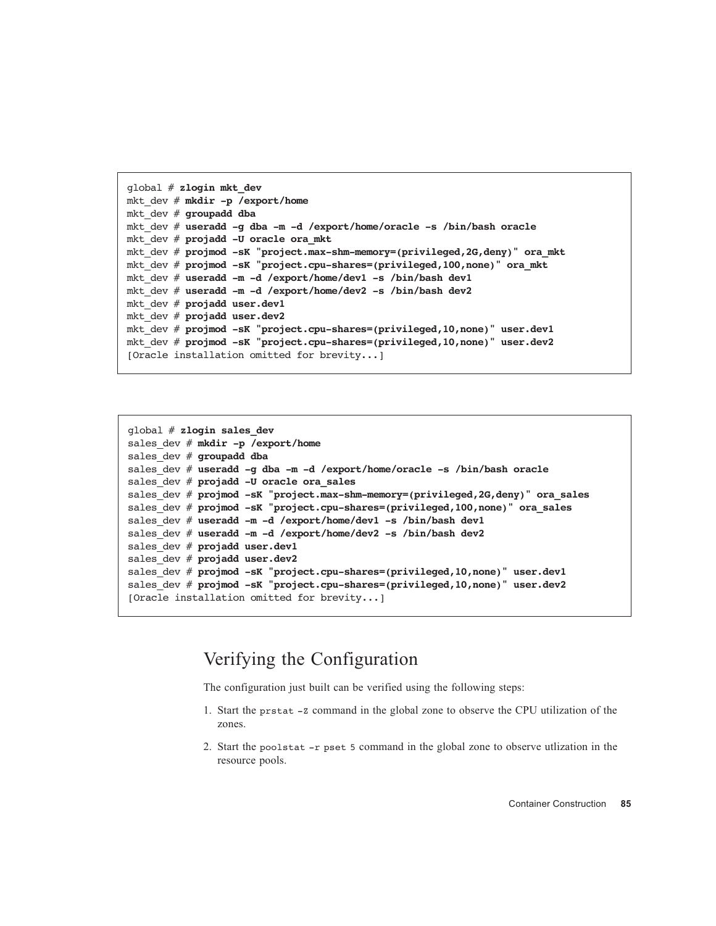```
global # zlogin mkt_dev
mkt_dev # mkdir -p /export/home
mkt_dev # groupadd dba
mkt_dev # useradd -g dba -m -d /export/home/oracle -s /bin/bash oracle
mkt_dev # projadd -U oracle ora_mkt
mkt_dev # projmod -sK "project.max-shm-memory=(privileged,2G,deny)" ora_mkt
mkt_dev # projmod -sK "project.cpu-shares=(privileged,100,none)" ora_mkt
mkt_dev # useradd -m -d /export/home/dev1 -s /bin/bash dev1
mkt_dev # useradd -m -d /export/home/dev2 -s /bin/bash dev2
mkt_dev # projadd user.dev1
mkt_dev # projadd user.dev2
mkt_dev # projmod -sK "project.cpu-shares=(privileged,10,none)" user.dev1
mkt_dev # projmod -sK "project.cpu-shares=(privileged,10,none)" user.dev2
[Oracle installation omitted for brevity...]
```

```
global # zlogin sales_dev
sales dev # mkdir -p /export/home
sales_dev # groupadd dba
sales_dev # useradd -g dba -m -d /export/home/oracle -s /bin/bash oracle
sales_dev # projadd -U oracle ora_sales
sales_dev # projmod -sK "project.max-shm-memory=(privileged,2G,deny)" ora_sales
sales_dev # projmod -sK "project.cpu-shares=(privileged,100,none)" ora_sales
sales_dev # useradd -m -d /export/home/dev1 -s /bin/bash dev1
sales_dev # useradd -m -d /export/home/dev2 -s /bin/bash dev2
sales_dev # projadd user.dev1
sales_dev # projadd user.dev2
sales_dev # projmod -sK "project.cpu-shares=(privileged,10,none)" user.dev1
sales_dev # projmod -sK "project.cpu-shares=(privileged,10,none)" user.dev2
[Oracle installation omitted for brevity...]
```
#### Verifying the Configuration

The configuration just built can be verified using the following steps:

- 1. Start the prstat -Z command in the global zone to observe the CPU utilization of the zones.
- 2. Start the poolstat -r pset 5 command in the global zone to observe utlization in the resource pools.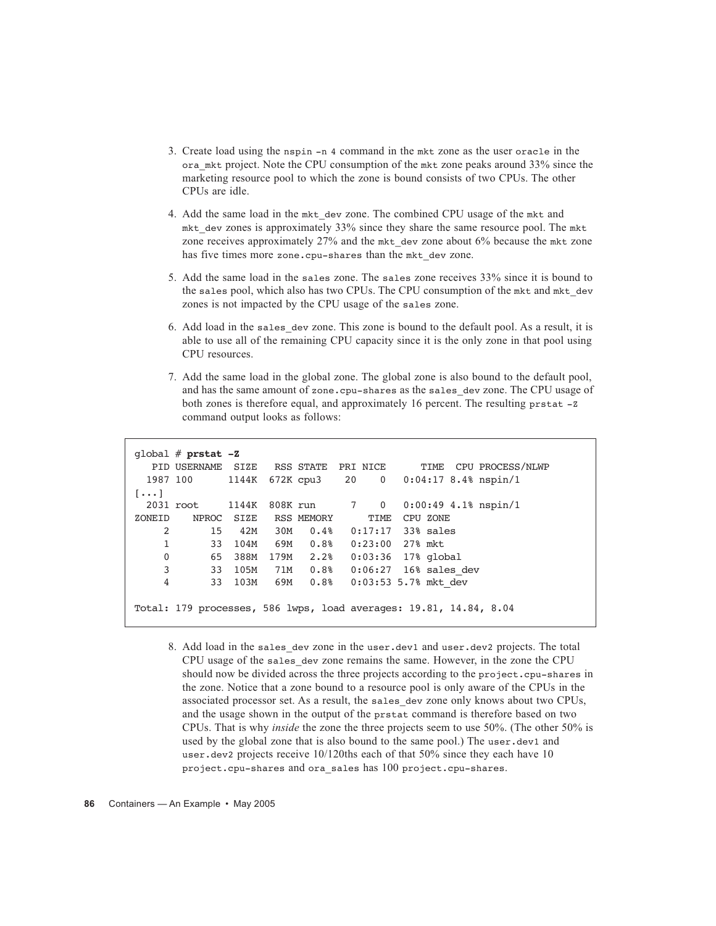- 3. Create load using the nspin -n 4 command in the mkt zone as the user oracle in the ora\_mkt project. Note the CPU consumption of the mkt zone peaks around 33% since the marketing resource pool to which the zone is bound consists of two CPUs. The other CPUs are idle.
- 4. Add the same load in the mkt\_dev zone. The combined CPU usage of the mkt and mkt dev zones is approximately  $33\%$  since they share the same resource pool. The mkt zone receives approximately 27% and the mkt dev zone about 6% because the mkt zone has five times more zone.cpu-shares than the mkt dev zone.
- 5. Add the same load in the sales zone. The sales zone receives 33% since it is bound to the sales pool, which also has two CPUs. The CPU consumption of the mkt and mkt\_dev zones is not impacted by the CPU usage of the sales zone.
- 6. Add load in the sales\_dev zone. This zone is bound to the default pool. As a result, it is able to use all of the remaining CPU capacity since it is the only zone in that pool using CPU resources.
- 7. Add the same load in the global zone. The global zone is also bound to the default pool, and has the same amount of zone.cpu-shares as the sales\_dev zone. The CPU usage of both zones is therefore equal, and approximately 16 percent. The resulting prstat -z command output looks as follows:

```
global # prstat -Z
   PID USERNAME SIZE RSS STATE PRI NICE TIME CPU PROCESS/NLWP
  1987 100 1144K 672K cpu3 20 0 0:04:17 8.4% nspin/1
[\ldots] 2031 root 1144K 808K run 7 0 0:00:49 4.1% nspin/1
ZONEID NPROC SIZE RSS MEMORY TIME CPU ZONE
     2 15 42M 30M 0.4% 0:17:17 33% sales
     1 33 104M 69M 0.8% 0:23:00 27% mkt
     0 65 388M 179M 2.2% 0:03:36 17% global
     3 33 105M 71M 0.8% 0:06:27 16% sales_dev
     4 33 103M 69M 0.8% 0:03:53 5.7% mkt_dev
Total: 179 processes, 586 lwps, load averages: 19.81, 14.84, 8.04
```
8. Add load in the sales dev zone in the user.dev1 and user.dev2 projects. The total CPU usage of the sales\_dev zone remains the same. However, in the zone the CPU should now be divided across the three projects according to the project.cpu-shares in the zone. Notice that a zone bound to a resource pool is only aware of the CPUs in the associated processor set. As a result, the sales\_dev zone only knows about two CPUs, and the usage shown in the output of the prstat command is therefore based on two CPUs. That is why *inside* the zone the three projects seem to use 50%. (The other 50% is used by the global zone that is also bound to the same pool.) The user.dev1 and user.dev2 projects receive 10/120ths each of that 50% since they each have 10 project.cpu-shares and ora\_sales has 100 project.cpu-shares.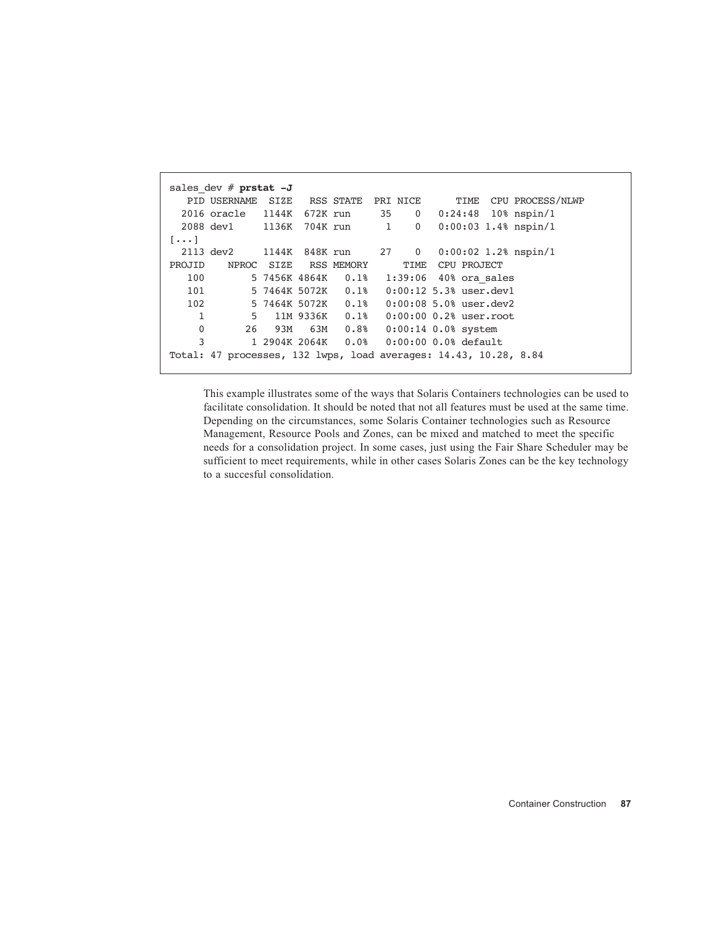```
sales_dev # prstat -J
   PID USERNAME SIZE RSS STATE PRI NICE TIME CPU PROCESS/NLWP
  2016 oracle 1144K 672K run 35 0 0:24:48 10% nspin/1
  2088 dev1 1136K 704K run 1 0 0:00:03 1.4% nspin/1
[...]
  2113 dev2 1144K 848K run 27 0 0:00:02 1.2% nspin/1
PROJID NPROC SIZE RSS MEMORY TIME CPU PROJECT
   100 5 7456K 4864K 0.1% 1:39:06 40% ora_sales
   101 5 7464K 5072K 0.1% 0:00:12 5.3% user.dev1
   102 5 7464K 5072K 0.1% 0:00:08 5.0% user.dev2
    1 5 11M 9336K 0.1% 0:00:00 0.2% user.root<br>0 26 93M 63M 0.8% 0:00:14 0.0% system
     0 26 93M 63M 0.8% 0:00:14 0.0% system
     3 1 2904K 2064K 0.0% 0:00:00 0.0% default
Total: 47 processes, 132 lwps, load averages: 14.43, 10.28, 8.84
```
This example illustrates some of the ways that Solaris Containers technologies can be used to facilitate consolidation. It should be noted that not all features must be used at the same time. Depending on the circumstances, some Solaris Container technologies such as Resource Management, Resource Pools and Zones, can be mixed and matched to meet the specific needs for a consolidation project. In some cases, just using the Fair Share Scheduler may be sufficient to meet requirements, while in other cases Solaris Zones can be the key technology to a succesful consolidation.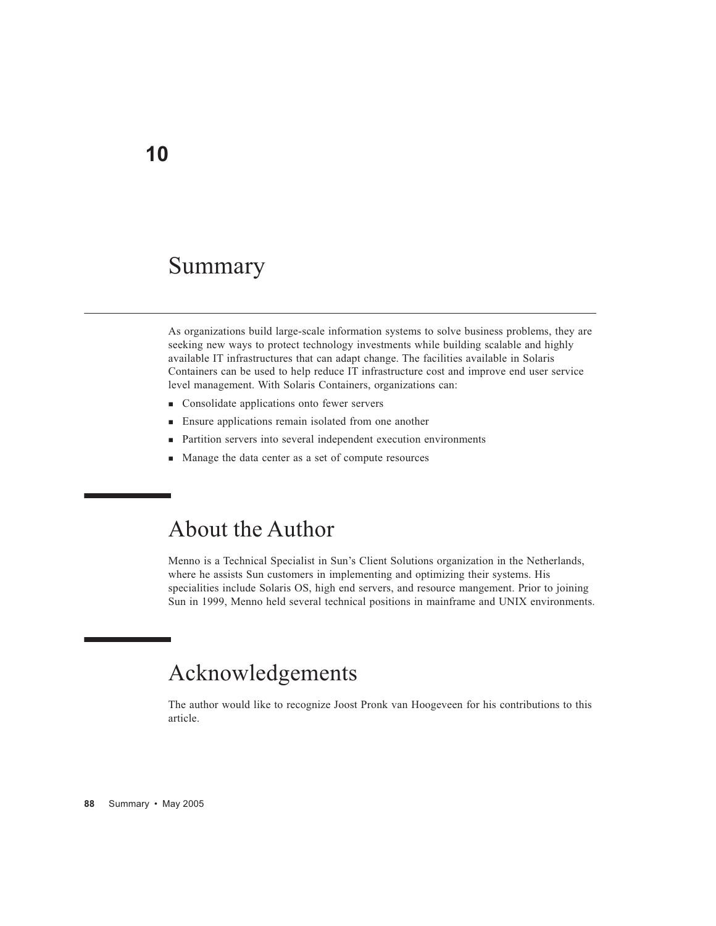## Summary

As organizations build large-scale information systems to solve business problems, they are seeking new ways to protect technology investments while building scalable and highly available IT infrastructures that can adapt change. The facilities available in Solaris Containers can be used to help reduce IT infrastructure cost and improve end user service level management. With Solaris Containers, organizations can:

- **Consolidate applications onto fewer servers**
- **Ensure applications remain isolated from one another**
- Partition servers into several independent execution environments
- Manage the data center as a set of compute resources

## About the Author

Menno is a Technical Specialist in Sun's Client Solutions organization in the Netherlands, where he assists Sun customers in implementing and optimizing their systems. His specialities include Solaris OS, high end servers, and resource mangement. Prior to joining Sun in 1999, Menno held several technical positions in mainframe and UNIX environments.

#### Acknowledgements

The author would like to recognize Joost Pronk van Hoogeveen for his contributions to this article.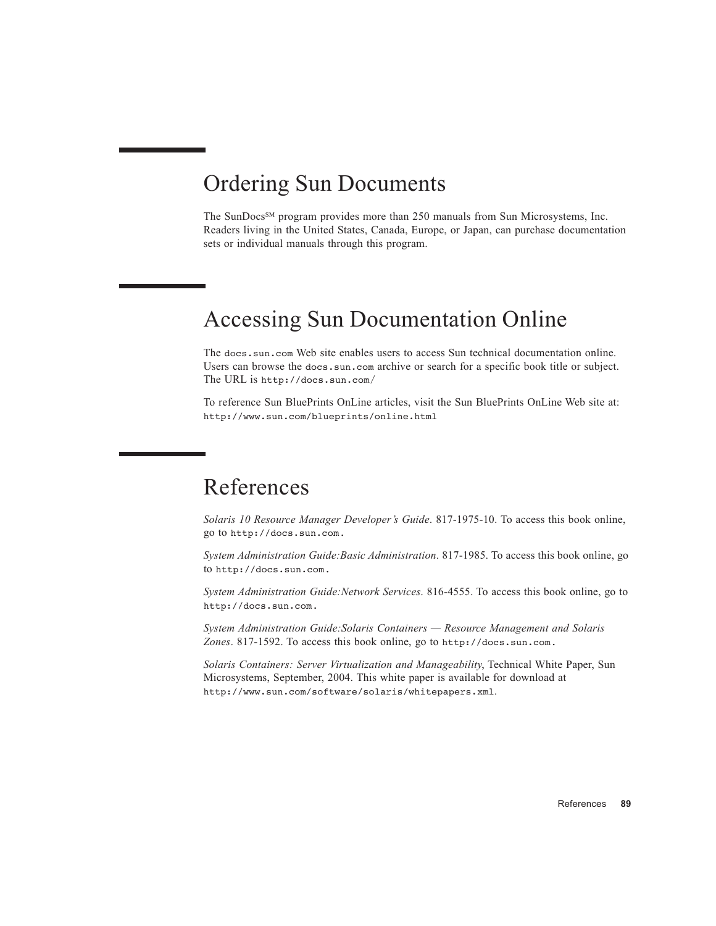#### Ordering Sun Documents

The SunDocs<sup>SM</sup> program provides more than 250 manuals from Sun Microsystems, Inc. Readers living in the United States, Canada, Europe, or Japan, can purchase documentation sets or individual manuals through this program.

#### Accessing Sun Documentation Online

The docs.sun.com Web site enables users to access Sun technical documentation online. Users can browse the docs.sun.com archive or search for a specific book title or subject. The URL is http://docs.sun.com/

To reference Sun BluePrints OnLine articles, visit the Sun BluePrints OnLine Web site at: http://www.sun.com/blueprints/online.html

## References

*Solaris 10 Resource Manager Developer's Guide*. 817-1975-10. To access this book online, go to http://docs.sun.com.

*System Administration Guide:Basic Administration*. 817-1985. To access this book online, go to http://docs.sun.com.

*System Administration Guide:Network Services*. 816-4555. To access this book online, go to http://docs.sun.com.

*System Administration Guide:Solaris Containers — Resource Management and Solaris Zones*. 817-1592. To access this book online, go to http://docs.sun.com.

*Solaris Containers: Server Virtualization and Manageability*, Technical White Paper, Sun Microsystems, September, 2004. This white paper is available for download at http://www.sun.com/software/solaris/whitepapers.xml.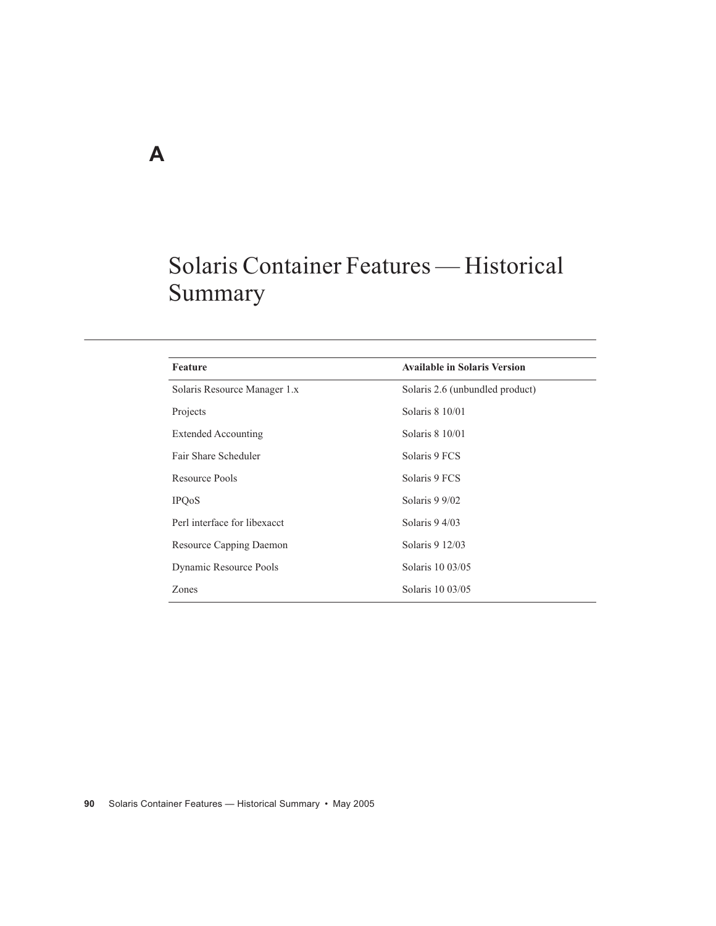## Solaris Container Features — Historical Summary

| Feature                      | <b>Available in Solaris Version</b> |
|------------------------------|-------------------------------------|
| Solaris Resource Manager 1.x | Solaris 2.6 (unbundled product)     |
| Projects                     | Solaris 8 10/01                     |
| <b>Extended Accounting</b>   | Solaris 8 10/01                     |
| Fair Share Scheduler         | Solaris 9 FCS                       |
| Resource Pools               | Solaris 9 FCS                       |
| <b>IPQ0S</b>                 | Solaris 9 9/02                      |
| Perl interface for libexacct | Solaris 9 4/03                      |
| Resource Capping Daemon      | Solaris 9 12/03                     |
| Dynamic Resource Pools       | Solaris 10 03/05                    |
| Zones                        | Solaris 10 03/05                    |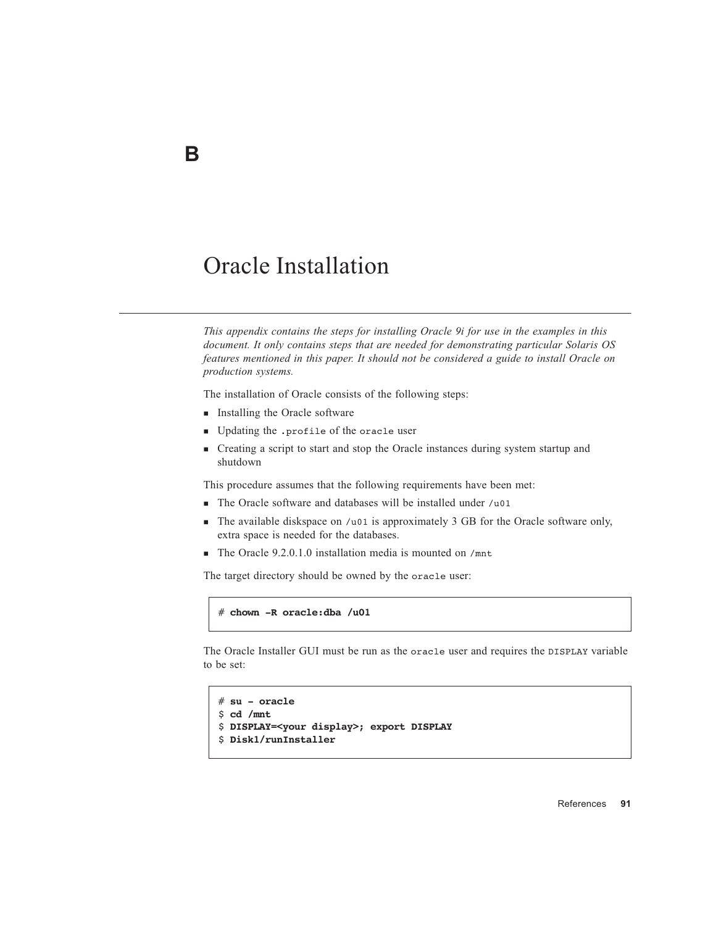#### Oracle Installation

*This appendix contains the steps for installing Oracle 9i for use in the examples in this document. It only contains steps that are needed for demonstrating particular Solaris OS features mentioned in this paper. It should not be considered a guide to install Oracle on production systems.*

The installation of Oracle consists of the following steps:

- **Installing the Oracle software**
- Updating the .profile of the oracle user
- Creating a script to start and stop the Oracle instances during system startup and shutdown

This procedure assumes that the following requirements have been met:

- The Oracle software and databases will be installed under /u01
- The available diskspace on /u01 is approximately 3 GB for the Oracle software only, extra space is needed for the databases.
- The Oracle 9.2.0.1.0 installation media is mounted on /mnt

The target directory should be owned by the oracle user:

# **chown -R oracle:dba /u01**

The Oracle Installer GUI must be run as the oracle user and requires the DISPLAY variable to be set:

```
# su - oracle
$ cd /mnt
$ DISPLAY=<your display>; export DISPLAY
$ Disk1/runInstaller
```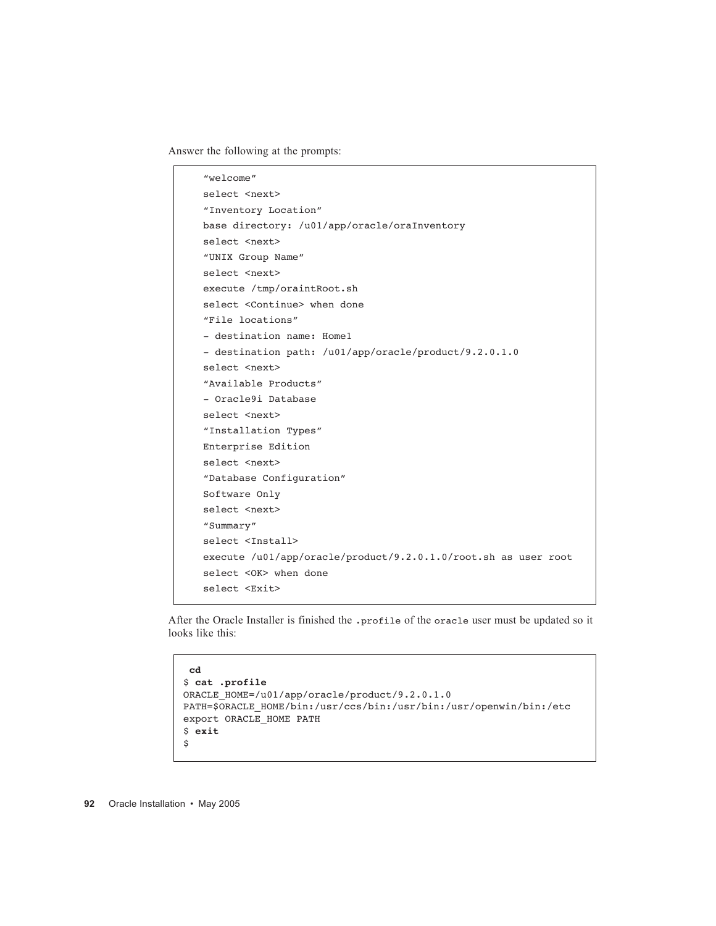Answer the following at the prompts:

```
"welcome"
select <next>
"Inventory Location"
base directory: /u01/app/oracle/oraInventory
select <next>
"UNIX Group Name"
select <next>
execute /tmp/oraintRoot.sh
select <Continue> when done
"File locations"
- destination name: Home1
- destination path: /u01/app/oracle/product/9.2.0.1.0
select <next>
"Available Products"
- Oracle9i Database 
select <next>
"Installation Types"
Enterprise Edition
select <next>
"Database Configuration"
Software Only
select <next>
"Summary"
select <Install>
execute /u01/app/oracle/product/9.2.0.1.0/root.sh as user root
select <OK> when done
select <Exit>
```
After the Oracle Installer is finished the .profile of the oracle user must be updated so it looks like this:

```
cd
$ cat .profile
ORACLE_HOME=/u01/app/oracle/product/9.2.0.1.0
PATH=$ORACLE_HOME/bin:/usr/ccs/bin:/usr/bin:/usr/openwin/bin:/etc
export ORACLE_HOME PATH
$ exit
$
```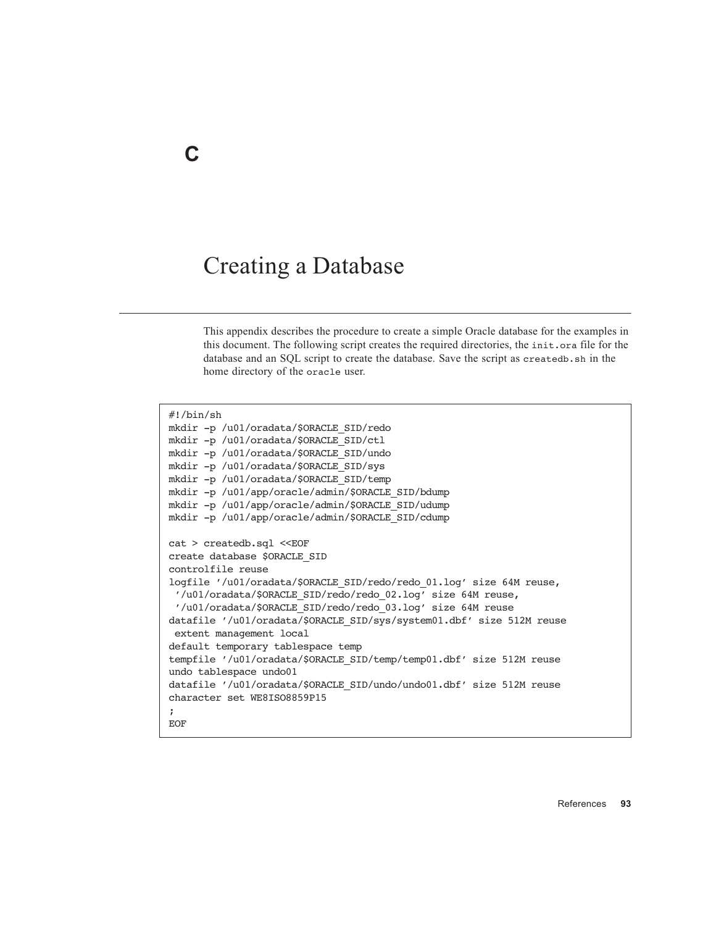#### Creating a Database

This appendix describes the procedure to create a simple Oracle database for the examples in this document. The following script creates the required directories, the init.ora file for the database and an SQL script to create the database. Save the script as createdb.sh in the home directory of the oracle user.

#!/bin/sh mkdir -p /u01/oradata/\$ORACLE\_SID/redo mkdir -p /u01/oradata/\$ORACLE\_SID/ctl mkdir -p /u01/oradata/\$ORACLE\_SID/undo mkdir -p /u01/oradata/\$ORACLE\_SID/sys mkdir -p /u01/oradata/\$ORACLE\_SID/temp mkdir -p /u01/app/oracle/admin/\$ORACLE\_SID/bdump mkdir -p /u01/app/oracle/admin/\$ORACLE\_SID/udump mkdir -p /u01/app/oracle/admin/\$ORACLE\_SID/cdump cat > createdb.sql <<EOF create database \$ORACLE\_SID controlfile reuse logfile '/u01/oradata/\$ORACLE\_SID/redo/redo\_01.log' size 64M reuse, '/u01/oradata/\$ORACLE\_SID/redo/redo\_02.log' size 64M reuse, '/u01/oradata/\$ORACLE\_SID/redo/redo\_03.log' size 64M reuse datafile '/u01/oradata/\$ORACLE\_SID/sys/system01.dbf' size 512M reuse extent management local default temporary tablespace temp tempfile '/u01/oradata/\$ORACLE\_SID/temp/temp01.dbf' size 512M reuse undo tablespace undo01 datafile '/u01/oradata/\$ORACLE\_SID/undo/undo01.dbf' size 512M reuse character set WE8ISO8859P15 ; **EOF**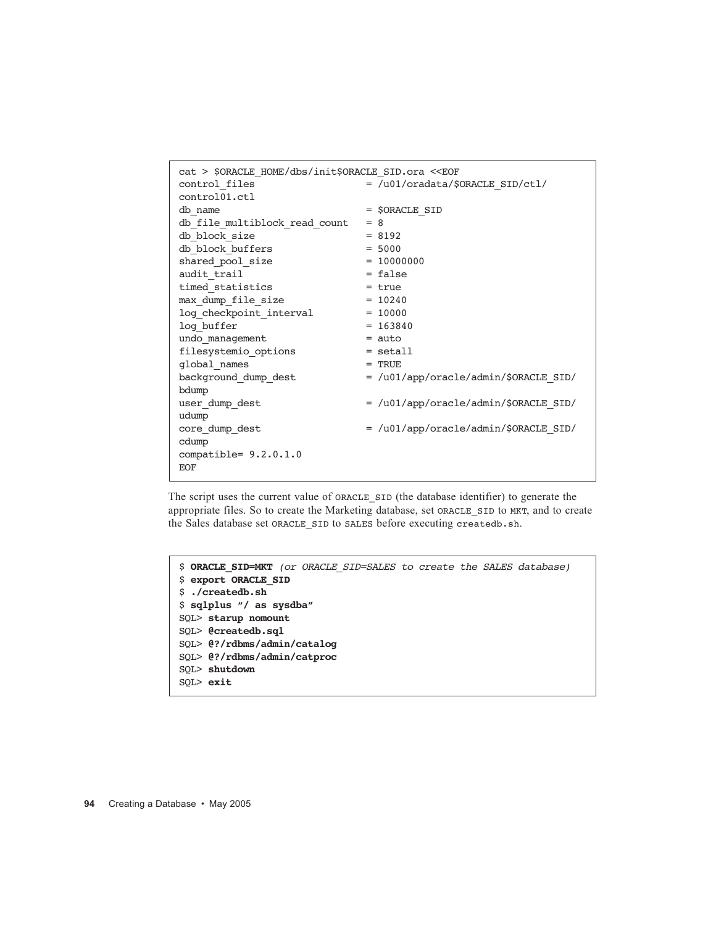| cat > \$ORACLE HOME/dbs/init\$ORACLE SID.ora < <eof< th=""></eof<> |                                       |  |  |  |
|--------------------------------------------------------------------|---------------------------------------|--|--|--|
| control files                                                      | = /u01/oradata/\$ORACLE SID/ctl/      |  |  |  |
| control01.ctl                                                      |                                       |  |  |  |
| db name                                                            | = \$ORACLE SID                        |  |  |  |
| db file multiblock read count                                      | $= 8$                                 |  |  |  |
| db block size                                                      | $= 8192$                              |  |  |  |
| db block buffers                                                   | $= 5000$                              |  |  |  |
| shared pool size                                                   | $= 10000000$                          |  |  |  |
| audit trail                                                        | $= false$                             |  |  |  |
| timed statistics                                                   | $= true$                              |  |  |  |
| max_dump_file_size                                                 | $= 10240$                             |  |  |  |
| log checkpoint interval                                            | $= 10000$                             |  |  |  |
| log buffer                                                         | $= 163840$                            |  |  |  |
| undo management                                                    | $=$ auto                              |  |  |  |
| filesystemio options                                               | $=$ setall                            |  |  |  |
| global names                                                       | $=$ TRUE                              |  |  |  |
| background dump dest                                               | = /u01/app/oracle/admin/\$ORACLE SID/ |  |  |  |
| bdump                                                              |                                       |  |  |  |
| user dump dest                                                     | = /u01/app/oracle/admin/\$ORACLE SID/ |  |  |  |
| udump                                                              |                                       |  |  |  |
| core dump dest                                                     | = /u01/app/oracle/admin/\$ORACLE SID/ |  |  |  |
| cdump                                                              |                                       |  |  |  |
| compatible= $9.2.0.1.0$                                            |                                       |  |  |  |
| <b>EOF</b>                                                         |                                       |  |  |  |
|                                                                    |                                       |  |  |  |

The script uses the current value of ORACLE\_SID (the database identifier) to generate the appropriate files. So to create the Marketing database, set ORACLE\_SID to MKT, and to create the Sales database set ORACLE\_SID to SALES before executing createdb.sh.

```
$ ORACLE_SID=MKT (or ORACLE_SID=SALES to create the SALES database)
$ export ORACLE_SID
$ ./createdb.sh
$ sqlplus "/ as sysdba"
SQL> starup nomount
SQL> @createdb.sql
SQL> @?/rdbms/admin/catalog
SQL> @?/rdbms/admin/catproc
SQL> shutdown
SQL> exit
```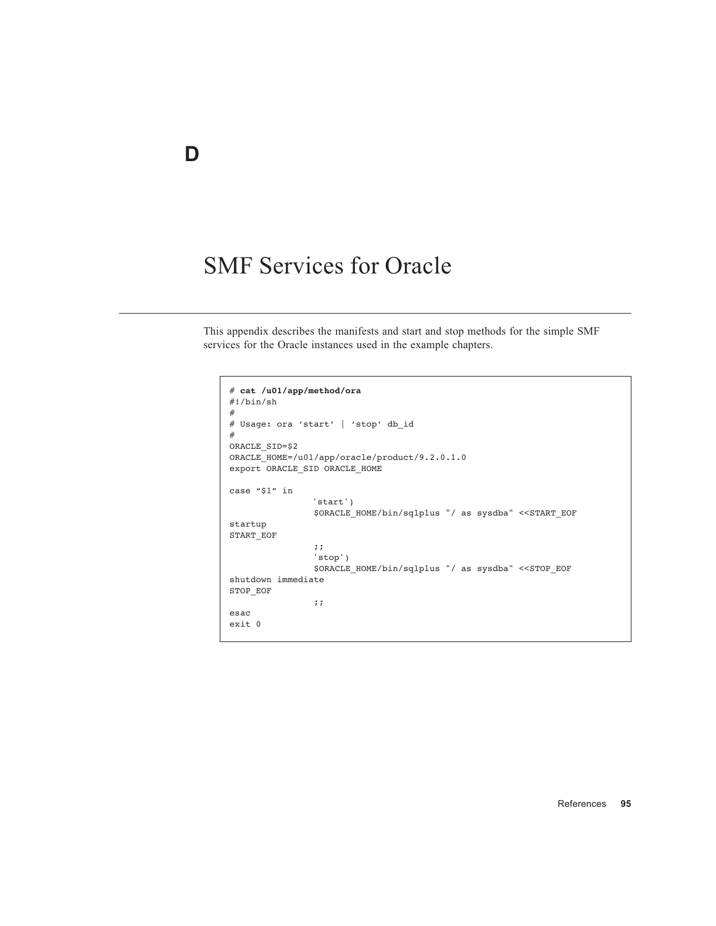# SMF Services for Oracle

This appendix describes the manifests and start and stop methods for the simple SMF services for the Oracle instances used in the example chapters.

```
# cat /u01/app/method/ora
#!/bin/sh
#
# Usage: ora 'start' | 'stop' db_id
#
ORACLE_SID=$2
ORACLE_HOME=/u01/app/oracle/product/9.2.0.1.0
export ORACLE_SID ORACLE_HOME
case "$1" in
                          'start')
                           $ORACLE_HOME/bin/sqlplus "/ as sysdba" <<START_EOF
startup
START_EOF
\mathbf{z}; \mathbf{z}; \mathbf{z}; \mathbf{z}; \mathbf{z}; \mathbf{z}; \mathbf{z}; \mathbf{z}; \mathbf{z}; \mathbf{z}; \mathbf{z}; \mathbf{z}; \mathbf{z}; \mathbf{z}; \mathbf{z}; \mathbf{z}; \mathbf{z}; \mathbf{z}; \mathbf{z}; \mathbf{z}; \mathbf{z}; \mathbf{z}; 'stop')
                          $ORACLE_HOME/bin/sqlplus "/ as sysdba" <<STOP_EOF
shutdown immediate
STOP_EOF
                           ;;
esac
exit 0
```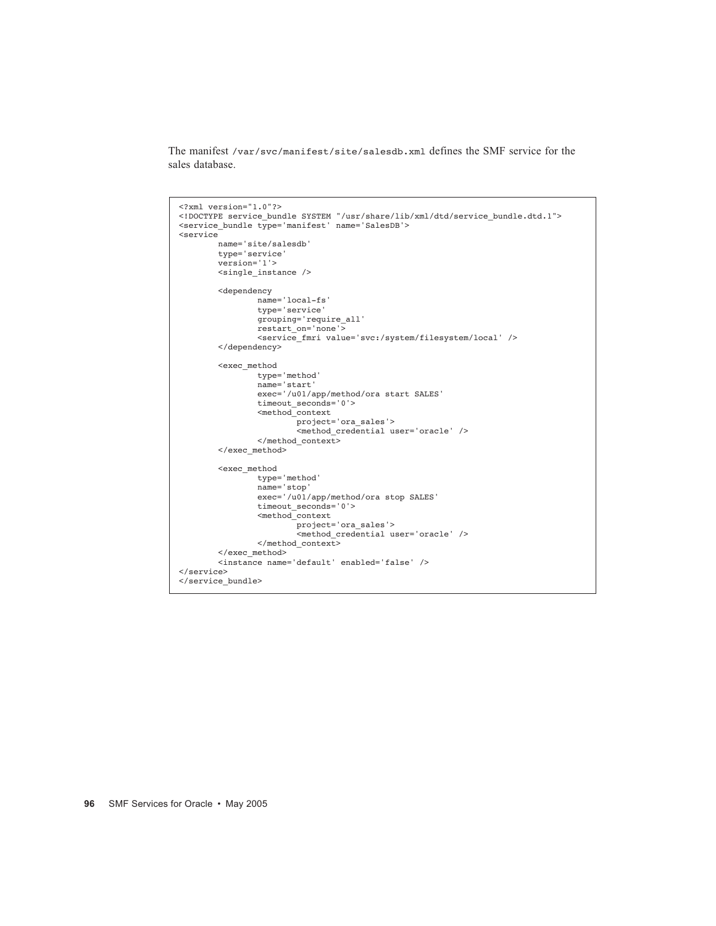The manifest /var/svc/manifest/site/salesdb.xml defines the SMF service for the sales database.

```
<?xml version="1.0"?>
<!DOCTYPE service_bundle SYSTEM "/usr/share/lib/xml/dtd/service_bundle.dtd.1">
<service_bundle type='manifest' name='SalesDB'>
<service
 name='site/salesdb'
 type='service'
        version='1'>
        <single_instance />
        <dependency
               name='local-fs'
               type='service'
               grouping='require_all'
 restart_on='none'>
 <service_fmri value='svc:/system/filesystem/local' />
        </dependency>
        <exec_method
               type='method'
 name='start'
 exec='/u01/app/method/ora start SALES'
               timeout_seconds='0'>
               <method_context
                      project='ora_sales'>
                       <method_credential user='oracle' />
               </method_context>
        </exec_method>
        <exec_method
               type='method'
               name='stop'
               exec='/u01/app/method/ora stop SALES'
               timeout_seconds='0'>
               <method_context
 project='ora_sales'>
 <method_credential user='oracle' />
               </method_context>
        </exec_method>
        <instance name='default' enabled='false' />
</service>
</service_bundle>
```